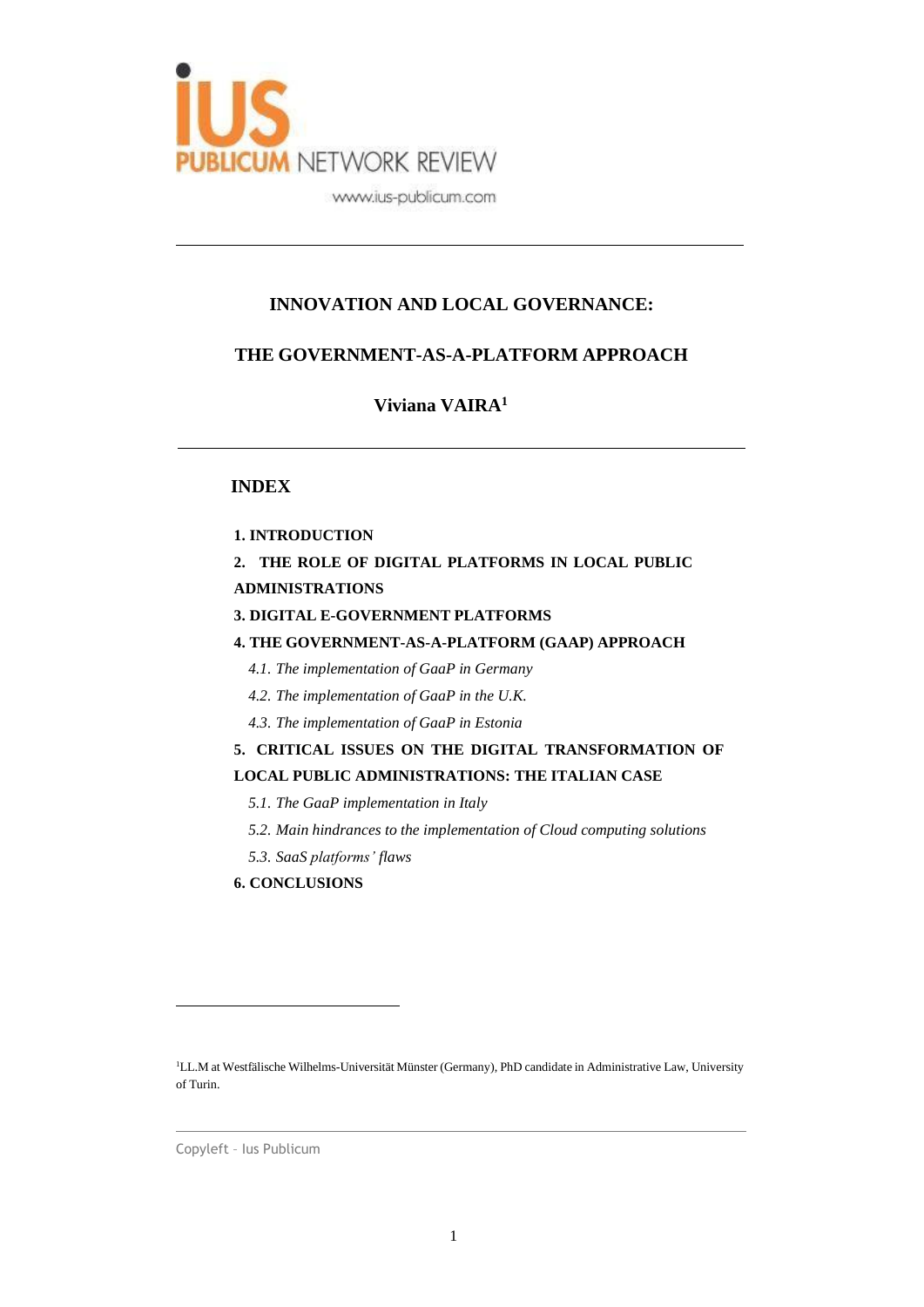

# **INNOVATION AND LOCAL GOVERNANCE:**

## **THE GOVERNMENT-AS-A-PLATFORM APPROACH**

**Viviana VAIRA<sup>1</sup>**

### **INDEX**

### **1. INTRODUCTION**

# **2. THE ROLE OF DIGITAL PLATFORMS IN LOCAL PUBLIC ADMINISTRATIONS**

### **3. DIGITAL E-GOVERNMENT PLATFORMS**

### **4. THE GOVERNMENT-AS-A-PLATFORM (GAAP) APPROACH**

- *4.1. The implementation of GaaP in Germany*
- *4.2. The implementation of GaaP in the U.K.*
- *4.3. The implementation of GaaP in Estonia*

# **5. CRITICAL ISSUES ON THE DIGITAL TRANSFORMATION OF LOCAL PUBLIC ADMINISTRATIONS: THE ITALIAN CASE**

- *5.1. The GaaP implementation in Italy*
- *5.2. Main hindrances to the implementation of Cloud computing solutions*
- *5.3. SaaS platforms' flaws*
- **6. CONCLUSIONS**

<sup>1</sup>LL.M at Westfälische Wilhelms-Universität Münster (Germany), PhD candidate in Administrative Law, University of Turin.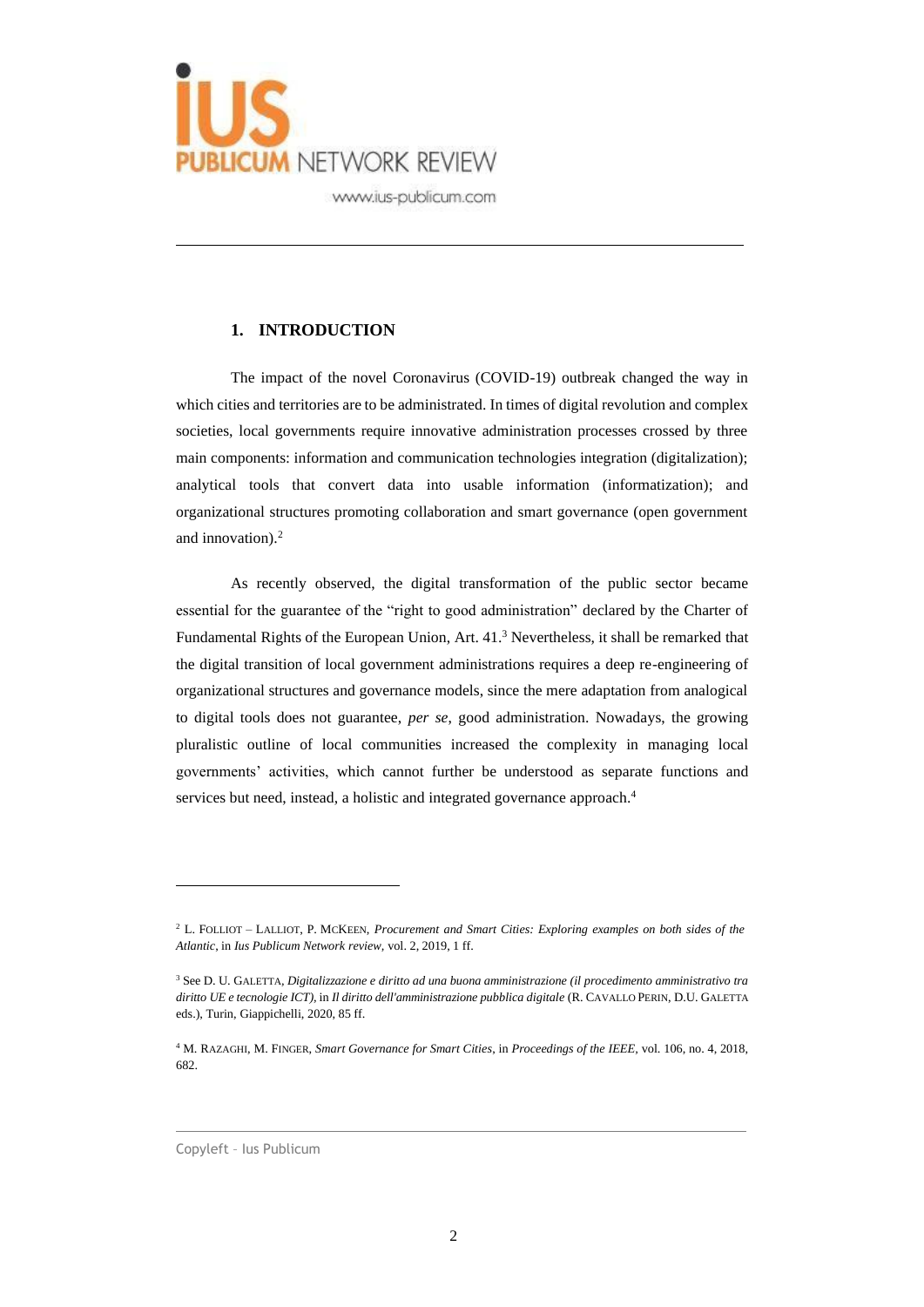

### **1. INTRODUCTION**

The impact of the novel Coronavirus (COVID-19) outbreak changed the way in which cities and territories are to be administrated. In times of digital revolution and complex societies, local governments require innovative administration processes crossed by three main components: information and communication technologies integration (digitalization); analytical tools that convert data into usable information (informatization); and organizational structures promoting collaboration and smart governance (open government and innovation).<sup>2</sup>

As recently observed, the digital transformation of the public sector became essential for the guarantee of the "right to good administration" declared by the Charter of Fundamental Rights of the European Union, Art. 41.<sup>3</sup> Nevertheless, it shall be remarked that the digital transition of local government administrations requires a deep re-engineering of organizational structures and governance models, since the mere adaptation from analogical to digital tools does not guarantee, *per se*, good administration. Nowadays, the growing pluralistic outline of local communities increased the complexity in managing local governments' activities, which cannot further be understood as separate functions and services but need, instead, a holistic and integrated governance approach.<sup>4</sup>

<sup>2</sup> L. FOLLIOT – LALLIOT, P. MCKEEN, *Procurement and Smart Cities: Exploring examples on both sides of the Atlantic*, in *Ius Publicum Network review,* vol. 2, 2019, 1 ff.

<sup>3</sup> See D. U. GALETTA*, Digitalizzazione e diritto ad una buona amministrazione (il procedimento amministrativo tra diritto UE e tecnologie ICT),* in *Il diritto dell'amministrazione pubblica digitale* (R. CAVALLO PERIN, D.U. GALETTA eds.), Turin, Giappichelli, 2020, 85 ff.

<sup>4</sup> M. RAZAGHI, M. FINGER, *Smart Governance for Smart Cities*, in *Proceedings of the IEEE,* vol. 106, no. 4, 2018, 682.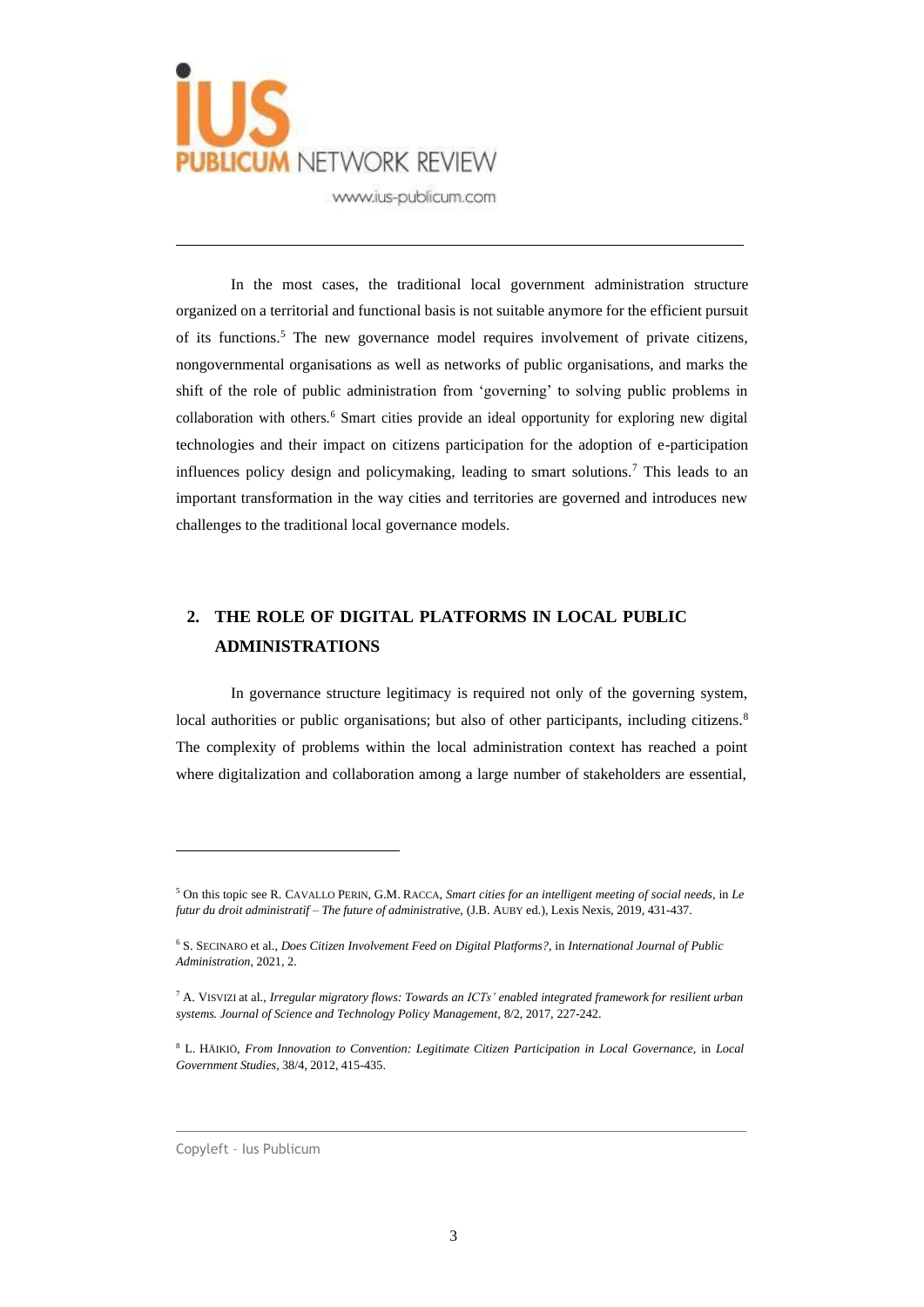

In the most cases, the traditional local government administration structure organized on a territorial and functional basis is not suitable anymore for the efficient pursuit of its functions.<sup>5</sup> The new governance model requires involvement of private citizens, nongovernmental organisations as well as networks of public organisations, and marks the shift of the role of public administration from 'governing' to solving public problems in collaboration with others.<sup>6</sup> Smart cities provide an ideal opportunity for exploring new digital technologies and their impact on citizens participation for the adoption of e-participation influences policy design and policymaking, leading to smart solutions.<sup>7</sup> This leads to an important transformation in the way cities and territories are governed and introduces new challenges to the traditional local governance models.

# **2. THE ROLE OF DIGITAL PLATFORMS IN LOCAL PUBLIC ADMINISTRATIONS**

In governance structure legitimacy is required not only of the governing system, local authorities or public organisations; but also of other participants, including citizens.<sup>8</sup> The complexity of problems within the local administration context has reached a point where digitalization and collaboration among a large number of stakeholders are essential,

<sup>5</sup> On this topic see R. CAVALLO PERIN, G.M. RACCA, *Smart cities for an intelligent meeting of social needs,* in *Le futur du droit administratif – The future of administrative,* (J.B. AUBY ed.), Lexis Nexis, 2019, 431-437.

<sup>6</sup> S. SECINARO et al., *Does Citizen Involvement Feed on Digital Platforms?,* in *International Journal of Public Administration,* 2021, 2.

<sup>7</sup> A. VISVIZI at al., *Irregular migratory flows: Towards an ICTs' enabled integrated framework for resilient urban systems. Journal of Science and Technology Policy Management,* 8/2, 2017, 227-242.

<sup>8</sup> L. HÄIKIÖ, *From Innovation to Convention: Legitimate Citizen Participation in Local Governance,* in *Local Government Studies*, 38/4, 2012, 415-435.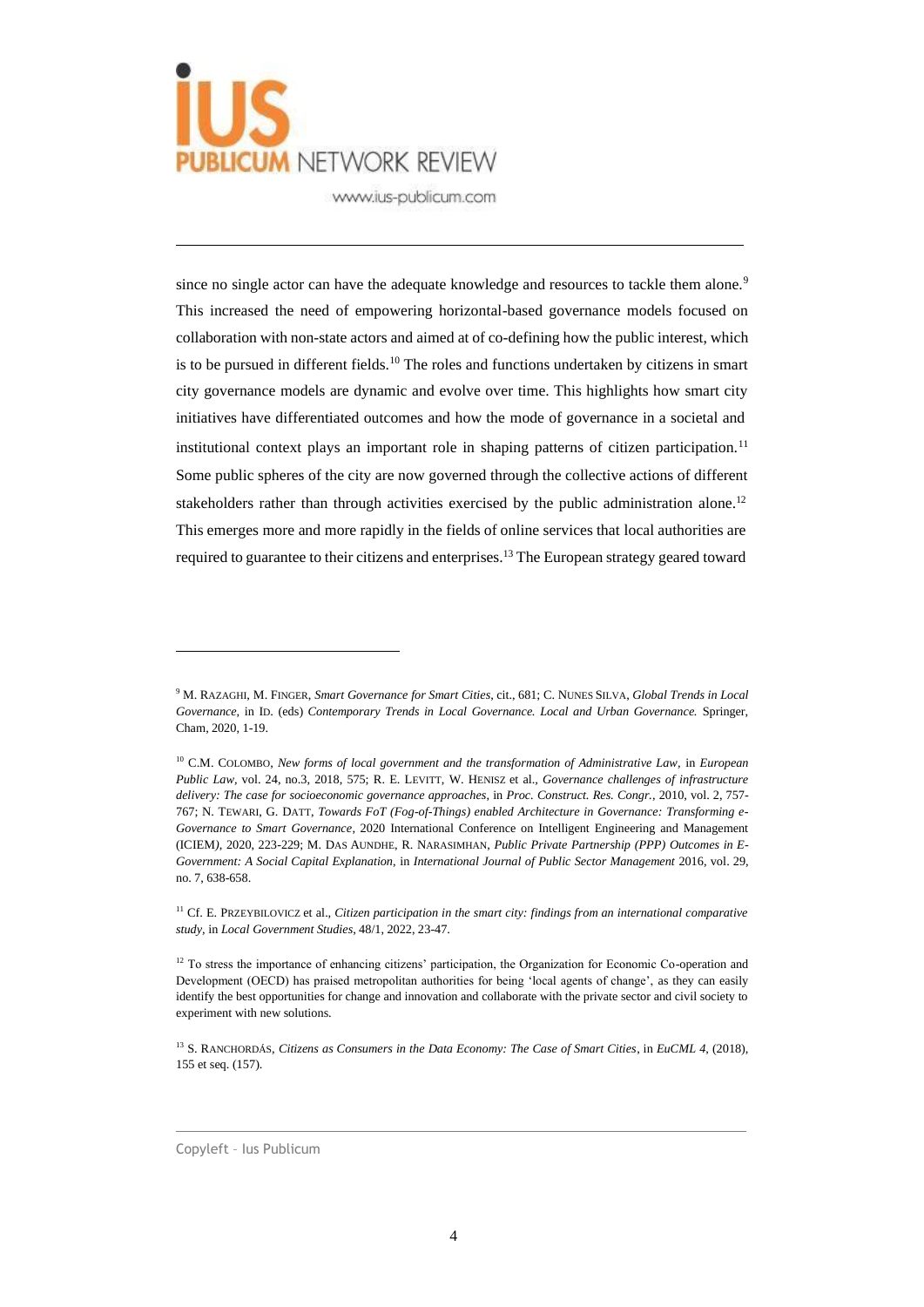

since no single actor can have the adequate knowledge and resources to tackle them alone.<sup>9</sup> This increased the need of empowering horizontal-based governance models focused on collaboration with non-state actors and aimed at of co-defining how the public interest, which is to be pursued in different fields.<sup>10</sup> The roles and functions undertaken by citizens in smart city governance models are dynamic and evolve over time. This highlights how smart city initiatives have differentiated outcomes and how the mode of governance in a societal and institutional context plays an important role in shaping patterns of citizen participation.<sup>11</sup> Some public spheres of the city are now governed through the collective actions of different stakeholders rather than through activities exercised by the public administration alone.<sup>12</sup> This emerges more and more rapidly in the fields of online services that local authorities are required to guarantee to their citizens and enterprises.<sup>13</sup> The European strategy geared toward

<sup>9</sup> M. RAZAGHI, M. FINGER, *Smart Governance for Smart Cities*, cit., 681; C. NUNES SILVA, *Global Trends in Local Governance,* in ID. (eds) *Contemporary Trends in Local Governance. Local and Urban Governance.* Springer, Cham, 2020, 1-19.

<sup>&</sup>lt;sup>10</sup> C.M. COLOMBO, *New forms of local government and the transformation of Administrative Law, in <i>European Public Law,* vol. 24, no.3, 2018, 575; R. E. LEVITT, W. HENISZ et al.*, Governance challenges of infrastructure delivery: The case for socioeconomic governance approaches*, in *Proc. Construct. Res. Congr.,* 2010, vol. 2, 757- 767; N. TEWARI, G. DATT, *Towards FoT (Fog-of-Things) enabled Architecture in Governance: Transforming e-Governance to Smart Governance*, 2020 International Conference on Intelligent Engineering and Management (ICIEM*)*, 2020, 223-229; M. DAS AUNDHE, R. NARASIMHAN, *Public Private Partnership (PPP) Outcomes in E-Government: A Social Capital Explanation,* in *International Journal of Public Sector Management* 2016, vol. 29, no. 7, 638-658.

<sup>11</sup> Cf. E. PRZEYBILOVICZ et al.*, Citizen participation in the smart city: findings from an international comparative study,* in *Local Government Studies*, 48/1, 2022, 23-47.

<sup>&</sup>lt;sup>12</sup> To stress the importance of enhancing citizens' participation, the Organization for Economic Co-operation and Development (OECD) has praised metropolitan authorities for being 'local agents of change', as they can easily identify the best opportunities for change and innovation and collaborate with the private sector and civil society to experiment with new solutions.

<sup>13</sup> S. RANCHORDÁS, *Citizens as Consumers in the Data Economy: The Case of Smart Cities*, in *EuCML 4*, (2018), 155 et seq. (157).

Copyleft – Ius Publicum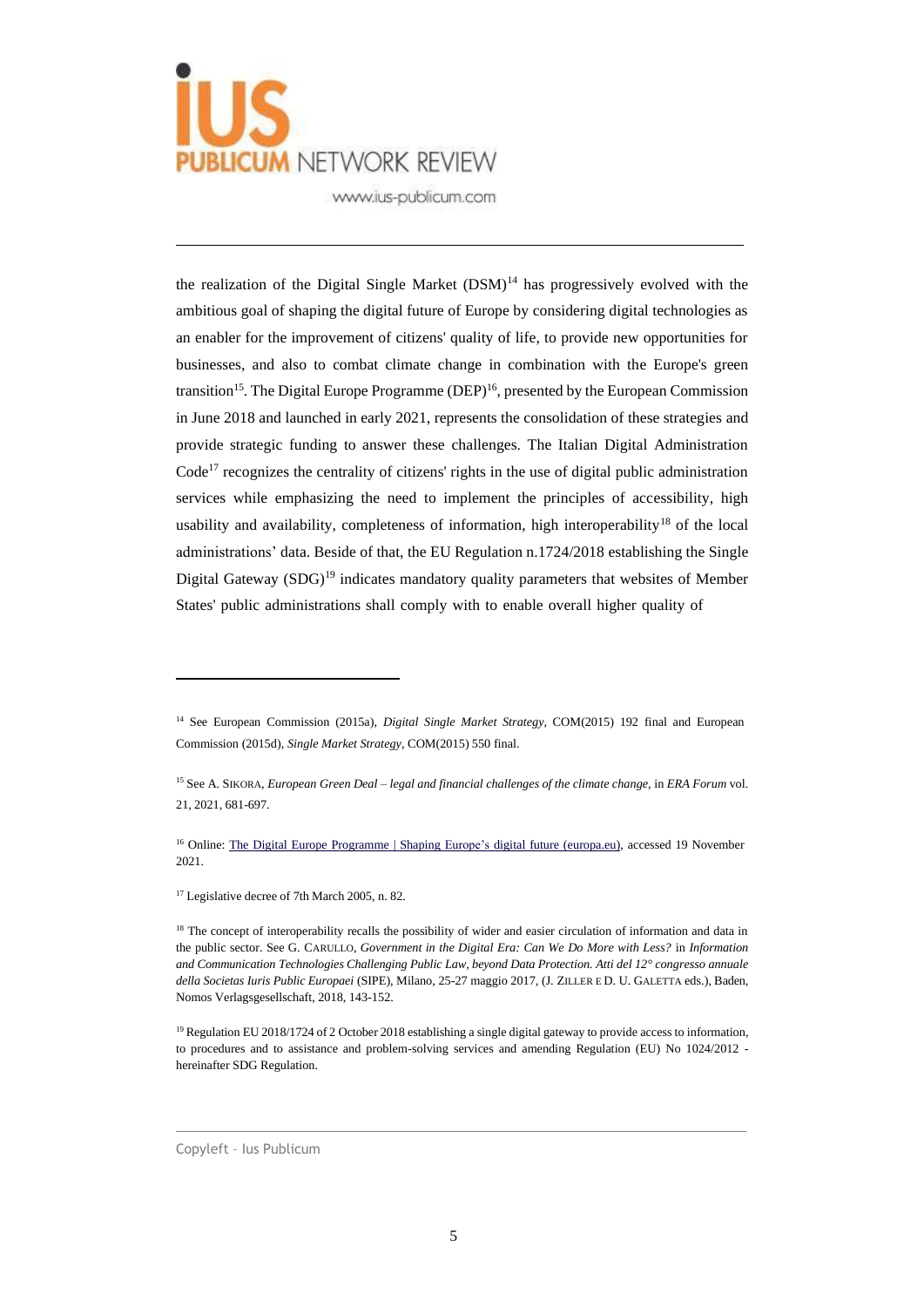

the realization of the Digital Single Market  $(DSM)^{14}$  has progressively evolved with the ambitious goal of shaping the digital future of Europe by considering digital technologies as an enabler for the improvement of citizens' quality of life, to provide new opportunities for businesses, and also to combat climate change in combination with the Europe's green transition<sup>15</sup>. The Digital Europe Programme (DEP)<sup>16</sup>, presented by the European Commission in June 2018 and launched in early 2021, represents the consolidation of these strategies and provide strategic funding to answer these challenges. The Italian Digital Administration Code<sup>17</sup> recognizes the centrality of citizens' rights in the use of digital public administration services while emphasizing the need to implement the principles of accessibility, high usability and availability, completeness of information, high interoperability<sup>18</sup> of the local administrations' data. Beside of that, the EU Regulation n.1724/2018 establishing the Single Digital Gateway (SDG)<sup>19</sup> indicates mandatory quality parameters that websites of Member States' public administrations shall comply with to enable overall higher quality of

<sup>14</sup> See European Commission (2015a), *Digital Single Market Strategy*, COM(2015) 192 final and European Commission (2015d), *Single Market Strategy,* COM(2015) 550 final.

<sup>15</sup> See A. SIKORA, *European Green Deal – legal and financial challenges of the climate change,* in *ERA Forum* vol. 21, 2021, 681-697.

<sup>&</sup>lt;sup>16</sup> Online: The Digital Europe Programme | Shaping Europe's digital future [\(europa.eu\),](https://digital-strategy.ec.europa.eu/en/activities/digital-programme) accessed 19 November 2021.

<sup>&</sup>lt;sup>17</sup> Legislative decree of 7th March 2005, n. 82.

<sup>&</sup>lt;sup>18</sup> The concept of interoperability recalls the possibility of wider and easier circulation of information and data in the public sector. See G. CARULLO, *Government in the Digital Era: Can We Do More with Less?* in *Information and Communication Technologies Challenging Public Law, beyond Data Protection. Atti del 12° congresso annuale della Societas Iuris Public Europaei* (SIPE), Milano, 25-27 maggio 2017, (J. ZILLER E D. U. GALETTA eds.), Baden, Nomos Verlagsgesellschaft, 2018, 143-152.

<sup>&</sup>lt;sup>19</sup> Regulation EU 2018/1724 of 2 October 2018 establishing a single digital gateway to provide access to information, to procedures and to assistance and problem-solving services and amending Regulation (EU) No 1024/2012 hereinafter SDG Regulation.

Copyleft – Ius Publicum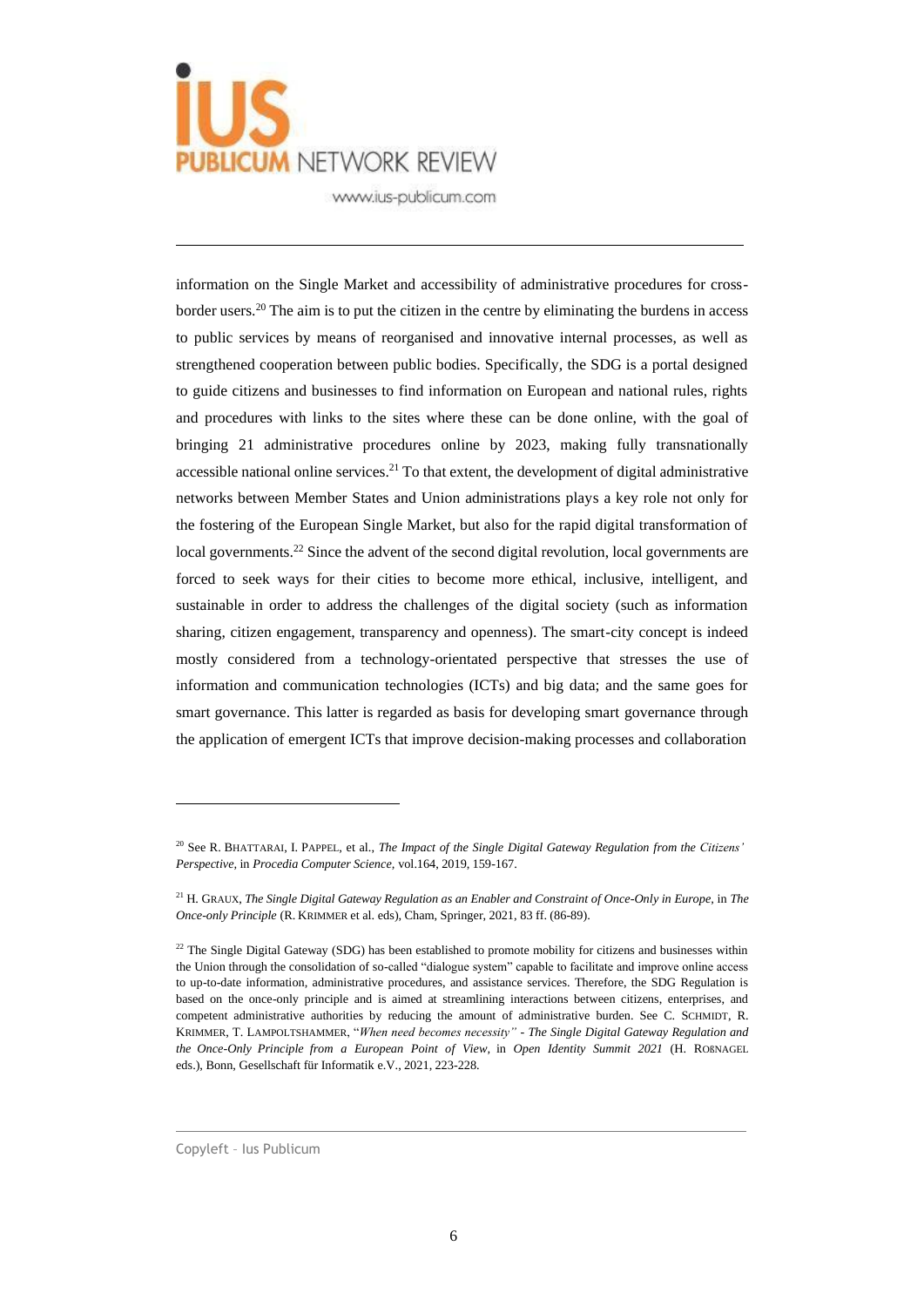

information on the Single Market and accessibility of administrative procedures for crossborder users.<sup>20</sup> The aim is to put the citizen in the centre by eliminating the burdens in access to public services by means of reorganised and innovative internal processes, as well as strengthened cooperation between public bodies. Specifically, the SDG is a portal designed to guide citizens and businesses to find information on European and national rules, rights and procedures with links to the sites where these can be done online, with the goal of bringing 21 administrative procedures online by 2023, making fully transnationally accessible national online services.<sup>21</sup> To that extent, the development of digital administrative networks between Member States and Union administrations plays a key role not only for the fostering of the European Single Market, but also for the rapid digital transformation of local governments.<sup>22</sup> Since the advent of the second digital revolution, local governments are forced to seek ways for their cities to become more ethical, inclusive, intelligent, and sustainable in order to address the challenges of the digital society (such as information sharing, citizen engagement, transparency and openness). The smart-city concept is indeed mostly considered from a technology-orientated perspective that stresses the use of information and communication technologies (ICTs) and big data; and the same goes for smart governance. This latter is regarded as basis for developing smart governance through the application of emergent ICTs that improve decision-making processes and collaboration

<sup>20</sup> See R. BHATTARAI, I. PAPPEL, et al., *The Impact of the Single Digital Gateway Regulation from the Citizens' Perspective,* in *Procedia Computer Science,* vol.164, 2019, 159-167.

<sup>21</sup> H. GRAUX, *The Single Digital Gateway Regulation as an Enabler and Constraint of Once-Only in Europe,* in *The Once-only Principle* (R. KRIMMER et al. eds), Cham, Springer, 2021, 83 ff. (86-89).

 $22$  The Single Digital Gateway (SDG) has been established to promote mobility for citizens and businesses within the Union through the consolidation of so-called "dialogue system" capable to facilitate and improve online access to up-to-date information, administrative procedures, and assistance services. Therefore, the SDG Regulation is based on the once-only principle and is aimed at streamlining interactions between citizens, enterprises, and competent administrative authorities by reducing the amount of administrative burden. See C. SCHMIDT, R. KRIMMER, T. LAMPOLTSHAMMER, "*When need becomes necessity" - The Single Digital Gateway Regulation and the Once-Only Principle from a European Point of View,* in *Open Identity Summit 2021* (H. ROßNAGEL eds.), Bonn, Gesellschaft für Informatik e.V., 2021, 223-228.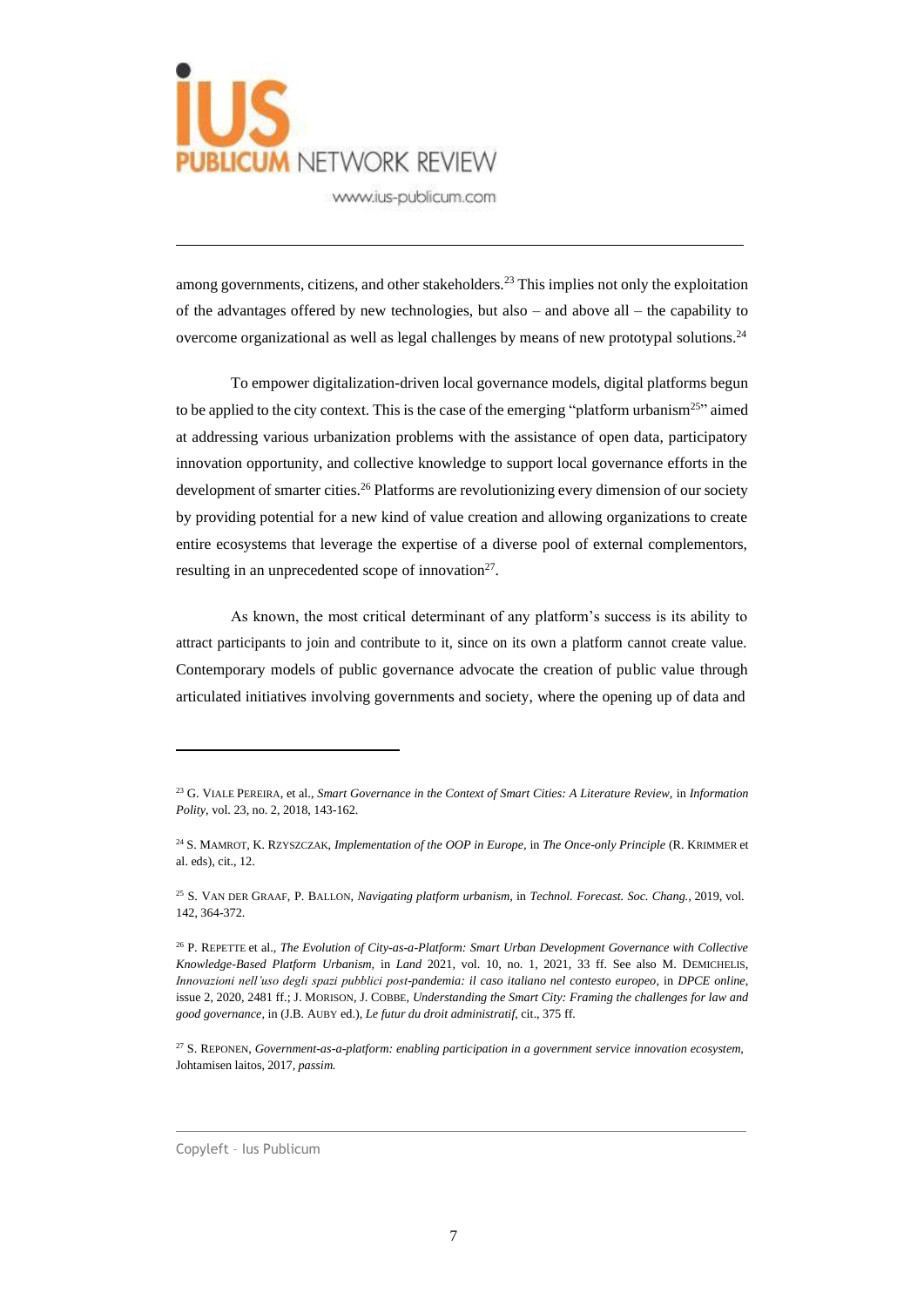

among governments, citizens, and other stakeholders.<sup>23</sup> This implies not only the exploitation of the advantages offered by new technologies, but also – and above all – the capability to overcome organizational as well as legal challenges by means of new prototypal solutions.<sup>24</sup>

To empower digitalization-driven local governance models, digital platforms begun to be applied to the city context. This is the case of the emerging "platform urbanism<sup>25</sup>" aimed at addressing various urbanization problems with the assistance of open data, participatory innovation opportunity, and collective knowledge to support local governance efforts in the development of smarter cities.<sup>26</sup> Platforms are revolutionizing every dimension of our society by providing potential for a new kind of value creation and allowing organizations to create entire ecosystems that leverage the expertise of a diverse pool of external complementors, resulting in an unprecedented scope of innovation<sup>27</sup>.

As known, the most critical determinant of any platform's success is its ability to attract participants to join and contribute to it, since on its own a platform cannot create value. Contemporary models of public governance advocate the creation of public value through articulated initiatives involving governments and society, where the opening up of data and

<sup>23</sup> G. VIALE PEREIRA, et al., *Smart Governance in the Context of Smart Cities: A Literature Review,* in *Information Polity*, vol. 23, no. 2, 2018, 143-162.

<sup>24</sup> S. MAMROT, K. RZYSZCZAK, *Implementation of the OOP in Europe,* in *The Once-only Principle* (R. KRIMMER et al. eds)*,* cit., 12.

<sup>25</sup> S. VAN DER GRAAF, P. BALLON*, Navigating platform urbanism*, in *Technol. Forecast. Soc. Chang.,* 2019, vol. 142, 364-372.

<sup>26</sup> P. REPETTE et al., *The Evolution of City-as-a-Platform: Smart Urban Development Governance with Collective Knowledge-Based Platform Urbanism,* in *Land* 2021, vol. 10, no. 1, 2021, 33 ff. See also M. DEMICHELIS, *Innovazioni nell'uso degli spazi pubblici post-pandemia: il caso italiano nel contesto europeo*, in *DPCE online*, issue 2, 2020, 2481 ff.; J. MORISON, J. COBBE, *Understanding the Smart City: Framing the challenges for law and good governance,* in (J.B. AUBY ed.), *Le futur du droit administratif*, cit., 375 ff.

<sup>27</sup> S. REPONEN, *Government-as-a-platform: enabling participation in a government service innovation ecosystem,* Johtamisen laitos, 2017*, passim.*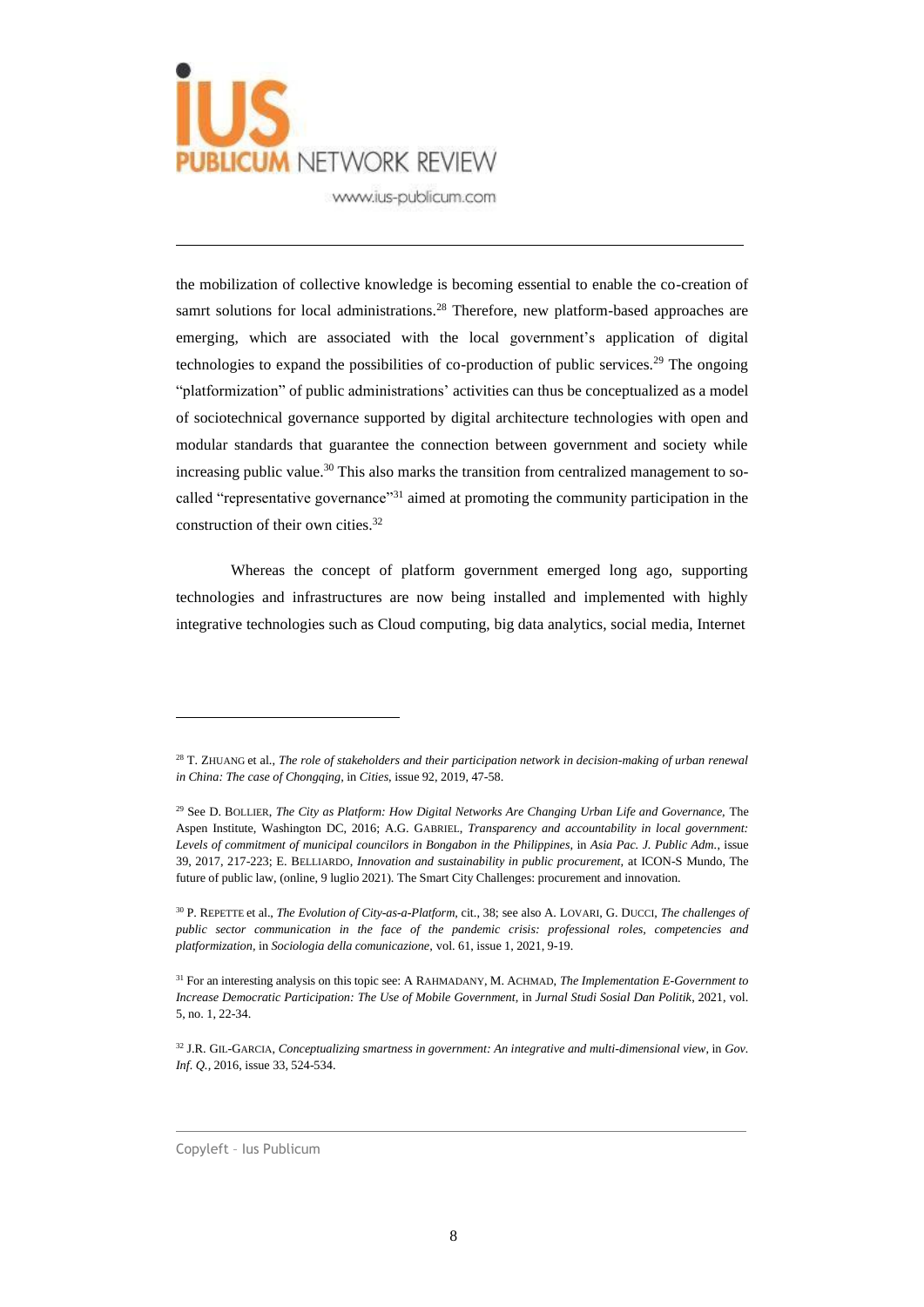

the mobilization of collective knowledge is becoming essential to enable the co-creation of samrt solutions for local administrations.<sup>28</sup> Therefore, new platform-based approaches are emerging, which are associated with the local government's application of digital technologies to expand the possibilities of co-production of public services.<sup>29</sup> The ongoing "platformization" of public administrations' activities can thus be conceptualized as a model of sociotechnical governance supported by digital architecture technologies with open and modular standards that guarantee the connection between government and society while increasing public value.<sup>30</sup> This also marks the transition from centralized management to socalled "representative governance"<sup>31</sup> aimed at promoting the community participation in the construction of their own cities.<sup>32</sup>

Whereas the concept of platform government emerged long ago, supporting technologies and infrastructures are now being installed and implemented with highly integrative technologies such as Cloud computing, big data analytics, social media, Internet

<sup>28</sup> T. ZHUANG et al., *The role of stakeholders and their participation network in decision-making of urban renewal in China: The case of Chongqing,* in *Cities*, issue 92, 2019, 47-58.

<sup>&</sup>lt;sup>29</sup> See D. BOLLIER, *The City as Platform: How Digital Networks Are Changing Urban Life and Governance. The* Aspen Institute, Washington DC, 2016; A.G. GABRIEL, *Transparency and accountability in local government: Levels of commitment of municipal councilors in Bongabon in the Philippines,* in *Asia Pac. J. Public Adm.*, issue 39, 2017, 217-223; E. BELLIARDO, *Innovation and sustainability in public procurement,* at ICON-S Mundo, The future of public law, (online, 9 luglio 2021). The Smart City Challenges: procurement and innovation.

<sup>30</sup> P. REPETTE et al., *The Evolution of City-as-a-Platform,* cit., 38; see also A. LOVARI, G. DUCCI, *The challenges of public sector communication in the face of the pandemic crisis: professional roles, competencies and platformization,* in *Sociologia della comunicazione,* vol. 61, issue 1, 2021, 9-19.

<sup>31</sup> For an interesting analysis on this topic see: A RAHMADANY, M. ACHMAD, *The Implementation E-Government to Increase Democratic Participation: The Use of Mobile Government,* in *Jurnal Studi Sosial Dan Politik*, 2021, vol. 5, no. 1, 22-34.

<sup>32</sup> J.R. GIL-GARCIA, *Conceptualizing smartness in government: An integrative and multi-dimensional view*, in *Gov. Inf. Q.,* 2016, issue 33, 524-534.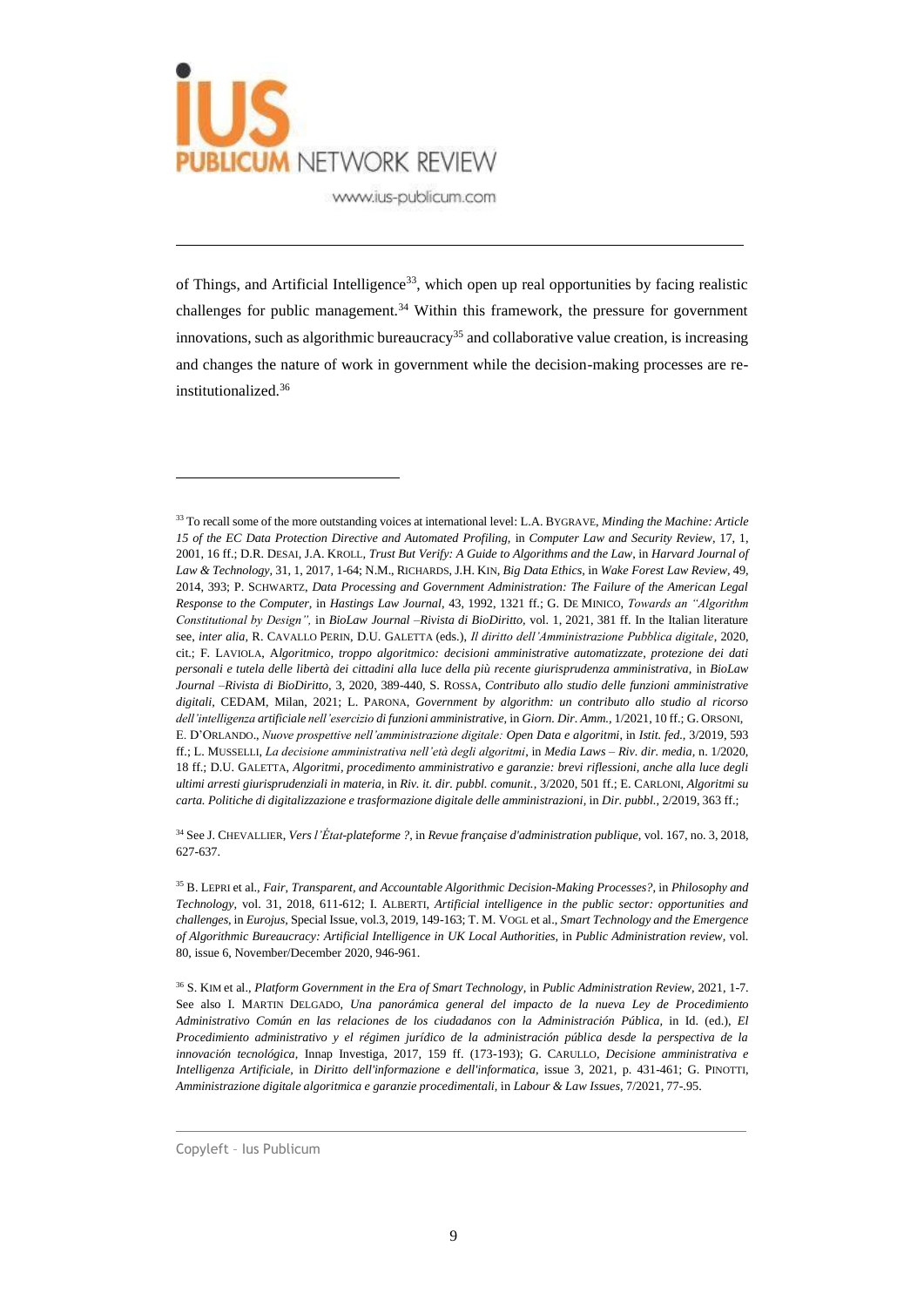

of Things, and Artificial Intelligence<sup>33</sup>, which open up real opportunities by facing realistic challenges for public management.<sup>34</sup> Within this framework, the pressure for government innovations, such as algorithmic bureaucracy<sup>35</sup> and collaborative value creation, is increasing and changes the nature of work in government while the decision-making processes are reinstitutionalized.<sup>36</sup>

<sup>34</sup> See J. CHEVALLIER, *Vers l'État-plateforme ?,* in *Revue française d'administration publique,* vol. 167, no. 3, 2018, 627-637.

<sup>35</sup> B. LEPRI et al., *Fair, Transparent, and Accountable Algorithmic Decision-Making Processes?,* in *Philosophy and Technology,* vol. 31, 2018, 611-612; I. ALBERTI, *Artificial intelligence in the public sector: opportunities and challenges*, in *Eurojus,* Special Issue, vol.3, 2019, 149-163; T. M. VOGL et al., *Smart Technology and the Emergence of Algorithmic Bureaucracy: Artificial Intelligence in UK Local Authorities,* in *Public Administration review,* vol. 80, issue 6, November/December 2020, 946-961.

<sup>36</sup> S. KIM et al., *Platform Government in the Era of Smart Technology,* in *Public Administration Review,* 2021, 1-7. See also I. MARTIN DELGADO, *Una panorámica general del impacto de la nueva Ley de Procedimiento Administrativo Común en las relaciones de los ciudadanos con la Administración Pública,* in Id. (ed.), *El Procedimiento administrativo y el régimen jurídico de la administración pública desde la perspectiva de la innovación tecnológica,* Innap Investiga, 2017, 159 ff. (173-193); G. CARULLO, *Decisione amministrativa e Intelligenza Artificiale,* in *Diritto dell'informazione e dell'informatica*, issue 3, 2021, p. 431-461; G. PINOTTI, *Amministrazione digitale algoritmica e garanzie procedimentali,* in *Labour & Law Issues,* 7/2021, 77-.95.

<sup>33</sup> To recall some of the more outstanding voices at international level: L.A. BYGRAVE, *Minding the Machine: Article 15 of the EC Data Protection Directive and Automated Profiling,* in *Computer Law and Security Review*, 17, 1, 2001, 16 ff.; D.R. DESAI, J.A. KROLL*, Trust But Verify: A Guide to Algorithms and the Law*, in *Harvard Journal of Law & Technology,* 31, 1, 2017, 1-64; N.M., RICHARDS, J.H. KIN, *Big Data Ethics,* in *Wake Forest Law Review,* 49, 2014, 393; P. SCHWARTZ, *Data Processing and Government Administration: The Failure of the American Legal Response to the Computer,* in *Hastings Law Journal*, 43, 1992, 1321 ff.; G. DE MINICO, *Towards an "Algorithm Constitutional by Design",* in *BioLaw Journal –Rivista di BioDiritto,* vol. 1, 2021, 381 ff. In the Italian literature see, *inter alia,* R. CAVALLO PERIN, D.U. GALETTA (eds.), *Il diritto dell'Amministrazione Pubblica digitale*, 2020, cit.; F. LAVIOLA, A*lgoritmico, troppo algoritmico: decisioni amministrative automatizzate, protezione dei dati personali e tutela delle libertà dei cittadini alla luce della più recente giurisprudenza amministrativa,* in *BioLaw Journal –Rivista di BioDiritto,* 3, 2020, 389-440, S. ROSSA, *Contributo allo studio delle funzioni amministrative digitali,* CEDAM, Milan, 2021; L. PARONA, *Government by algorithm: un contributo allo studio al ricorso dell'intelligenza artificiale nell'esercizio di funzioni amministrative,* in *Giorn. Dir. Amm.,* 1/2021, 10 ff.; G. ORSONI, E. D'ORLANDO., *Nuove prospettive nell'amministrazione digitale: Open Data e algoritmi*, in *Istit. fed.,* 3/2019, 593 ff.; L. MUSSELLI, *La decisione amministrativa nell'età degli algoritmi*, in *Media Laws – Riv. dir. media,* n. 1/2020, 18 ff.; D.U. GALETTA, *Algoritmi, procedimento amministrativo e garanzie: brevi riflessioni, anche alla luce degli ultimi arresti giurisprudenziali in materia,* in *Riv. it. dir. pubbl. comunit.,* 3/2020, 501 ff.; E. CARLONI, *Algoritmi su carta. Politiche di digitalizzazione e trasformazione digitale delle amministrazioni,* in *Dir. pubbl.,* 2/2019, 363 ff.;

Copyleft – Ius Publicum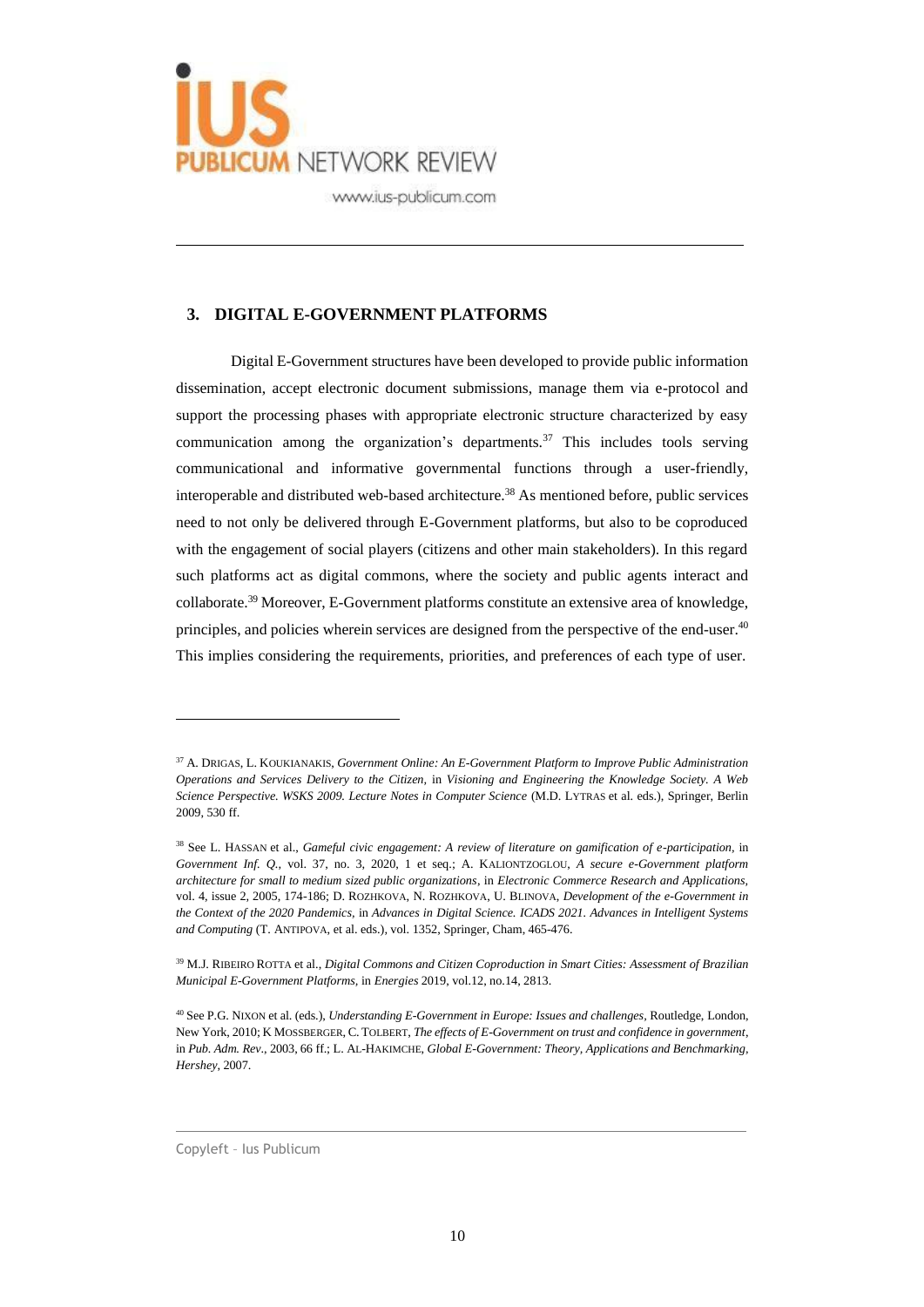

### **3. DIGITAL E-GOVERNMENT PLATFORMS**

Digital E-Government structures have been developed to provide public information dissemination, accept electronic document submissions, manage them via e-protocol and support the processing phases with appropriate electronic structure characterized by easy communication among the organization's departments.<sup>37</sup> This includes tools serving communicational and informative governmental functions through a user-friendly, interoperable and distributed web-based architecture.<sup>38</sup> As mentioned before, public services need to not only be delivered through E-Government platforms, but also to be coproduced with the engagement of social players (citizens and other main stakeholders). In this regard such platforms act as digital commons, where the society and public agents interact and collaborate.<sup>39</sup> Moreover, E-Government platforms constitute an extensive area of knowledge, principles, and policies wherein services are designed from the perspective of the end-user.<sup>40</sup> This implies considering the requirements, priorities, and preferences of each type of user.

<sup>37</sup> A. DRIGAS, L. KOUKIANAKIS, *Government Online: An E-Government Platform to Improve Public Administration Operations and Services Delivery to the Citizen,* in *Visioning and Engineering the Knowledge Society. A Web Science Perspective. WSKS 2009. Lecture Notes in Computer Science* (M.D. LYTRAS et al. eds.), Springer, Berlin 2009, 530 ff.

<sup>38</sup> See L. HASSAN et al., *Gameful civic engagement: A review of literature on gamification of e-participation,* in *Government Inf. Q.,* vol. 37, no. 3, 2020, 1 et seq.; A. KALIONTZOGLOU, *A secure e-Government platform architecture for small to medium sized public organizations*, in *Electronic Commerce Research and Applications,* vol. 4, issue 2, 2005, 174-186; D. ROZHKOVA, N. ROZHKOVA, U. BLINOVA, *Development of the e-Government in the Context of the 2020 Pandemics,* in *Advances in Digital Science. ICADS 2021. Advances in Intelligent Systems and Computing* (T. ANTIPOVA, et al. eds.)*,* vol. 1352, Springer, Cham, 465-476.

<sup>39</sup> M.J. RIBEIRO ROTTA et al., *Digital Commons and Citizen Coproduction in Smart Cities: Assessment of Brazilian Municipal E-Government Platforms,* in *Energies* 2019, vol.12, no.14, 2813.

<sup>40</sup> See P.G. NIXON et al. (eds.), *Understanding E-Government in Europe: Issues and challenges,* Routledge, London, New York, 2010; K MOSSBERGER, C. TOLBERT, *The effects of E-Government on trust and confidence in government*, in *Pub. Adm. Rev*., 2003, 66 ff.; L. AL-HAKIMCHE, *Global E-Government: Theory, Applications and Benchmarking, Hershey*, 2007.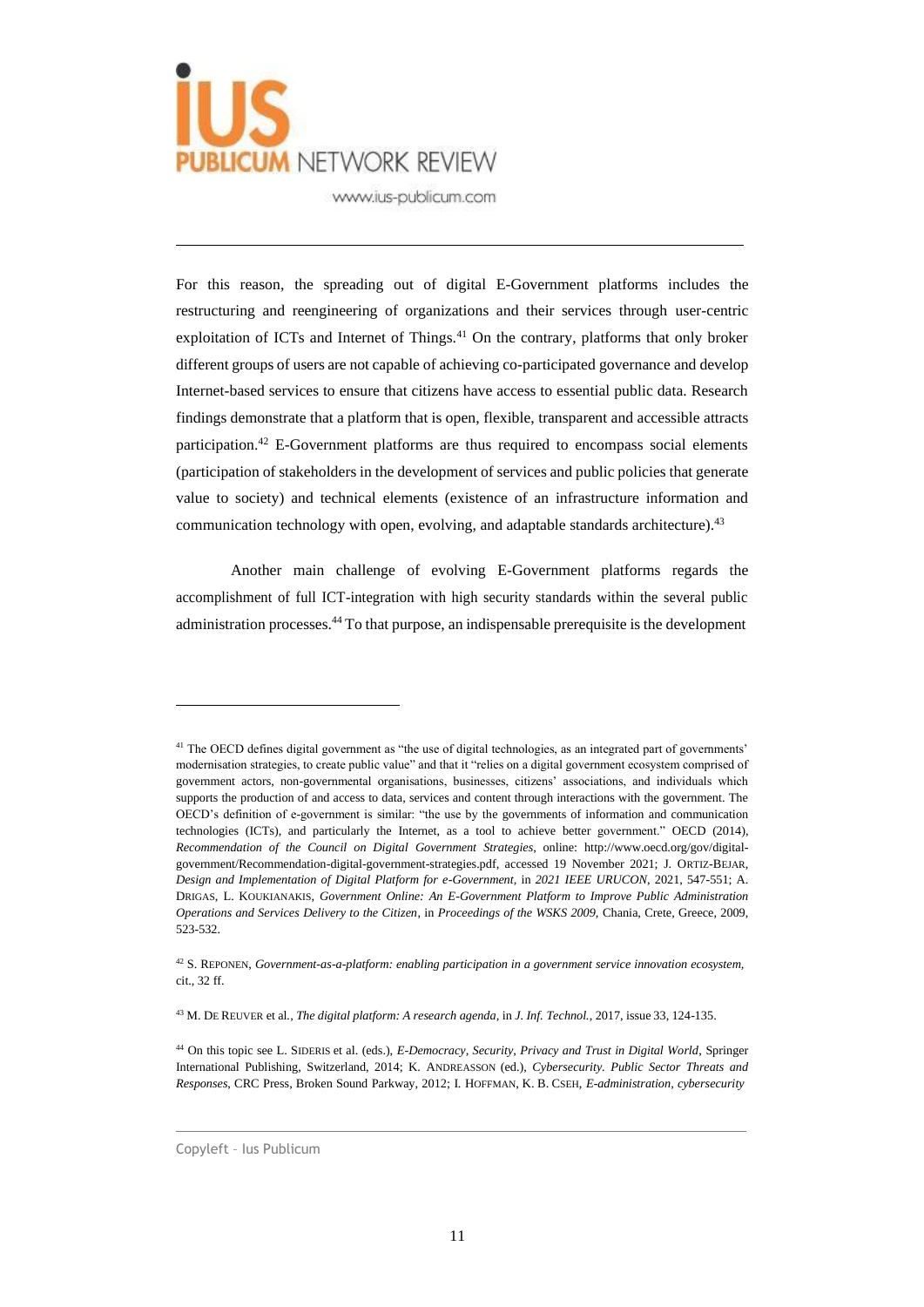

For this reason, the spreading out of digital E-Government platforms includes the restructuring and reengineering of organizations and their services through user-centric exploitation of ICTs and Internet of Things.<sup>41</sup> On the contrary, platforms that only broker different groups of users are not capable of achieving co-participated governance and develop Internet-based services to ensure that citizens have access to essential public data. Research findings demonstrate that a platform that is open, flexible, transparent and accessible attracts participation.<sup>42</sup> E-Government platforms are thus required to encompass social elements (participation of stakeholders in the development of services and public policies that generate value to society) and technical elements (existence of an infrastructure information and communication technology with open, evolving, and adaptable standards architecture).<sup>43</sup>

Another main challenge of evolving E-Government platforms regards the accomplishment of full ICT-integration with high security standards within the several public administration processes.<sup>44</sup> To that purpose, an indispensable prerequisite is the development

<sup>&</sup>lt;sup>41</sup> The OECD defines digital government as "the use of digital technologies, as an integrated part of governments' modernisation strategies, to create public value" and that it "relies on a digital government ecosystem comprised of government actors, non-governmental organisations, businesses, citizens' associations, and individuals which supports the production of and access to data, services and content through interactions with the government. The OECD's definition of e-government is similar: "the use by the governments of information and communication technologies (ICTs), and particularly the Internet, as a tool to achieve better government." OECD (2014), *Recommendation of the Council on Digital Government Strategies,* online: [http://www.oecd.org/gov/digital](http://www.oecd.org/gov/digital-)government/Recommendation-digital-government-strategies.pdf, accessed 19 November 2021; J. ORTIZ-BEJAR*, Design and Implementation of Digital Platform for e-Government,* in *2021 IEEE URUCON*, 2021, 547-551; A. DRIGAS, L. KOUKIANAKIS, *Government Online: An E-Government Platform to Improve Public Administration Operations and Services Delivery to the Citizen*, in *Proceedings of the WSKS 2009,* Chania, Crete, Greece, 2009, 523-532.

<sup>42</sup> S. REPONEN, *Government-as-a-platform: enabling participation in a government service innovation ecosystem,* cit., 32 ff.

<sup>43</sup> M. DE REUVER et al*., The digital platform: A research agenda,* in *J. Inf. Technol.*, 2017, issue 33, 124-135.

<sup>44</sup> On this topic see L. SIDERIS et al. (eds.), *E*-*Democracy, Security, Privacy and Trust in Digital World*, Springer International Publishing, Switzerland, 2014; K. ANDREASSON (ed.), *Cybersecurity. Public Sector Threats and Responses*, CRC Press, Broken Sound Parkway, 2012; I. HOFFMAN, K. B. CSEH, *E-administration, cybersecurity*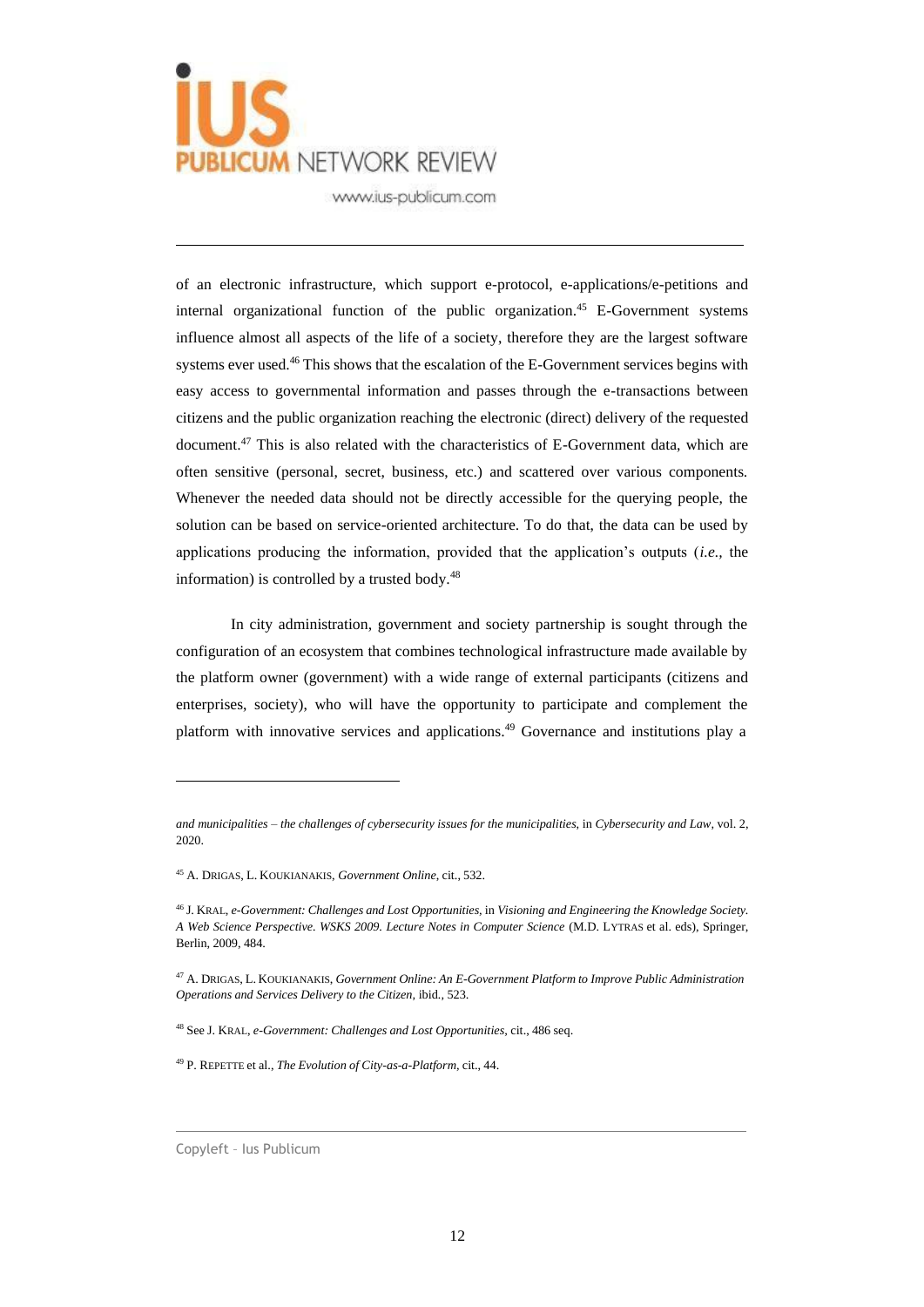

of an electronic infrastructure, which support e-protocol, e-applications/e-petitions and internal organizational function of the public organization.<sup>45</sup> E-Government systems influence almost all aspects of the life of a society, therefore they are the largest software systems ever used.<sup>46</sup> This shows that the escalation of the E-Government services begins with easy access to governmental information and passes through the e-transactions between citizens and the public organization reaching the electronic (direct) delivery of the requested document.<sup>47</sup> This is also related with the characteristics of E-Government data, which are often sensitive (personal, secret, business, etc.) and scattered over various components. Whenever the needed data should not be directly accessible for the querying people, the solution can be based on service-oriented architecture. To do that, the data can be used by applications producing the information, provided that the application's outputs (*i.e.,* the information) is controlled by a trusted body.<sup>48</sup>

In city administration, government and society partnership is sought through the configuration of an ecosystem that combines technological infrastructure made available by the platform owner (government) with a wide range of external participants (citizens and enterprises, society), who will have the opportunity to participate and complement the platform with innovative services and applications.<sup>49</sup> Governance and institutions play a

<sup>48</sup> See J. KRAL, *e-Government: Challenges and Lost Opportunities,* cit., 486 seq.

<sup>49</sup> P. REPETTE et al., *The Evolution of City-as-a-Platform,* cit., 44.

*and municipalities – the challenges of cybersecurity issues for the municipalities*, in *Cybersecurity and Law,* vol. 2, 2020.

<sup>45</sup> A. DRIGAS, L. KOUKIANAKIS, *Government Online*, cit., 532.

<sup>46</sup> J. KRAL, *e-Government: Challenges and Lost Opportunities,* in *Visioning and Engineering the Knowledge Society. A Web Science Perspective. WSKS 2009. Lecture Notes in Computer Science* (M.D. LYTRAS et al. eds), Springer, Berlin, 2009, 484.

<sup>47</sup> A. DRIGAS, L. KOUKIANAKIS, *Government Online: An E-Government Platform to Improve Public Administration Operations and Services Delivery to the Citizen,* ibid*.,* 523.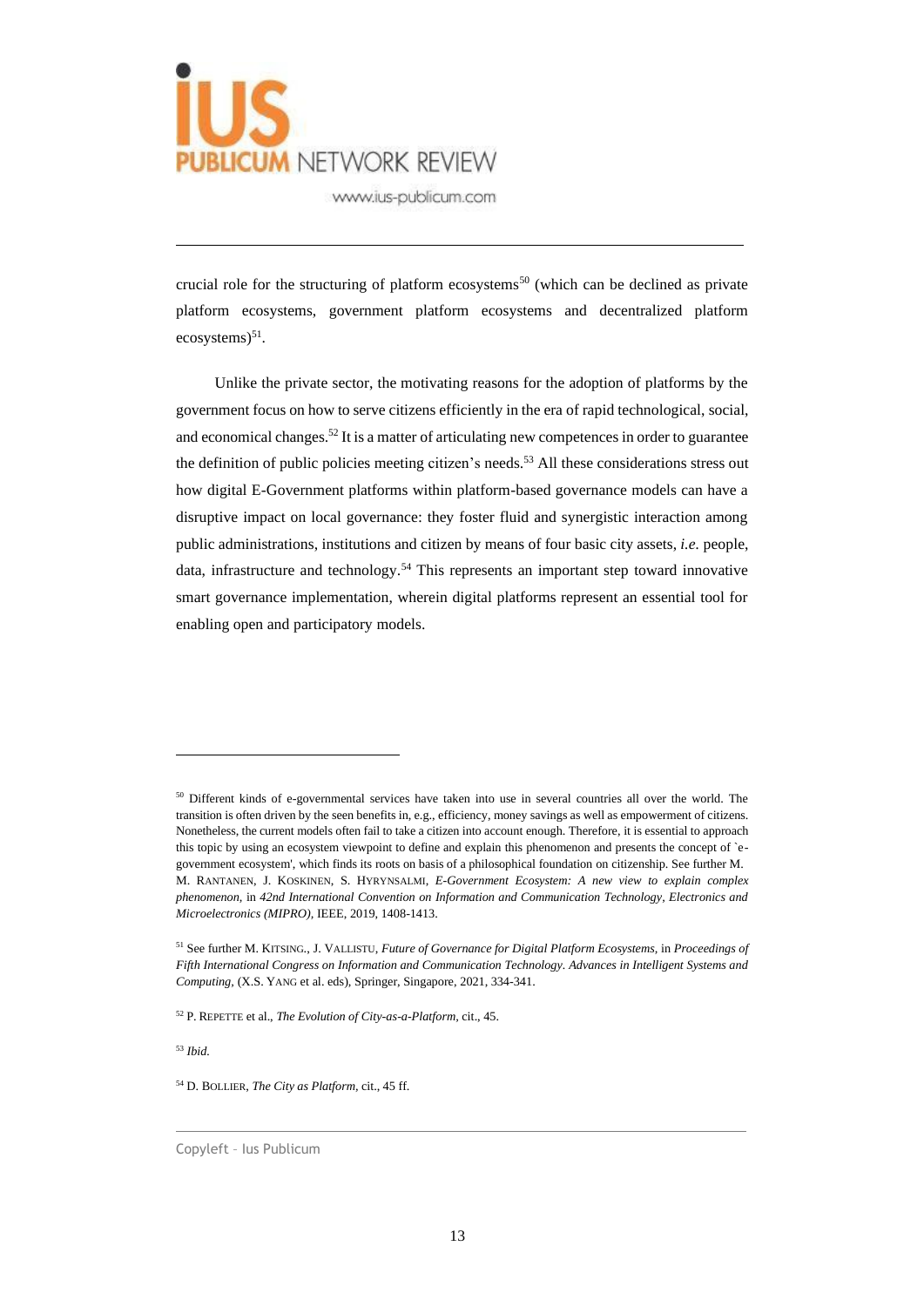

crucial role for the structuring of platform ecosystems<sup>50</sup> (which can be declined as private platform ecosystems, government platform ecosystems and decentralized platform ecosystems)<sup>51</sup>.

Unlike the private sector, the motivating reasons for the adoption of platforms by the government focus on how to serve citizens efficiently in the era of rapid technological, social, and economical changes.<sup>52</sup> It is a matter of articulating new competences in order to guarantee the definition of public policies meeting citizen's needs.<sup>53</sup> All these considerations stress out how digital E-Government platforms within platform-based governance models can have a disruptive impact on local governance: they foster fluid and synergistic interaction among public administrations, institutions and citizen by means of four basic city assets, *i.e.* people, data, infrastructure and technology.<sup>54</sup> This represents an important step toward innovative smart governance implementation, wherein digital platforms represent an essential tool for enabling open and participatory models.

<sup>53</sup> *Ibid.*

<sup>&</sup>lt;sup>50</sup> Different kinds of e-governmental services have taken into use in several countries all over the world. The transition is often driven by the seen benefits in, e.g., efficiency, money savings as well as empowerment of citizens. Nonetheless, the current models often fail to take a citizen into account enough. Therefore, it is essential to approach this topic by using an ecosystem viewpoint to define and explain this phenomenon and presents the concept of `egovernment ecosystem', which finds its roots on basis of a philosophical foundation on citizenship. See further M. M. RANTANEN, J. KOSKINEN, S. HYRYNSALMI, *E-Government Ecosystem: A new view to explain complex phenomenon,* in *42nd International Convention on Information and Communication Technology, Electronics and Microelectronics (MIPRO),* IEEE, 2019, 1408-1413.

<sup>51</sup> See further M. KITSING., J. VALLISTU, *Future of Governance for Digital Platform Ecosystems,* in *Proceedings of Fifth International Congress on Information and Communication Technology. Advances in Intelligent Systems and Computing,* (X.S. YANG et al. eds), Springer, Singapore, 2021, 334-341.

<sup>52</sup> P. REPETTE et al., *The Evolution of City-as-a-Platform,* cit., 45.

<sup>54</sup> D. BOLLIER, *The City as Platform,* cit., 45 ff.

Copyleft – Ius Publicum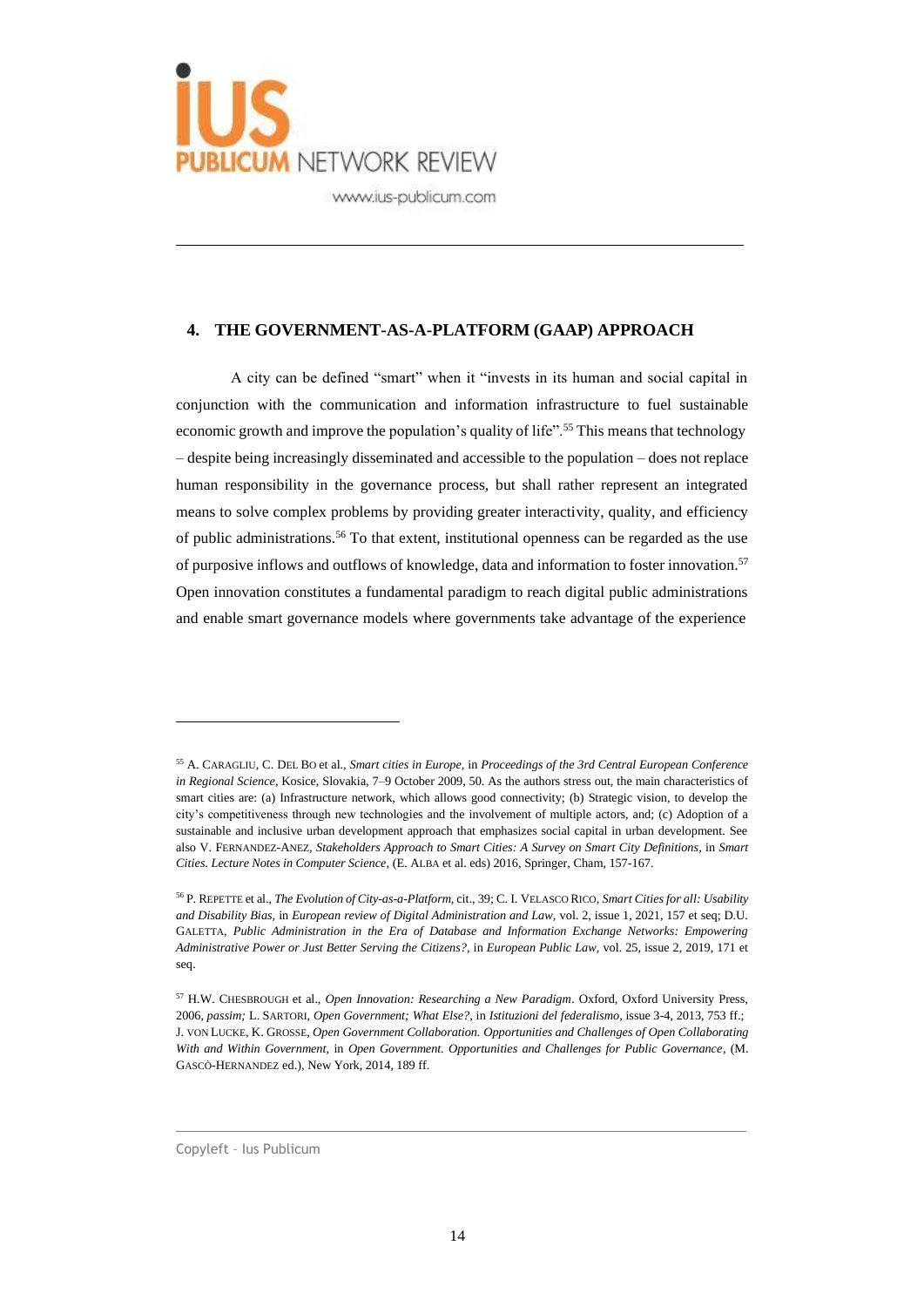

### **4. THE GOVERNMENT-AS-A-PLATFORM (GAAP) APPROACH**

A city can be defined "smart" when it "invests in its human and social capital in conjunction with the communication and information infrastructure to fuel sustainable economic growth and improve the population's quality of life".<sup>55</sup> This means that technology – despite being increasingly disseminated and accessible to the population – does not replace human responsibility in the governance process, but shall rather represent an integrated means to solve complex problems by providing greater interactivity, quality, and efficiency of public administrations.<sup>56</sup> To that extent, institutional openness can be regarded as the use of purposive inflows and outflows of knowledge, data and information to foster innovation.<sup>57</sup> Open innovation constitutes a fundamental paradigm to reach digital public administrations and enable smart governance models where governments take advantage of the experience

<sup>55</sup> A. CARAGLIU, C. DEL BO et al., *Smart cities in Europe,* in *Proceedings of the 3rd Central European Conference in Regional Science*, Kosice, Slovakia, 7–9 October 2009, 50. As the authors stress out, the main characteristics of smart cities are: (a) Infrastructure network, which allows good connectivity; (b) Strategic vision, to develop the city's competitiveness through new technologies and the involvement of multiple actors, and; (c) Adoption of a sustainable and inclusive urban development approach that emphasizes social capital in urban development. See also V. FERNANDEZ-ANEZ, *Stakeholders Approach to Smart Cities: A Survey on Smart City Definitions,* in *Smart Cities*. *Lecture Notes in Computer Science,* (E. ALBA et al. eds) 2016, Springer, Cham, 157-167.

<sup>56</sup> P. REPETTE et al., *The Evolution of City-as-a-Platform,* cit., 39; C. I. VELASCO RICO, *Smart Cities for all: Usability and Disability Bias,* in *European review of Digital Administration and Law,* vol. 2, issue 1, 2021, 157 et seq; D.U. GALETTA, *Public Administration in the Era of Database and Information Exchange Networks: Empowering Administrative Power or Just Better Serving the Citizens?,* in *European Public Law,* vol. 25, issue 2, 2019, 171 et seq.

<sup>57</sup> H.W. CHESBROUGH et al., *Open Innovation: Researching a New Paradigm*. Oxford, Oxford University Press, 2006, *passim;* L. SARTORI*, Open Government; What Else?,* in *Istituzioni del federalismo*, issue 3-4, 2013, 753 ff.; J. VON LUCKE, K. GROSSE, *Open Government Collaboration. Opportunities and Challenges of Open Collaborating With and Within Government,* in *Open Government. Opportunities and Challenges for Public Governance*, (M. GASCÒ-HERNANDEZ ed.), New York, 2014, 189 ff.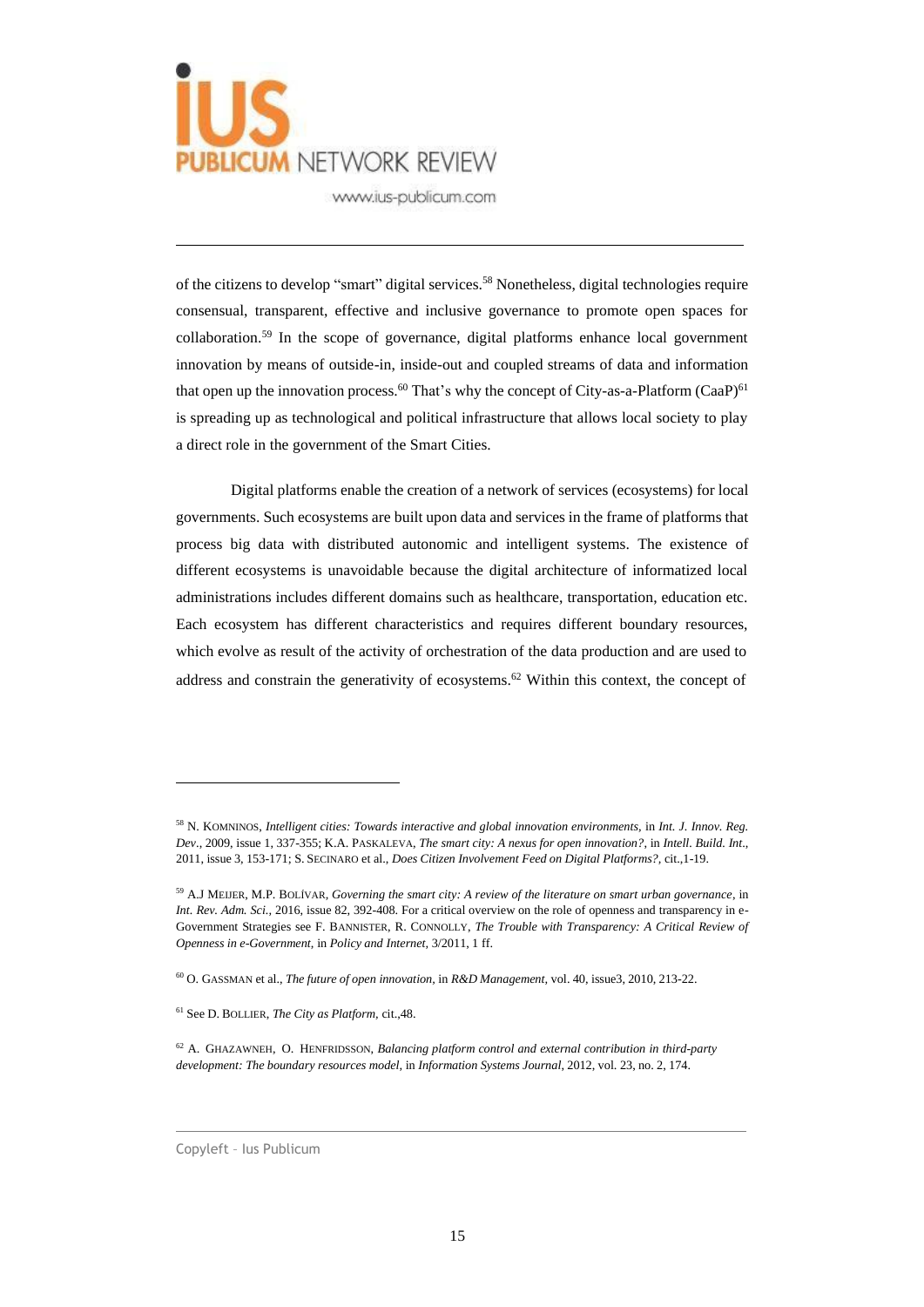

of the citizens to develop "smart" digital services.<sup>58</sup> Nonetheless, digital technologies require consensual, transparent, effective and inclusive governance to promote open spaces for collaboration.<sup>59</sup> In the scope of governance, digital platforms enhance local government innovation by means of outside-in, inside-out and coupled streams of data and information that open up the innovation process.<sup>60</sup> That's why the concept of City-as-a-Platform (CaaP)<sup>61</sup> is spreading up as technological and political infrastructure that allows local society to play a direct role in the government of the Smart Cities.

Digital platforms enable the creation of a network of services (ecosystems) for local governments. Such ecosystems are built upon data and services in the frame of platforms that process big data with distributed autonomic and intelligent systems. The existence of different ecosystems is unavoidable because the digital architecture of informatized local administrations includes different domains such as healthcare, transportation, education etc. Each ecosystem has different characteristics and requires different boundary resources, which evolve as result of the activity of orchestration of the data production and are used to address and constrain the generativity of ecosystems.<sup>62</sup> Within this context, the concept of

<sup>58</sup> N. KOMNINOS, *Intelligent cities: Towards interactive and global innovation environments,* in *Int. J. Innov. Reg. Dev*., 2009, issue 1, 337-355; K.A. PASKALEVA, *The smart city: A nexus for open innovation?*, in *Intell. Build. Int*., 2011, issue 3, 153-171; S. SECINARO et al., *Does Citizen Involvement Feed on Digital Platforms?,* cit.,1-19.

<sup>59</sup> A.J MEIJER, M.P. BOLÍVAR*, Governing the smart city: A review of the literature on smart urban governance*, in *Int. Rev. Adm. Sci.,* 2016, issue 82, 392-408. For a critical overview on the role of openness and transparency in e-Government Strategies see F. BANNISTER, R. CONNOLLY, *The Trouble with Transparency: A Critical Review of Openness in e-Government,* in *Policy and Internet,* 3/2011, 1 ff.

<sup>60</sup> O. GASSMAN et al., *The future of open innovation,* in *R&D Management,* vol. 40, issue3, 2010, 213-22.

<sup>61</sup> See D. BOLLIER, *The City as Platform,* cit.,48.

<sup>62</sup> A. GHAZAWNEH, O. HENFRIDSSON, *Balancing platform control and external contribution in third-party development: The boundary resources model,* in *Information Systems Journal*, 2012, vol. 23, no. 2, 174.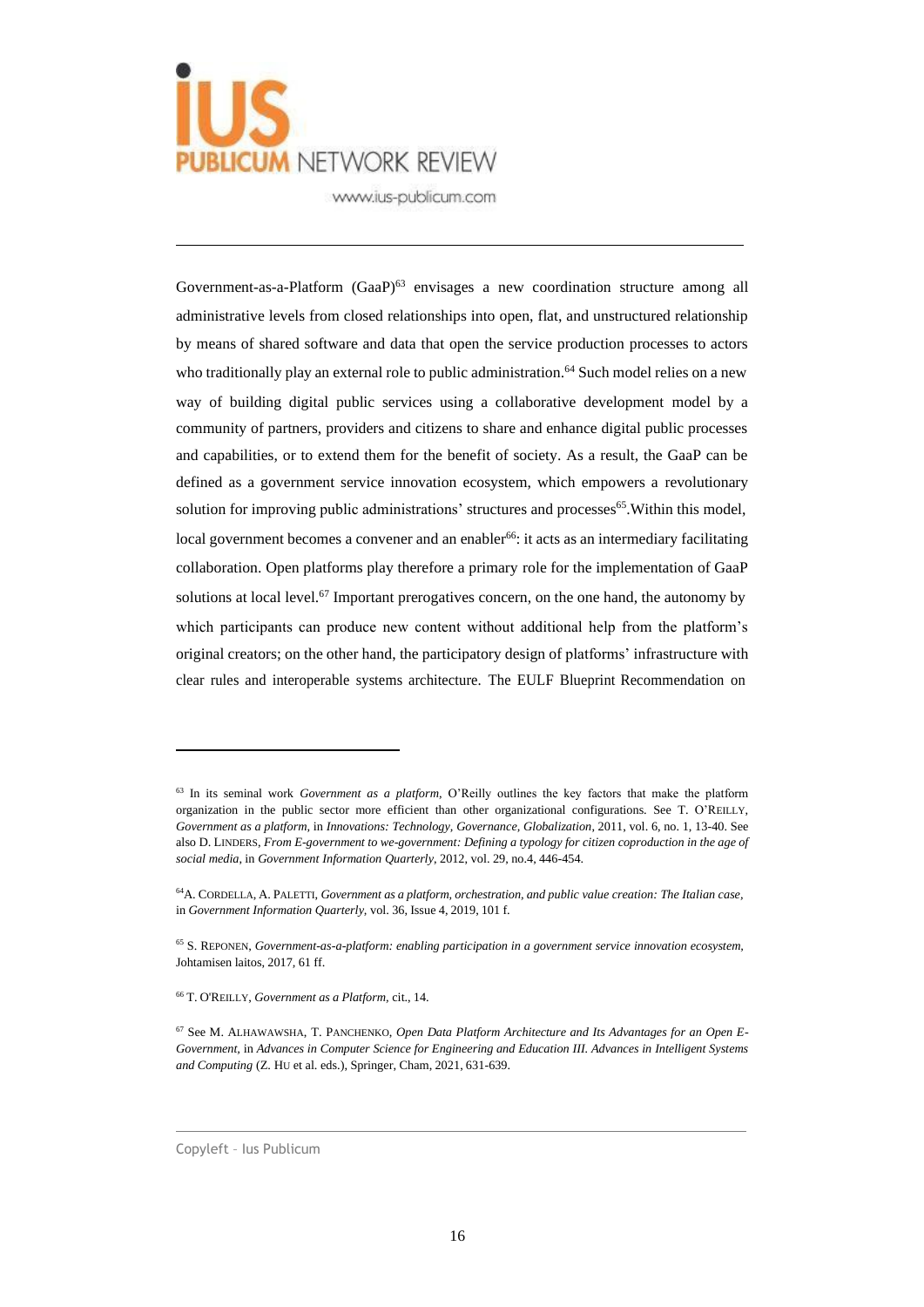

Government-as-a-Platform (GaaP)<sup>63</sup> envisages a new coordination structure among all administrative levels from closed relationships into open, flat, and unstructured relationship by means of shared software and data that open the service production processes to actors who traditionally play an external role to public administration.<sup>64</sup> Such model relies on a new way of building digital public services using a collaborative development model by a community of partners, providers and citizens to share and enhance digital public processes and capabilities, or to extend them for the benefit of society. As a result, the GaaP can be defined as a government service innovation ecosystem, which empowers a revolutionary solution for improving public administrations' structures and processes<sup>65</sup>. Within this model, local government becomes a convener and an enabler<sup>66</sup>: it acts as an intermediary facilitating collaboration. Open platforms play therefore a primary role for the implementation of GaaP solutions at local level.<sup>67</sup> Important prerogatives concern, on the one hand, the autonomy by which participants can produce new content without additional help from the platform's original creators; on the other hand, the participatory design of platforms' infrastructure with clear rules and interoperable systems architecture. The EULF Blueprint Recommendation on

<sup>63</sup> In its seminal work *Government as a platform,* O'Reilly outlines the key factors that make the platform organization in the public sector more efficient than other organizational configurations. See T. O'REILLY, *Government as a platform,* in *Innovations: Technology, Governance, Globalization*, 2011, vol. 6, no. 1, 13-40. See also D. LINDERS, *From E-government to we-government: Defining a typology for citizen coproduction in the age of social media*, in *Government Information Quarterly*, 2012, vol. 29, no.4, 446-454.

<sup>64</sup>A. CORDELLA, A. PALETTI, *Government as a platform, orchestration, and public value creation: The Italian case,* in *Government Information Quarterly,* vol. 36, Issue 4, 2019, 101 f.

<sup>65</sup> S. REPONEN, *Government-as-a-platform: enabling participation in a government service innovation ecosystem,* Johtamisen laitos, 2017*,* 61 ff.

<sup>66</sup> T. O'REILLY, *Government as a Platform,* cit., 14.

<sup>67</sup> See M. ALHAWAWSHA, T. PANCHENKO, *Open Data Platform Architecture and Its Advantages for an Open E-Government,* in *Advances in Computer Science for Engineering and Education III. Advances in Intelligent Systems and Computing* (Z. HU et al. eds.), Springer, Cham, 2021, 631-639.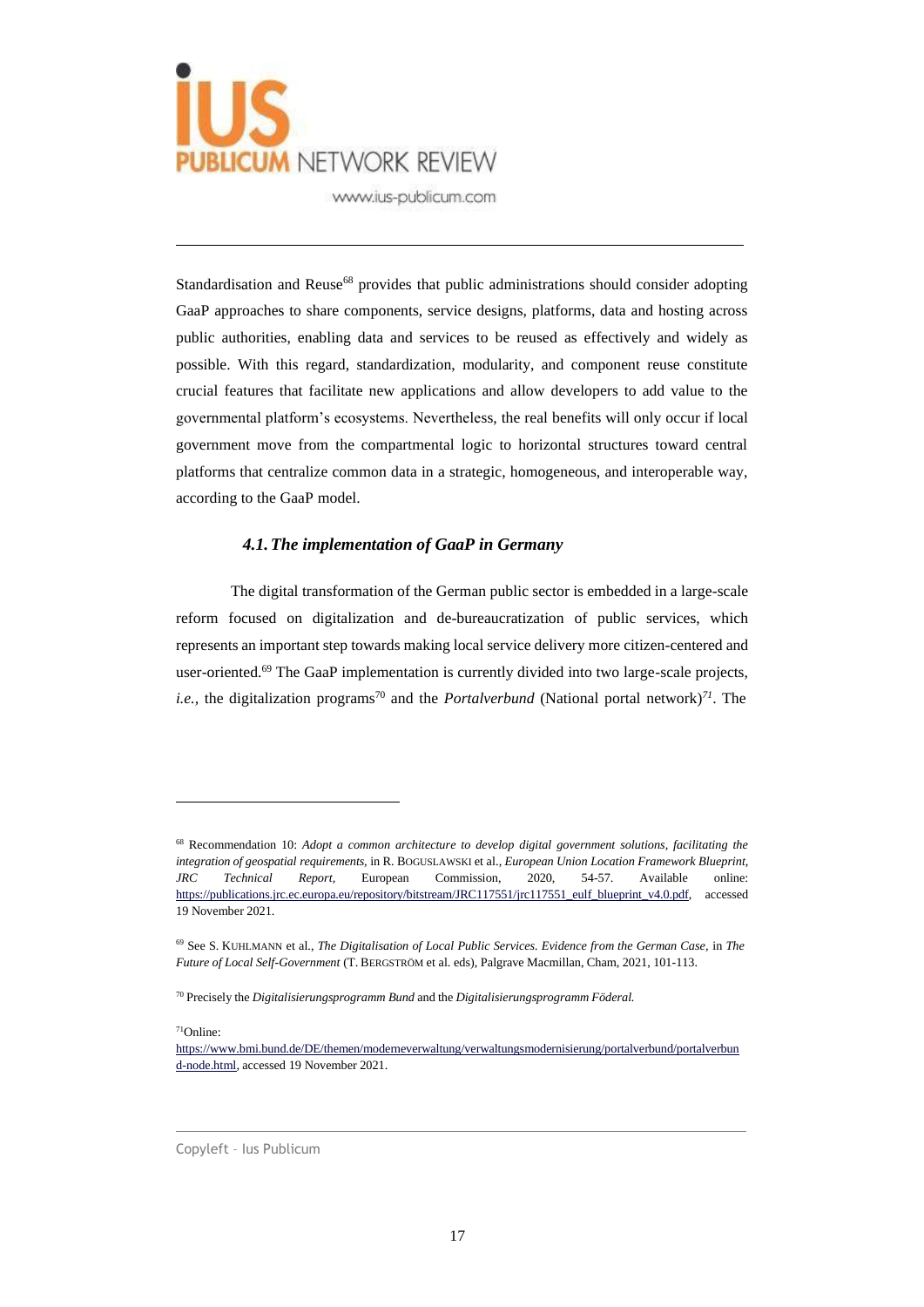

Standardisation and Reuse<sup>68</sup> provides that public administrations should consider adopting GaaP approaches to share components, service designs, platforms, data and hosting across public authorities, enabling data and services to be reused as effectively and widely as possible. With this regard, standardization, modularity, and component reuse constitute crucial features that facilitate new applications and allow developers to add value to the governmental platform's ecosystems. Nevertheless, the real benefits will only occur if local government move from the compartmental logic to horizontal structures toward central platforms that centralize common data in a strategic, homogeneous, and interoperable way, according to the GaaP model.

#### *4.1.The implementation of GaaP in Germany*

The digital transformation of the German public sector is embedded in a large-scale reform focused on digitalization and de-bureaucratization of public services, which represents an important step towards making local service delivery more citizen-centered and user-oriented.<sup>69</sup> The GaaP implementation is currently divided into two large-scale projects, i.e., the digitalization programs<sup>70</sup> and the *Portalverbund* (National portal network)<sup>71</sup>. The

<sup>71</sup>Online:

<sup>68</sup> Recommendation 10: *Adopt a common architecture to develop digital government solutions, facilitating the integration of geospatial requirements,* in R. BOGUSLAWSKI et al., *European Union Location Framework Blueprint, JRC Technical Report*, European Commission, 2020, 54-57. Available online: [https://publications.jrc.ec.europa.eu/repository/bitstream/JRC117551/jrc117551\\_eulf\\_blueprint\\_v4.0.pdf,](https://publications.jrc.ec.europa.eu/repository/bitstream/JRC117551/jrc117551_eulf_blueprint_v4.0.pdf) accessed 19 November 2021.

<sup>69</sup> See S. KUHLMANN et al., *The Digitalisation of Local Public Services. Evidence from the German Case,* in *The Future of Local Self-Government* (T. BERGSTRÖM et al. eds), Palgrave Macmillan, Cham, 2021, 101-113.

<sup>70</sup> Precisely the *Digitalisierungsprogramm Bund* and the *Digitalisierungsprogramm Föderal.*

[https://www.bmi.bund.de/DE/themen/moderneverwaltung/verwaltungsmodernisierung/portalverbund/portalverbun](https://www.bmi.bund.de/DE/themen/moderneverwaltung/verwaltungsmodernisierung/portalverbund/portalverbund-node.html) [d-node.html,](https://www.bmi.bund.de/DE/themen/moderneverwaltung/verwaltungsmodernisierung/portalverbund/portalverbund-node.html) accessed 19 November 2021.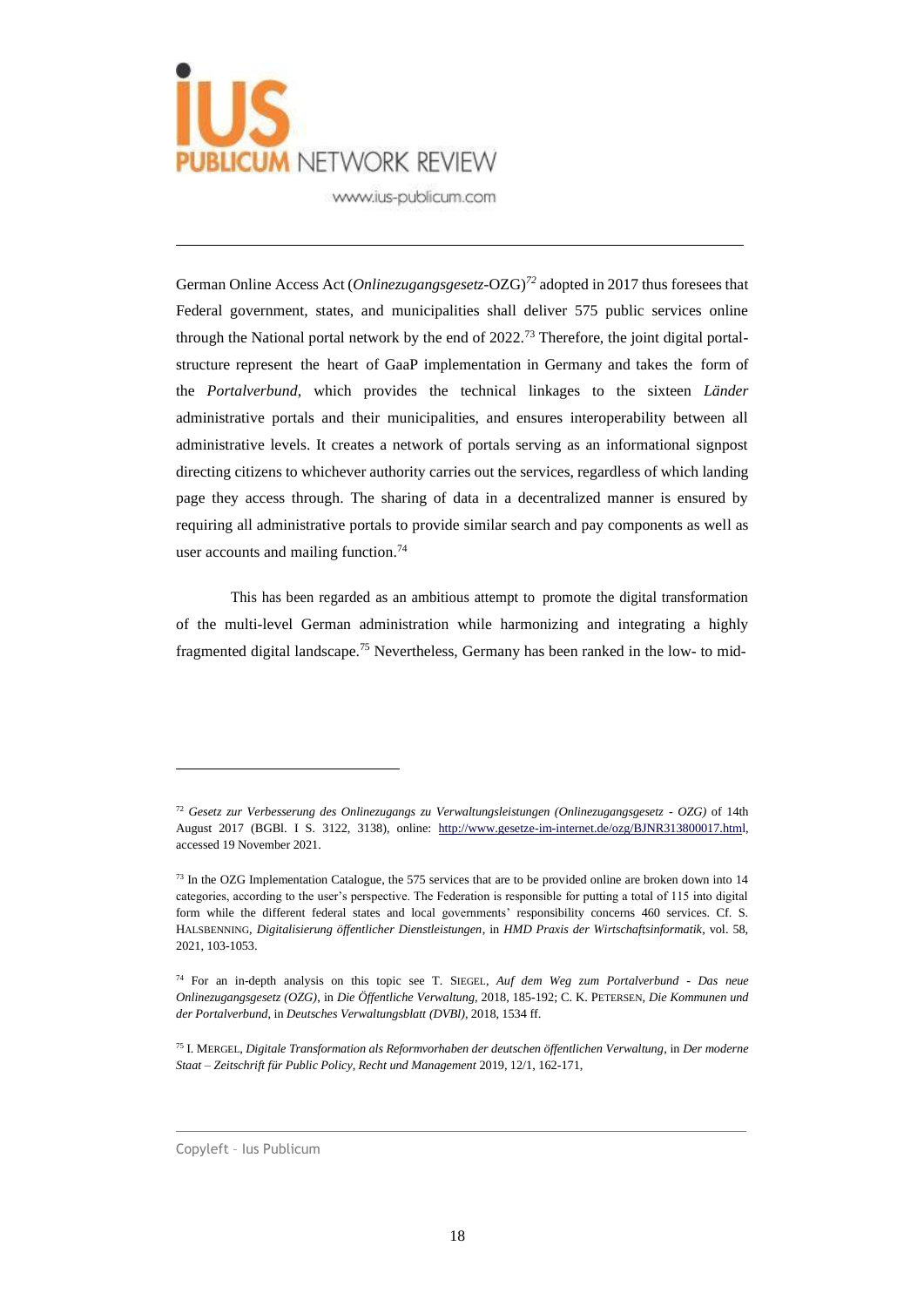

German Online Access Act (*Onlinezugangsgesetz-*OZG)*<sup>72</sup>* adopted in 2017 thus foresees that Federal government, states, and municipalities shall deliver 575 public services online through the National portal network by the end of  $2022$ .<sup>73</sup> Therefore, the joint digital portalstructure represent the heart of GaaP implementation in Germany and takes the form of the *Portalverbund*, which provides the technical linkages to the sixteen *Länder* administrative portals and their municipalities, and ensures interoperability between all administrative levels. It creates a network of portals serving as an informational signpost directing citizens to whichever authority carries out the services, regardless of which landing page they access through. The sharing of data in a decentralized manner is ensured by requiring all administrative portals to provide similar search and pay components as well as user accounts and mailing function.<sup>74</sup>

This has been regarded as an ambitious attempt to promote the digital transformation of the multi-level German administration while harmonizing and integrating a highly fragmented digital landscape.<sup>75</sup> Nevertheless, Germany has been ranked in the low- to mid-

<sup>72</sup> *Gesetz zur Verbesserung des Onlinezugangs zu Verwaltungsleistungen (Onlinezugangsgesetz - OZG)* of 14th August 2017 (BGBl. I S. 3122, 3138), online: [http://www.gesetze-im-internet.de/ozg/BJNR313800017.html,](http://www.gesetze-im-internet.de/ozg/BJNR313800017.html) accessed 19 November 2021.

<sup>&</sup>lt;sup>73</sup> In the OZG Implementation Catalogue, the 575 services that are to be provided online are broken down into 14 categories, according to the user's perspective. The Federation is responsible for putting a total of 115 into digital form while the different federal states and local governments' responsibility concerns 460 services. Cf. S. HALSBENNING, *Digitalisierung öffentlicher Dienstleistungen*, in *HMD Praxis der Wirtschaftsinformatik*, vol. 58, 2021, 103-1053.

<sup>74</sup> For an in-depth analysis on this topic see T. SIEGEL, *Auf dem Weg zum Portalverbund - Das neue Onlinezugangsgesetz (OZG)*, in *Die Öffentliche Verwaltung,* 2018, 185-192; C. K. PETERSEN, *Die Kommunen und der Portalverbund*, in *Deutsches Verwaltungsblatt (DVBl),* 2018, 1534 ff.

<sup>75</sup> I. MERGEL, *Digitale Transformation als Reformvorhaben der deutschen öffentlichen Verwaltung*, in *Der moderne Staat – Zeitschrift für Public Policy, Recht und Management* 2019, 12/1, 162-171,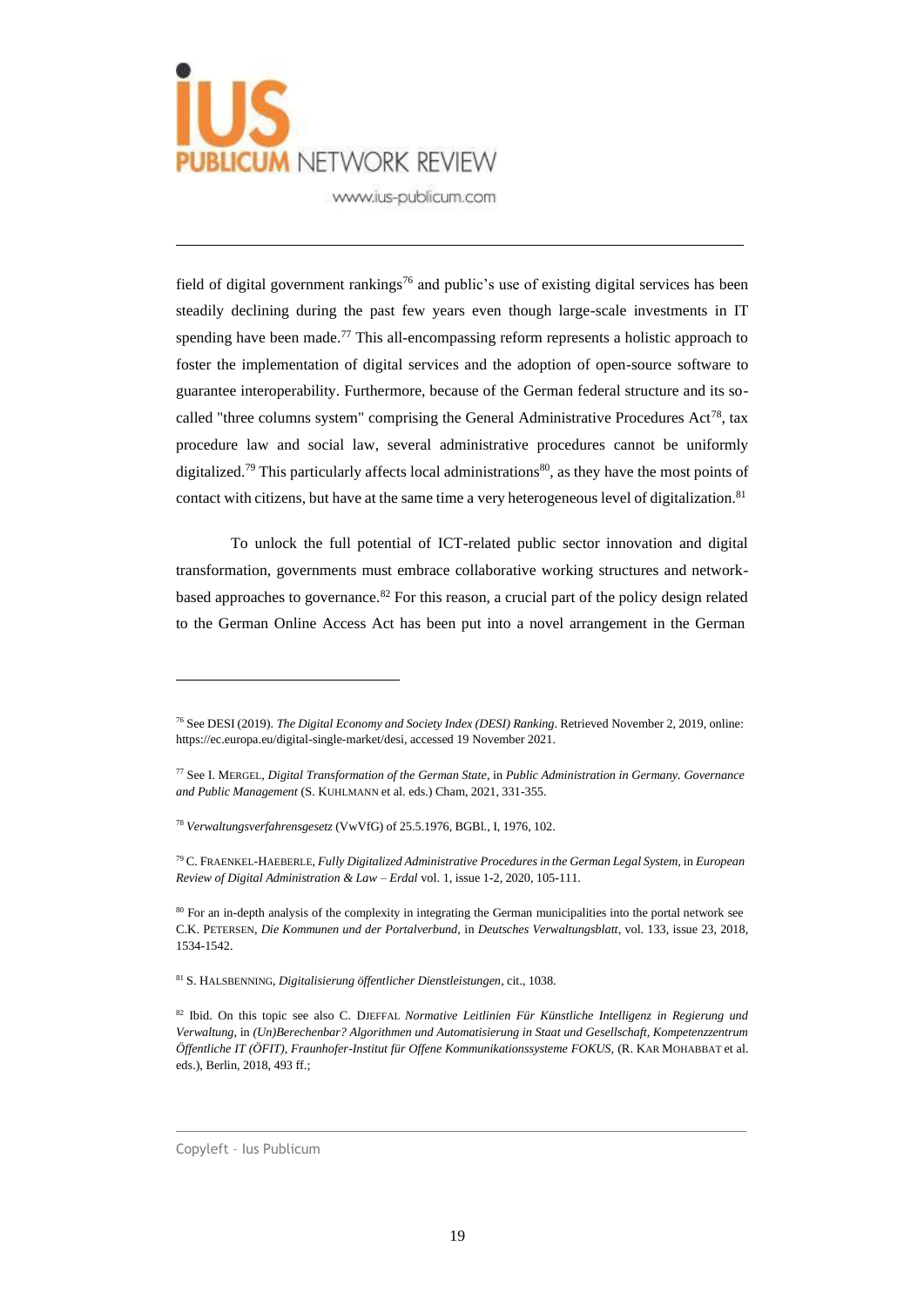

field of digital government rankings<sup>76</sup> and public's use of existing digital services has been steadily declining during the past few years even though large-scale investments in IT spending have been made.<sup>77</sup> This all-encompassing reform represents a holistic approach to foster the implementation of digital services and the adoption of open-source software to guarantee interoperability. Furthermore, because of the German federal structure and its socalled "three columns system" comprising the General Administrative Procedures Act<sup>78</sup>, tax procedure law and social law, several administrative procedures cannot be uniformly digitalized.<sup>79</sup> This particularly affects local administrations<sup>80</sup>, as they have the most points of contact with citizens, but have at the same time a very heterogeneous level of digitalization.<sup>81</sup>

To unlock the full potential of ICT-related public sector innovation and digital transformation, governments must embrace collaborative working structures and networkbased approaches to governance. $82$  For this reason, a crucial part of the policy design related to the German Online Access Act has been put into a novel arrangement in the German

<sup>81</sup> S. HALSBENNING, *Digitalisierung öffentlicher Dienstleistungen*, cit., 1038.

<sup>76</sup> See DESI (2019). *The Digital Economy and Society Index (DESI) Ranking*. Retrieved November 2, 2019, online: [https://ec.europa.eu/digital-single-market/desi,](https://ec.europa.eu/digital-single-market/desi) accessed 19 November 2021.

<sup>77</sup> See I. MERGEL, *Digital Transformation of the German State*, in *Public Administration in Germany. Governance and Public Management* (S. KUHLMANN et al. eds.) Cham, 2021, 331-355.

<sup>78</sup> *Verwaltungsverfahrensgesetz* (VwVfG) of 25.5.1976, BGBl., I, 1976, 102.

<sup>79</sup> C. FRAENKEL-HAEBERLE, *Fully Digitalized Administrative Procedures in the German Legal System,* in *European Review of Digital Administration & Law – Erdal* vol. 1, issue 1-2, 2020, 105-111.

<sup>&</sup>lt;sup>80</sup> For an in-depth analysis of the complexity in integrating the German municipalities into the portal network see C.K. PETERSEN, *Die Kommunen und der Portalverbund,* in *Deutsches Verwaltungsblatt*, vol. 133, issue 23, 2018, 1534-1542.

<sup>82</sup> Ibid. On this topic see also C. DJEFFAL *Normative Leitlinien Für Künstliche Intelligenz in Regierung und Verwaltung*, in *(Un)Berechenbar? Algorithmen und Automatisierung in Staat und Gesellschaft, Kompetenzzentrum Öffentliche IT (ÖFIT), Fraunhofer-Institut für Offene Kommunikationssysteme FOKUS,* (R. KAR MOHABBAT et al. eds.), Berlin, 2018, 493 ff.;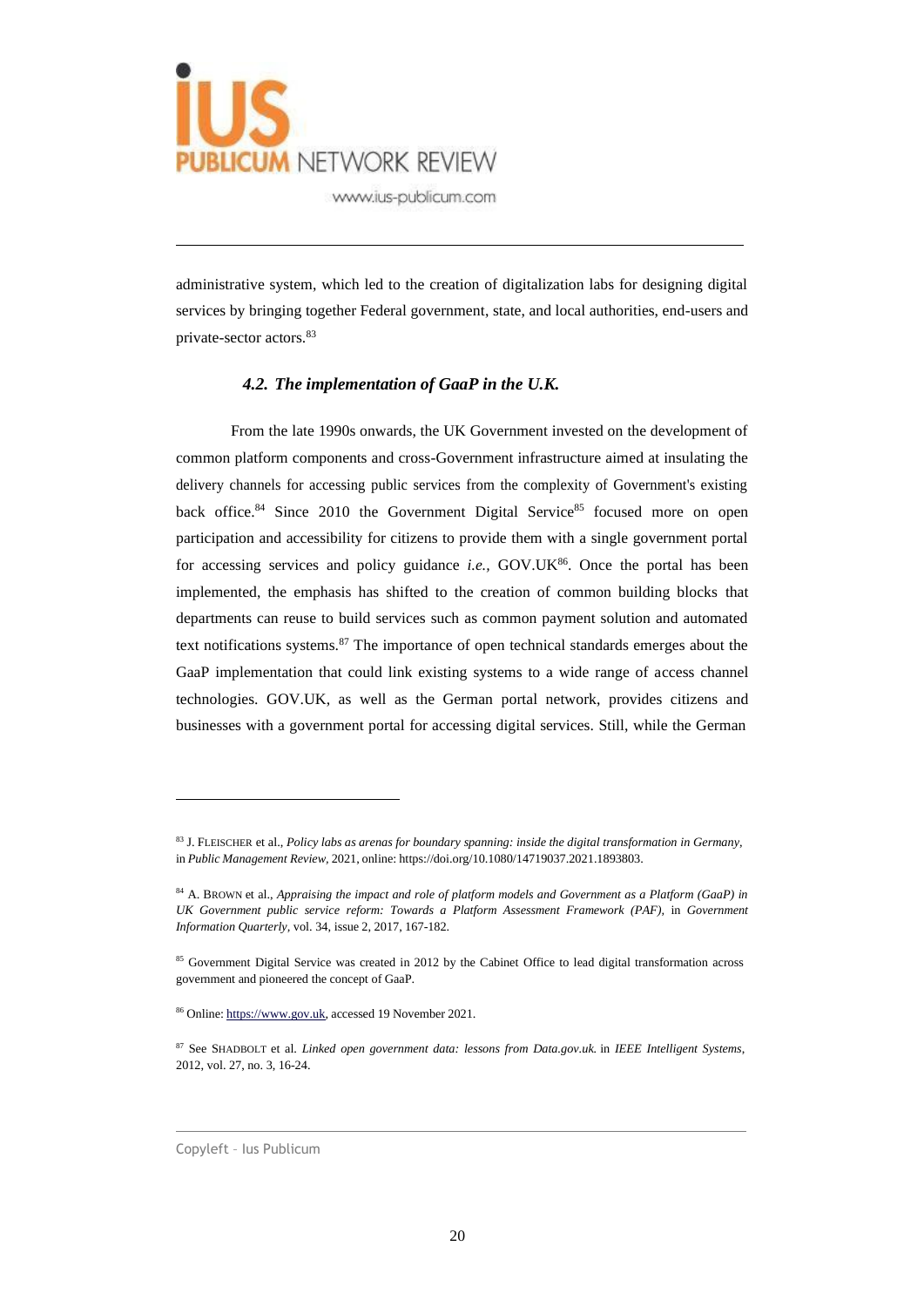

administrative system, which led to the creation of digitalization labs for designing digital services by bringing together Federal government, state, and local authorities, end-users and private-sector actors.<sup>83</sup>

### *4.2. The implementation of GaaP in the U.K.*

From the late 1990s onwards, the UK Government invested on the development of common platform components and cross-Government infrastructure aimed at insulating the delivery channels for accessing public services from the complexity of Government's existing back office.<sup>84</sup> Since 2010 the Government Digital Service<sup>85</sup> focused more on open participation and accessibility for citizens to provide them with a single government portal for accessing services and policy guidance *i.e.*, GOV.UK<sup>86</sup>. Once the portal has been implemented, the emphasis has shifted to the creation of common building blocks that departments can reuse to build services such as common payment solution and automated text notifications systems.<sup>87</sup> The importance of open technical standards emerges about the GaaP implementation that could link existing systems to a wide range of access channel technologies. GOV.UK, as well as the German portal network, provides citizens and businesses with a government portal for accessing digital services. Still, while the German

<sup>83</sup> J. FLEISCHER et al., *Policy labs as arenas for boundary spanning: inside the digital transformation in Germany,* in *Public Management Review,* 2021, online: [https://doi.org/10.1080/14719037.2021.1893803.](https://doi.org/10.1080/14719037.2021.1893803)

<sup>84</sup> A. BROWN et al., *Appraising the impact and role of platform models and Government as a Platform (GaaP) in UK Government public service reform: Towards a Platform Assessment Framework (PAF),* in *Government Information Quarterly,* vol. 34, issue 2, 2017, 167-182.

<sup>&</sup>lt;sup>85</sup> Government Digital Service was created in 2012 by the Cabinet Office to lead digital transformation across government and pioneered the concept of GaaP.

<sup>86</sup> Online: [https://www.gov.uk,](https://www.gov.uk/) accessed 19 November 2021.

<sup>87</sup> See SHADBOLT et al. *Linked open government data: lessons from Data.gov.uk.* in *IEEE Intelligent Systems*, 2012, vol. 27, no. 3, 16-24.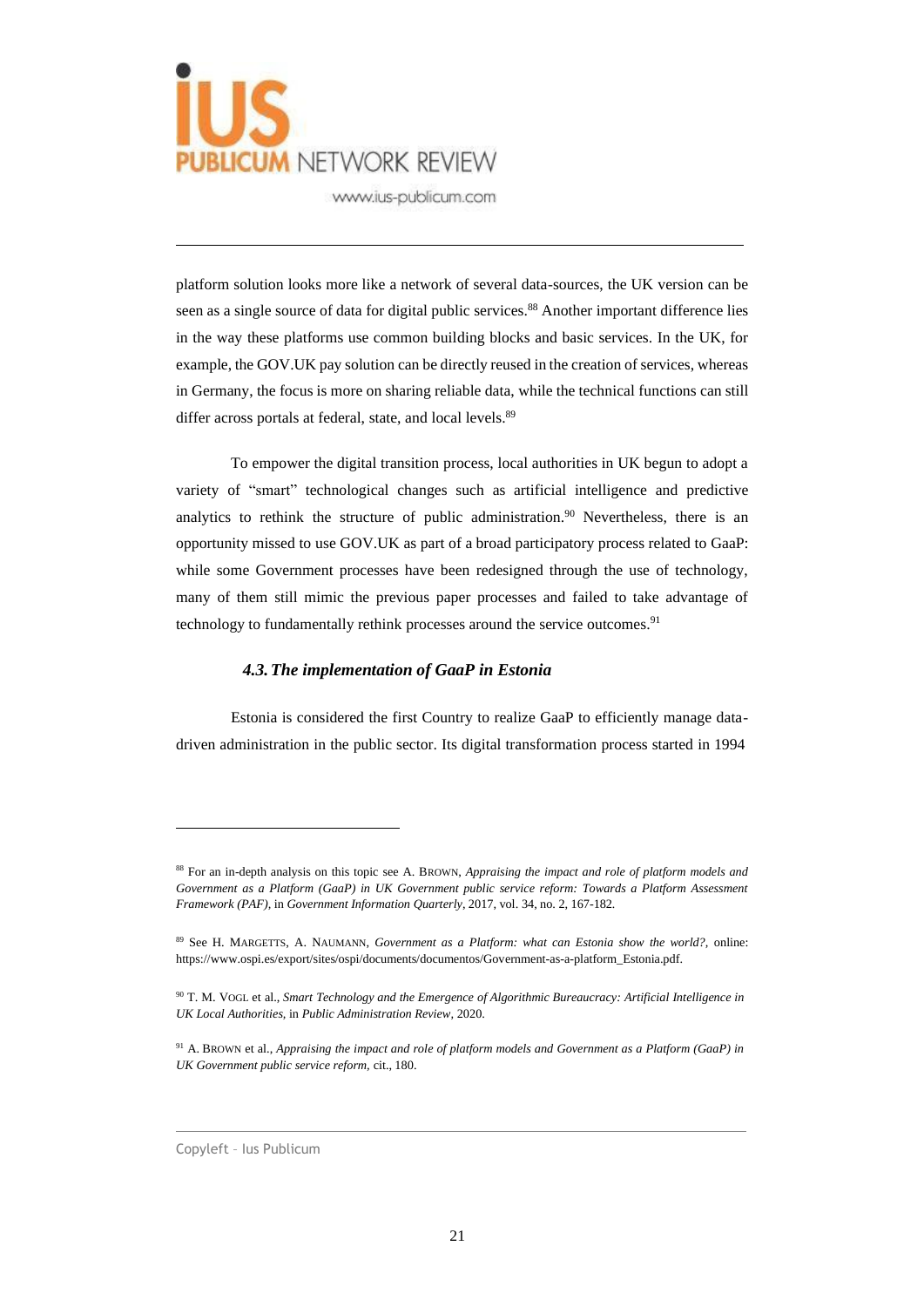

platform solution looks more like a network of several data-sources, the UK version can be seen as a single source of data for digital public services.<sup>88</sup> Another important difference lies in the way these platforms use common building blocks and basic services. In the UK, for example, the GOV.UK pay solution can be directly reused in the creation of services, whereas in Germany, the focus is more on sharing reliable data, while the technical functions can still differ across portals at federal, state, and local levels.<sup>89</sup>

To empower the digital transition process, local authorities in UK begun to adopt a variety of "smart" technological changes such as artificial intelligence and predictive analytics to rethink the structure of public administration.<sup>90</sup> Nevertheless, there is an opportunity missed to use GOV.UK as part of a broad participatory process related to GaaP: while some Government processes have been redesigned through the use of technology, many of them still mimic the previous paper processes and failed to take advantage of technology to fundamentally rethink processes around the service outcomes.<sup>91</sup>

#### *4.3.The implementation of GaaP in Estonia*

Estonia is considered the first Country to realize GaaP to efficiently manage datadriven administration in the public sector. Its digital transformation process started in 1994

<sup>88</sup> For an in-depth analysis on this topic see A. BROWN, *Appraising the impact and role of platform models and Government as a Platform (GaaP) in UK Government public service reform: Towards a Platform Assessment Framework (PAF),* in *Government Information Quarterly*, 2017, vol. 34, no. 2, 167-182*.*

<sup>89</sup> See H. MARGETTS, A. NAUMANN, *Government as a Platform: what can Estonia show the world?,* online: https:[//www.ospi.es/export/sites/ospi/documents/documentos/Government-as-a-platform\\_Estonia.pdf.](http://www.ospi.es/export/sites/ospi/documents/documentos/Government-as-a-platform_Estonia.pdf)

<sup>90</sup> T. M. VOGL et al., *Smart Technology and the Emergence of Algorithmic Bureaucracy: Artificial Intelligence in UK Local Authorities,* in *Public Administration Review,* 2020.

<sup>91</sup> A. BROWN et al., *Appraising the impact and role of platform models and Government as a Platform (GaaP) in UK Government public service reform,* cit., 180.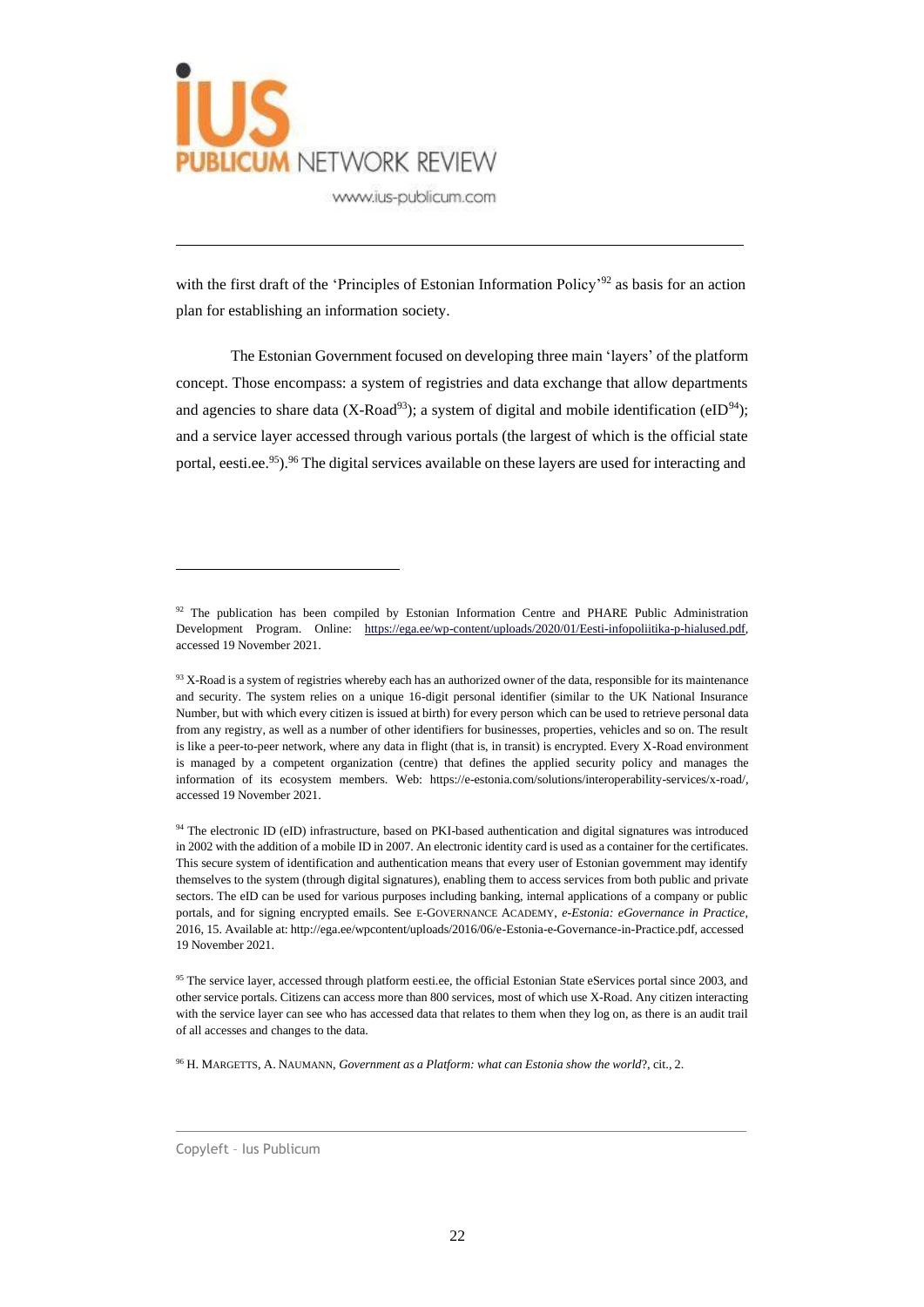

with the first draft of the 'Principles of Estonian Information Policy'<sup>92</sup> as basis for an action plan for establishing an information society.

The Estonian Government focused on developing three main 'layers' of the platform concept. Those encompass: a system of registries and data exchange that allow departments and agencies to share data (X-Road<sup>93</sup>); a system of digital and mobile identification (eID<sup>94</sup>); and a service layer accessed through various portals (the largest of which is the official state portal, eesti.ee.<sup>95</sup>).<sup>96</sup> The digital services available on these layers are used for interacting and

<sup>96</sup> H. MARGETTS, A. NAUMANN, *Government as a Platform: what can Estonia show the world*?, cit., 2.

<sup>&</sup>lt;sup>92</sup> The publication has been compiled by Estonian Information Centre and PHARE Public Administration Development Program. Online: [https://ega.ee/wp-content/uploads/2020/01/Eesti-infopoliitika-p-hialused.pdf,](https://ega.ee/wp-content/uploads/2020/01/Eesti-infopoliitika-p-hialused.pdf) accessed 19 November 2021.

 $93$  X-Road is a system of registries whereby each has an authorized owner of the data, responsible for its maintenance and security. The system relies on a unique 16-digit personal identifier (similar to the UK National Insurance Number, but with which every citizen is issued at birth) for every person which can be used to retrieve personal data from any registry, as well as a number of other identifiers for businesses, properties, vehicles and so on. The result is like a peer-to-peer network, where any data in flight (that is, in transit) is encrypted. Every X-Road environment is managed by a competent organization (centre) that defines the applied security policy and manages the information of its ecosystem members. Web: [https://e-estonia.com/solutions/interoperability-services/x-road/,](https://e-estonia.com/solutions/interoperability-services/x-road/) accessed 19 November 2021.

<sup>94</sup> The electronic ID (eID) infrastructure, based on PKI-based authentication and digital signatures was introduced in 2002 with the addition of a mobile ID in 2007. An electronic identity card is used as a container for the certificates. This secure system of identification and authentication means that every user of Estonian government may identify themselves to the system (through digital signatures), enabling them to access services from both public and private sectors. The eID can be used for various purposes including banking, internal applications of a company or public portals, and for signing encrypted emails. See E-GOVERNANCE ACADEMY, *e-Estonia: eGovernance in Practice,* 2016, 15. Available at: [http://ega.ee/wpcontent/uploads/2016/06/e-Estonia-e-Governance-in-Practice.pdf,](http://ega.ee/wpcontent/uploads/2016/06/e-Estonia-e-Governance-in-Practice.pdf) accessed 19 November 2021.

<sup>&</sup>lt;sup>95</sup> The service layer, accessed through platform eesti.ee, the official Estonian State eServices portal since 2003, and other service portals. Citizens can access more than 800 services, most of which use X-Road. Any citizen interacting with the service layer can see who has accessed data that relates to them when they log on, as there is an audit trail of all accesses and changes to the data.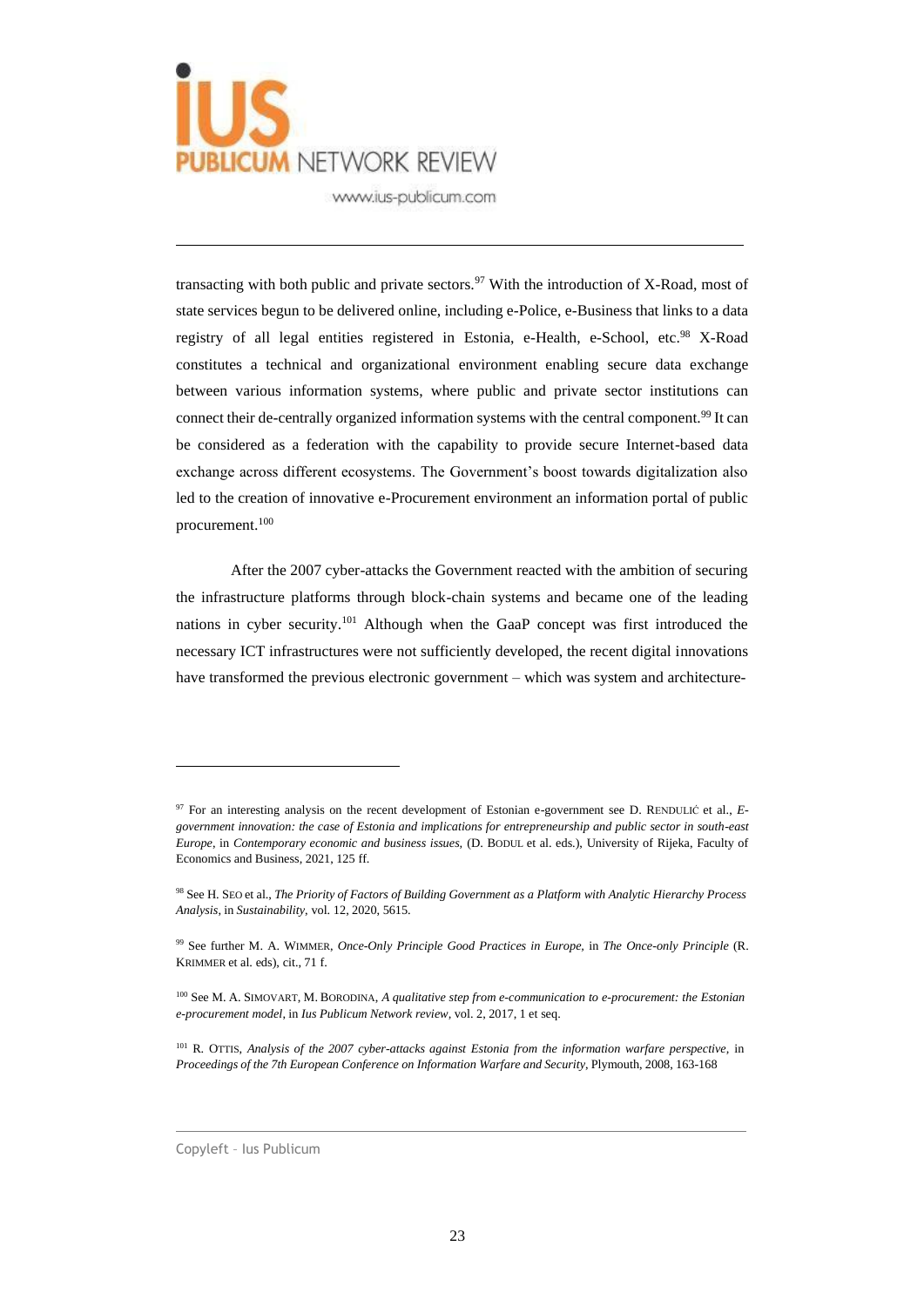

transacting with both public and private sectors.<sup>97</sup> With the introduction of X-Road, most of state services begun to be delivered online, including e-Police, e-Business that links to a data registry of all legal entities registered in Estonia, e-Health, e-School, etc.<sup>98</sup> X-Road constitutes a technical and organizational environment enabling secure data exchange between various information systems, where public and private sector institutions can connect their de-centrally organized information systems with the central component.<sup>99</sup> It can be considered as a federation with the capability to provide secure Internet-based data exchange across different ecosystems. The Government's boost towards digitalization also led to the creation of innovative e-Procurement environment an information portal of public procurement.<sup>100</sup>

After the 2007 cyber-attacks the Government reacted with the ambition of securing the infrastructure platforms through block-chain systems and became one of the leading nations in cyber security.<sup>101</sup> Although when the GaaP concept was first introduced the necessary ICT infrastructures were not sufficiently developed, the recent digital innovations have transformed the previous electronic government – which was system and architecture-

<sup>97</sup> For an interesting analysis on the recent development of Estonian e-government see D. RENDULIĆ et al., *Egovernment innovation: the case of Estonia and implications for entrepreneurship and public sector in south-east Europe*, in *Contemporary economic and business issues,* (D. BODUL et al. eds.), University of Rijeka, Faculty of Economics and Business, 2021, 125 ff.

<sup>98</sup> See H. SEO et al., *The Priority of Factors of Building Government as a Platform with Analytic Hierarchy Process Analysis*, in *Sustainability*, vol. 12, 2020, 5615.

<sup>99</sup> See further M. A. WIMMER, *Once-Only Principle Good Practices in Europe,* in *The Once-only Principle* (R. KRIMMER et al. eds), cit., 71 f.

<sup>100</sup> See M. A. SIMOVART, M. BORODINA, *A qualitative step from e-communication to e-procurement: the Estonian e-procurement model*, in *Ius Publicum Network review,* vol. 2, 2017, 1 et seq.

<sup>101</sup> R. OTTIS, *Analysis of the 2007 cyber-attacks against Estonia from the information warfare perspective,* in *Proceedings of the 7th European Conference on Information Warfare and Security*, Plymouth, 2008, 163-168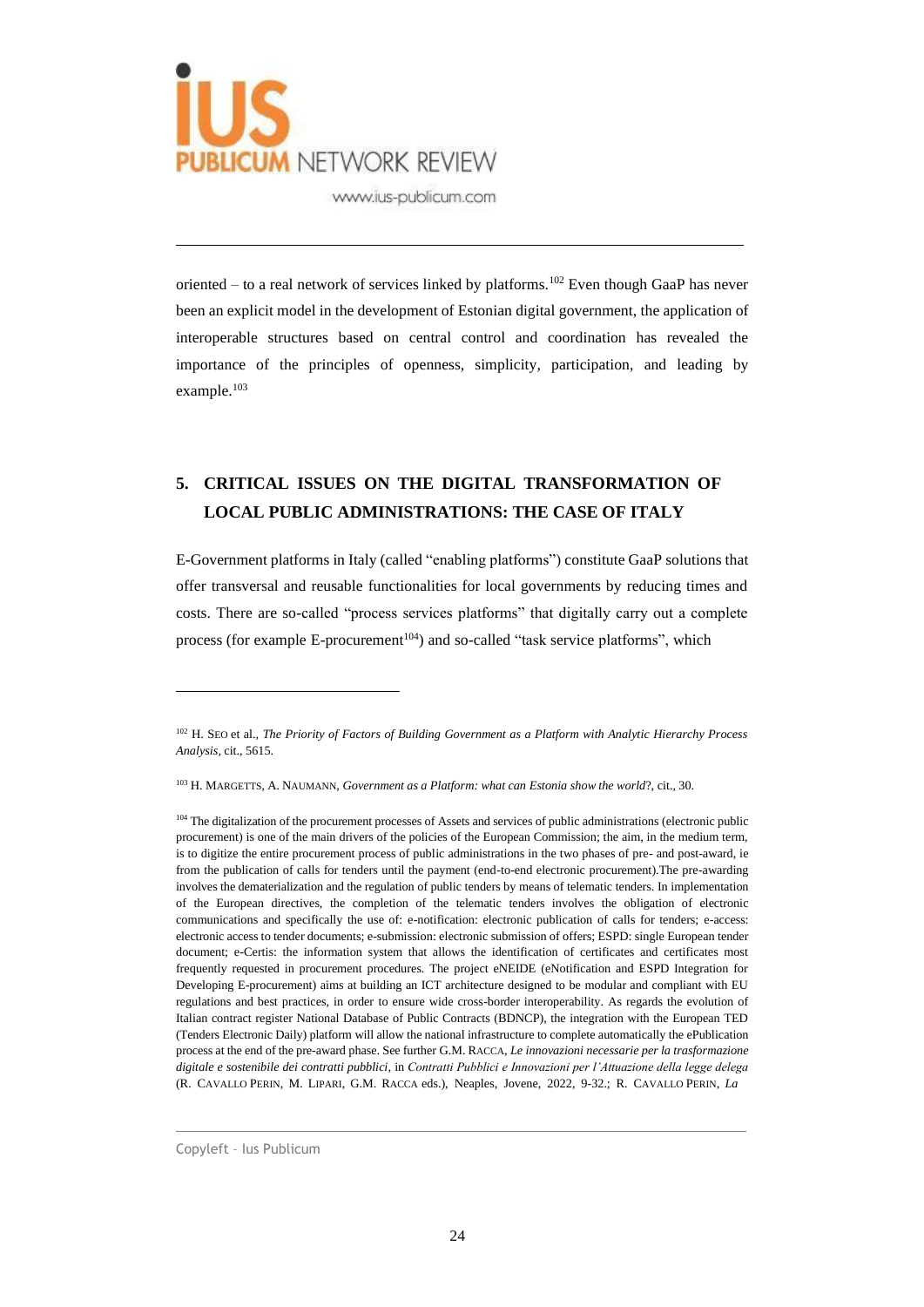

oriented – to a real network of services linked by platforms.<sup>102</sup> Even though GaaP has never been an explicit model in the development of Estonian digital government, the application of interoperable structures based on central control and coordination has revealed the importance of the principles of openness, simplicity, participation, and leading by example.<sup>103</sup>

# **5. CRITICAL ISSUES ON THE DIGITAL TRANSFORMATION OF LOCAL PUBLIC ADMINISTRATIONS: THE CASE OF ITALY**

E-Government platforms in Italy (called "enabling platforms") constitute GaaP solutions that offer transversal and reusable functionalities for local governments by reducing times and costs. There are so-called "process services platforms" that digitally carry out a complete process (for example  $E$ -procurement<sup>104</sup>) and so-called "task service platforms", which

<sup>102</sup> H. SEO et al., *The Priority of Factors of Building Government as a Platform with Analytic Hierarchy Process Analysis,* cit., 5615.

<sup>103</sup> H. MARGETTS, A. NAUMANN, *Government as a Platform: what can Estonia show the world*?, cit., 30.

<sup>&</sup>lt;sup>104</sup> The digitalization of the procurement processes of Assets and services of public administrations (electronic public procurement) is one of the main drivers of the policies of the European Commission; the aim, in the medium term, is to digitize the entire procurement process of public administrations in the two phases of pre- and post-award, ie from the publication of calls for tenders until the payment (end-to-end electronic procurement).The pre-awarding involves the dematerialization and the regulation of public tenders by means of telematic tenders. In implementation of the European directives, the completion of the telematic tenders involves the obligation of electronic communications and specifically the use of: e-notification: electronic publication of calls for tenders; e-access: electronic access to tender documents; e-submission: electronic submission of offers; ESPD: single European tender document; e-Certis: the information system that allows the identification of certificates and certificates most frequently requested in procurement procedures. The project eNEIDE (eNotification and ESPD Integration for Developing E-procurement) aims at building an ICT architecture designed to be modular and compliant with EU regulations and best practices, in order to ensure wide cross-border interoperability. As regards the evolution of Italian contract register National Database of Public Contracts (BDNCP), the integration with the European TED (Tenders Electronic Daily) platform will allow the national infrastructure to complete automatically the ePublication process at the end of the pre-award phase. See further G.M. RACCA, *Le innovazioni necessarie per la trasformazione digitale e sostenibile dei contratti pubblici,* in *Contratti Pubblici e Innovazioni per l'Attuazione della legge delega* (R. CAVALLO PERIN, M. LIPARI, G.M. RACCA eds.), Neaples, Jovene, 2022, 9-32.; R. CAVALLO PERIN, *La*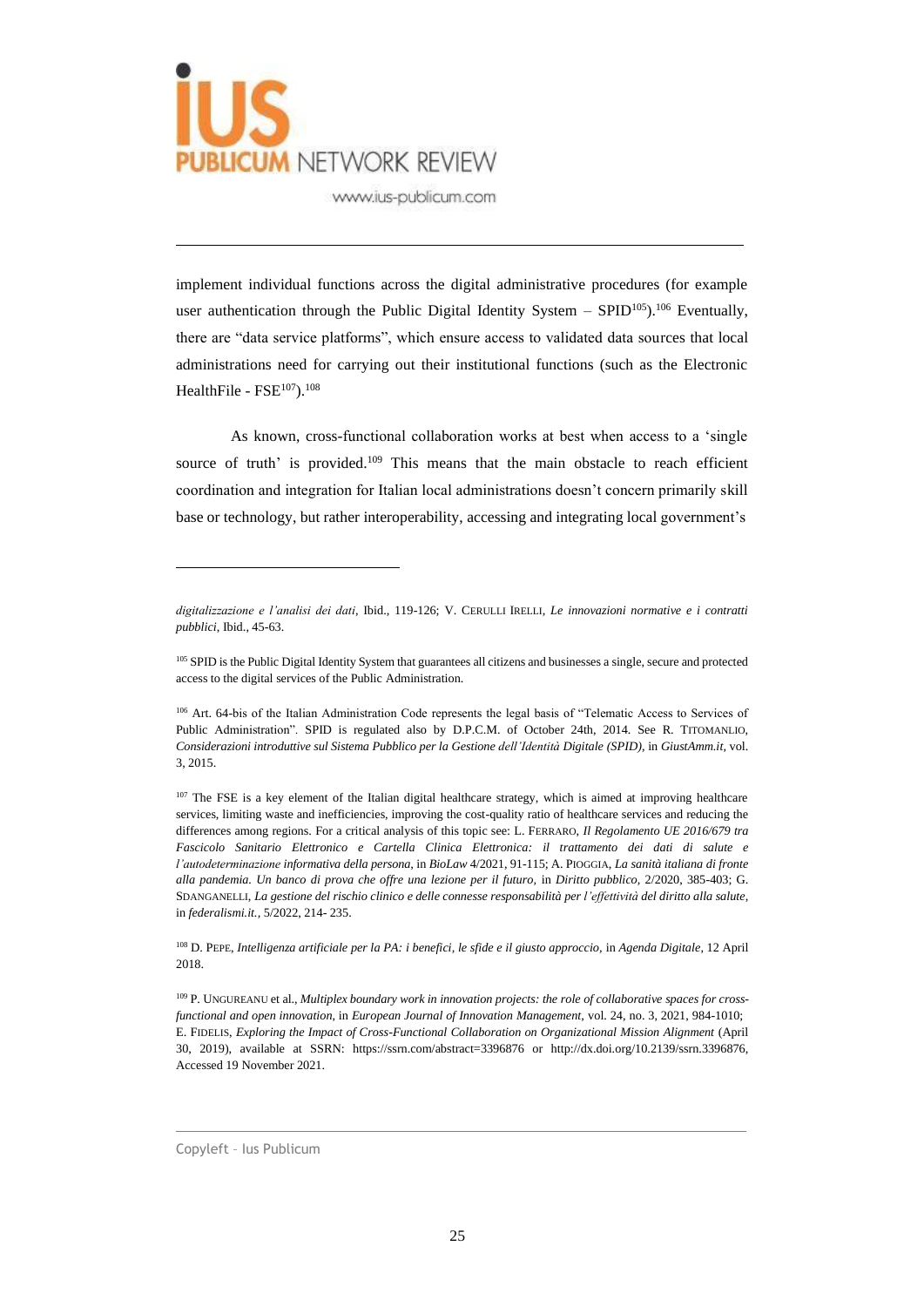

implement individual functions across the digital administrative procedures (for example user authentication through the Public Digital Identity System - SPID<sup>105</sup>).<sup>106</sup> Eventually, there are "data service platforms", which ensure access to validated data sources that local administrations need for carrying out their institutional functions (such as the Electronic HealthFile - FSE<sup>107</sup>).<sup>108</sup>

As known, cross-functional collaboration works at best when access to a 'single source of truth' is provided.<sup>109</sup> This means that the main obstacle to reach efficient coordination and integration for Italian local administrations doesn't concern primarily skill base or technology, but rather interoperability, accessing and integrating local government's

*digitalizzazione e l'analisi dei dati*, Ibid., 119-126; V. CERULLI IRELLI, *Le innovazioni normative e i contratti pubblici*, Ibid., 45-63.

<sup>&</sup>lt;sup>105</sup> SPID is the Public Digital Identity System that guarantees all citizens and businesses a single, secure and protected access to the digital services of the Public Administration.

<sup>&</sup>lt;sup>106</sup> Art. 64-bis of the Italian Administration Code represents the legal basis of "Telematic Access to Services of Public Administration". SPID is regulated also by D.P.C.M. of October 24th, 2014. See R. TITOMANLIO, *Considerazioni introduttive sul Sistema Pubblico per la Gestione dell'Identità Digitale (SPID)*, in *GiustAmm.it,* vol. 3, 2015.

<sup>&</sup>lt;sup>107</sup> The FSE is a key element of the Italian digital healthcare strategy, which is aimed at improving healthcare services, limiting waste and inefficiencies, improving the cost-quality ratio of healthcare services and reducing the differences among regions. For a critical analysis of this topic see: L. FERRARO, *Il Regolamento UE 2016/679 tra Fascicolo Sanitario Elettronico e Cartella Clinica Elettronica: il trattamento dei dati di salute e l'autodeterminazione informativa della persona,* in *BioLaw* 4/2021, 91-115; A. PIOGGIA, *La sanità italiana di fronte alla pandemia. Un banco di prova che offre una lezione per il futuro,* in *Diritto pubblico,* 2/2020, 385-403; G. SDANGANELLI, *La gestione del rischio clinico e delle connesse responsabilità per l'effettività del diritto alla salute,* in *federalismi.it.,* 5/2022, 214- 235.

<sup>108</sup> D. PEPE, *Intelligenza artificiale per la PA: i benefici, le sfide e il giusto approccio,* in *Agenda Digitale*, 12 April 2018.

<sup>109</sup> P. UNGUREANU et al., *Multiplex boundary work in innovation projects: the role of collaborative spaces for crossfunctional and open innovation*, in *European Journal of Innovation Management,* vol. 24, no. 3, 2021, 984-1010; E. FIDELIS, *Exploring the Impact of Cross-Functional Collaboration on Organizational Mission Alignment* (April 30, 2019), available at SSRN: [https://ssrn.com/abstract=3396876 o](https://ssrn.com/abstract%3D3396876)r [http://dx.doi.org/10.2139/ssrn.3396876,](https://dx.doi.org/10.2139/ssrn.3396876) Accessed 19 November 2021.

Copyleft – Ius Publicum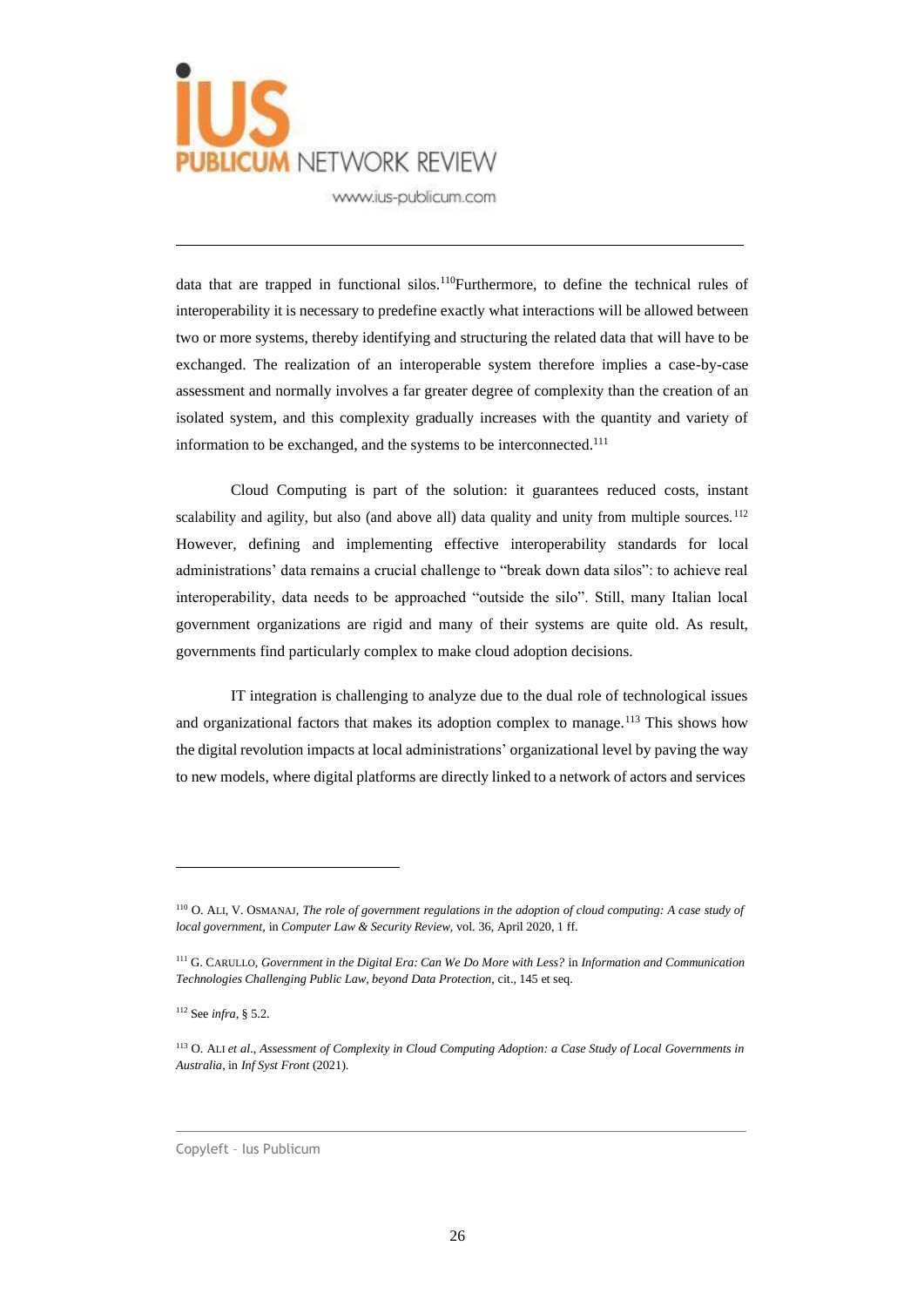

data that are trapped in functional silos.<sup>110</sup>Furthermore, to define the technical rules of interoperability it is necessary to predefine exactly what interactions will be allowed between two or more systems, thereby identifying and structuring the related data that will have to be exchanged. The realization of an interoperable system therefore implies a case-by-case assessment and normally involves a far greater degree of complexity than the creation of an isolated system, and this complexity gradually increases with the quantity and variety of information to be exchanged, and the systems to be interconnected.<sup>111</sup>

Cloud Computing is part of the solution: it guarantees reduced costs, instant scalability and agility, but also (and above all) data quality and unity from multiple sources.<sup>112</sup> However, defining and implementing effective interoperability standards for local administrations' data remains a crucial challenge to "break down data silos": to achieve real interoperability, data needs to be approached "outside the silo". Still, many Italian local government organizations are rigid and many of their systems are quite old. As result, governments find particularly complex to make cloud adoption decisions.

IT integration is challenging to analyze due to the dual role of technological issues and organizational factors that makes its adoption complex to manage.<sup>113</sup> This shows how the digital revolution impacts at local administrations' organizational level by paving the way to new models, where digital platforms are directly linked to a network of actors and services

<sup>110</sup> O. ALI, V. OSMANAJ, *The role of government regulations in the adoption of cloud computing: A case study of local government,* in *Computer Law & Security Review,* vol. 36, April 2020, 1 ff.

<sup>111</sup> G. CARULLO, *Government in the Digital Era: Can We Do More with Less?* in *Information and Communication Technologies Challenging Public Law, beyond Data Protection,* cit., 145 et seq.

<sup>112</sup> See *infra,* § 5.2.

<sup>113</sup> O. ALI *et al.*, *Assessment of Complexity in Cloud Computing Adoption: a Case Study of Local Governments in Australia*, in *Inf Syst Front* (2021).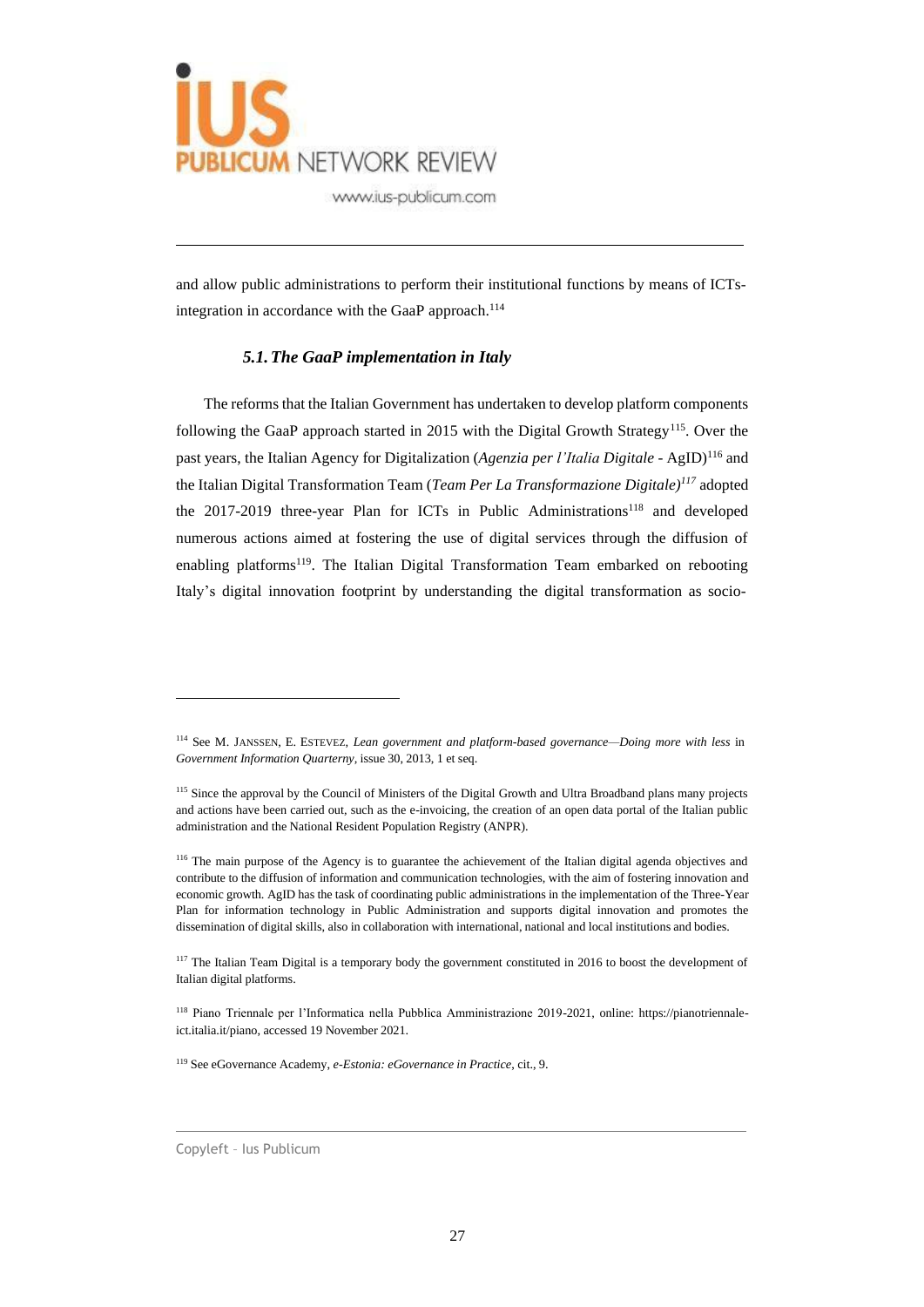

and allow public administrations to perform their institutional functions by means of ICTsintegration in accordance with the GaaP approach. $114$ 

#### *5.1.The GaaP implementation in Italy*

The reforms that the Italian Government has undertaken to develop platform components following the GaaP approach started in 2015 with the Digital Growth Strategy<sup>115</sup>. Over the past years, the Italian Agency for Digitalization (*Agenzia per l'Italia Digitale -* AgID)<sup>116</sup> and the Italian Digital Transformation Team (*Team Per La Transformazione Digitale)<sup>117</sup>* adopted the 2017-2019 three-year Plan for ICTs in Public Administrations<sup>118</sup> and developed numerous actions aimed at fostering the use of digital services through the diffusion of enabling platforms<sup>119</sup>. The Italian Digital Transformation Team embarked on rebooting Italy's digital innovation footprint by understanding the digital transformation as socio-

<sup>114</sup> See M. JANSSEN, E. ESTEVEZ, *Lean government and platform-based governance—Doing more with less* in *Government Information Quarterny,* issue 30, 2013, 1 et seq.

<sup>&</sup>lt;sup>115</sup> Since the approval by the Council of Ministers of the Digital Growth and Ultra Broadband plans many projects and actions have been carried out, such as the e-invoicing, the creation of an open data portal of the Italian public administration and the National Resident Population Registry (ANPR).

<sup>116</sup> The main purpose of the Agency is to guarantee the achievement of the Italian digital agenda objectives and contribute to the diffusion of information and communication technologies, with the aim of fostering innovation and economic growth. AgID has the task of coordinating public administrations in the implementation of the Three-Year Plan for information technology in Public Administration and supports digital innovation and promotes the dissemination of digital skills, also in collaboration with international, national and local institutions and bodies.

<sup>&</sup>lt;sup>117</sup> The Italian Team Digital is a temporary body the government constituted in 2016 to boost the development of Italian digital platforms.

<sup>118</sup> Piano Triennale per l'Informatica nella Pubblica Amministrazione 2019-2021, online: https://pianotriennaleict.italia.it/piano, accessed 19 November 2021.

<sup>119</sup> See eGovernance Academy, *e-Estonia: eGovernance in Practice*, cit., 9.

Copyleft – Ius Publicum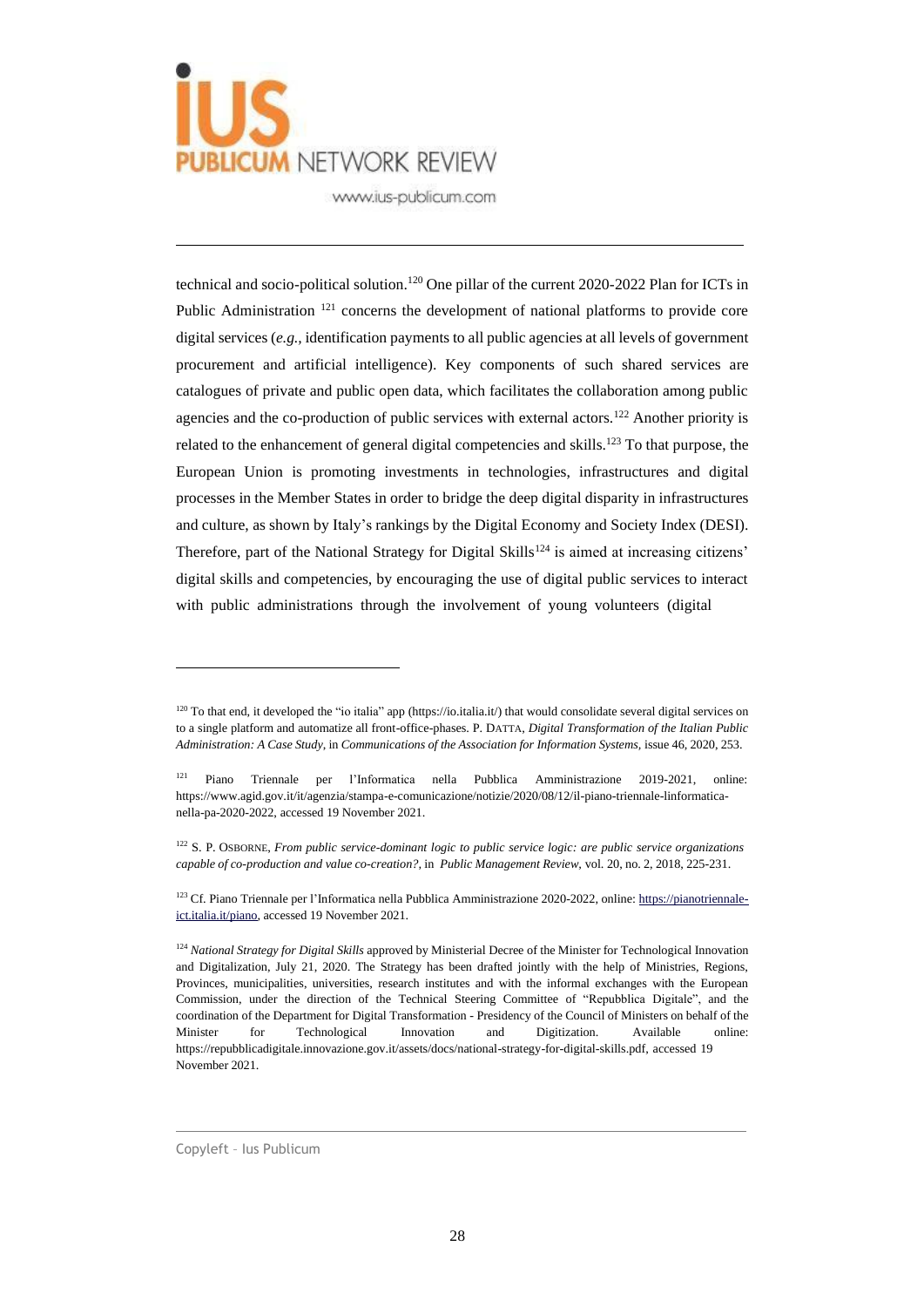

technical and socio-political solution.<sup>120</sup> One pillar of the current 2020-2022 Plan for ICTs in Public Administration<sup>121</sup> concerns the development of national platforms to provide core digital services (*e.g.,* identification payments to all public agencies at all levels of government procurement and artificial intelligence). Key components of such shared services are catalogues of private and public open data, which facilitates the collaboration among public agencies and the co-production of public services with external actors.<sup>122</sup> Another priority is related to the enhancement of general digital competencies and skills.<sup>123</sup> To that purpose, the European Union is promoting investments in technologies, infrastructures and digital processes in the Member States in order to bridge the deep digital disparity in infrastructures and culture, as shown by Italy's rankings by the Digital Economy and Society Index (DESI). Therefore, part of the National Strategy for Digital Skills<sup>124</sup> is aimed at increasing citizens' digital skills and competencies, by encouraging the use of digital public services to interact with public administrations through the involvement of young volunteers (digital

 $120$  To that end, it developed the "io italia" app (https://io.italia.it/) that would consolidate several digital services on to a single platform and automatize all front-office-phases. P. DATTA, *Digital Transformation of the Italian Public Administration: A Case Study*, in *Communications of the Association for Information Systems,* issue 46, 2020, 253.

<sup>121</sup> Piano Triennale per l'Informatica nella Pubblica Amministrazione 2019-2021, online: [https://www.agid.gov.it/it/agenzia/stampa-e-comunicazione/notizie/2020/08/12/il-piano-triennale-linformatica](https://www.agid.gov.it/it/agenzia/stampa-e-comunicazione/notizie/2020/08/12/il-piano-triennale-linformatica-nella-pa-2020-2022)[nella-pa-2020-2022, a](https://www.agid.gov.it/it/agenzia/stampa-e-comunicazione/notizie/2020/08/12/il-piano-triennale-linformatica-nella-pa-2020-2022)ccessed 19 November 2021.

<sup>122</sup> S. P. OSBORNE, *From public service-dominant logic to public service logic: are public service organizations capable of co-production and value co-creation?,* in *Public Management Review,* vol. 20, no. 2, 2018, 225-231.

<sup>&</sup>lt;sup>123</sup> Cf. Piano Triennale per l'Informatica nella Pubblica Amministrazione 2020-2022, online: [https://pianotriennale](https://pianotriennale-ict.italia.it/piano)[ict.italia.it/piano,](https://pianotriennale-ict.italia.it/piano) accessed 19 November 2021.

<sup>124</sup> *National Strategy for Digital Skills* approved by Ministerial Decree of the Minister for Technological Innovation and Digitalization, July 21, 2020. The Strategy has been drafted jointly with the help of Ministries, Regions, Provinces, municipalities, universities, research institutes and with the informal exchanges with the European Commission, under the direction of the Technical Steering Committee of "Repubblica Digitale", and the coordination of the Department for Digital Transformation - Presidency of the Council of Ministers on behalf of the Minister for Technological Innovation and Digitization. Available online: [https://repubblicadigitale.innovazione.gov.it/assets/docs/national-strategy-for-digital-skills.pdf,](https://repubblicadigitale.innovazione.gov.it/assets/docs/national-strategy-for-digital-skills.pdf) accessed 19 November 2021.

Copyleft – Ius Publicum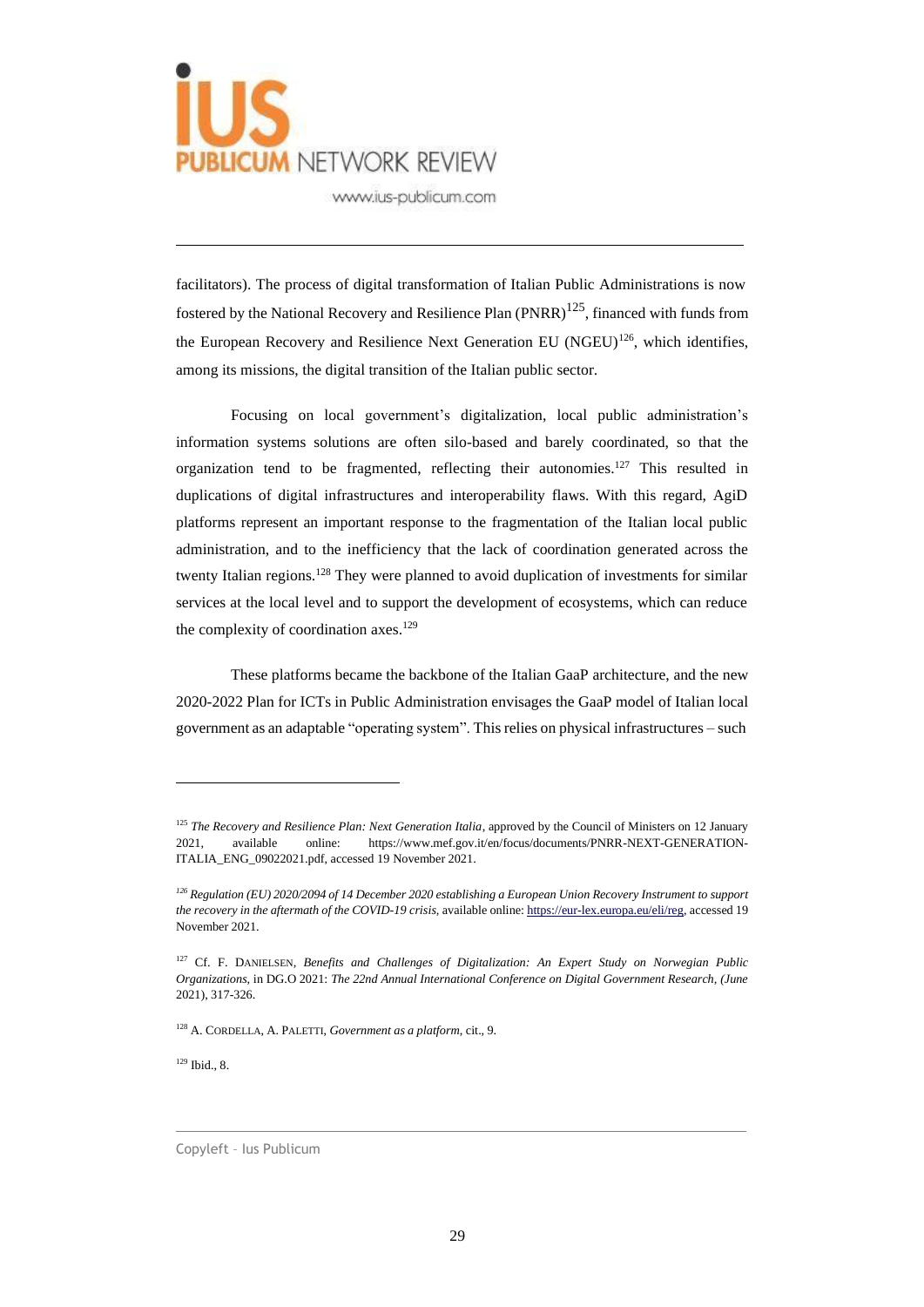

facilitators). The process of digital transformation of Italian Public Administrations is now fostered by the National Recovery and Resilience Plan  $(PNRR)^{125}$ , financed with funds from the European Recovery and Resilience Next Generation EU (NGEU)<sup>126</sup>, which identifies, among its missions, the digital transition of the Italian public sector.

Focusing on local government's digitalization, local public administration's information systems solutions are often silo-based and barely coordinated, so that the organization tend to be fragmented, reflecting their autonomies.<sup>127</sup> This resulted in duplications of digital infrastructures and interoperability flaws. With this regard, AgiD platforms represent an important response to the fragmentation of the Italian local public administration, and to the inefficiency that the lack of coordination generated across the twenty Italian regions.<sup>128</sup> They were planned to avoid duplication of investments for similar services at the local level and to support the development of ecosystems, which can reduce the complexity of coordination axes.<sup>129</sup>

These platforms became the backbone of the Italian GaaP architecture, and the new 2020-2022 Plan for ICTs in Public Administration envisages the GaaP model of Italian local government as an adaptable "operating system". Thisrelies on physical infrastructures – such

<sup>128</sup> A. CORDELLA, A. PALETTI, *Government as a platform*, cit., 9.

<sup>129</sup> Ibid., 8.

<sup>&</sup>lt;sup>125</sup> *The Recovery and Resilience Plan: Next Generation Italia*, approved by the Council of Ministers on 12 January 2021, available online: [https://www.mef.gov.it/en/focus/documents/PNRR-NEXT-GENERATION-](https://www.mef.gov.it/en/focus/documents/PNRR-NEXT-GENERATION-ITALIA_ENG_09022021.pdf)[ITALIA\\_ENG\\_09022021.pdf,](https://www.mef.gov.it/en/focus/documents/PNRR-NEXT-GENERATION-ITALIA_ENG_09022021.pdf) accessed 19 November 2021.

*<sup>126</sup> Regulation (EU) 2020/2094 of 14 December 2020 establishing a European Union Recovery Instrument to support the recovery in the aftermath of the COVID-19 crisis,* available online: [https://eur-lex.europa.eu/eli/reg,](https://eur-lex.europa.eu/eli/reg) accessed 19 November 2021.

<sup>127</sup> Cf. F. DANIELSEN, *Benefits and Challenges of Digitalization: An Expert Study on Norwegian Public Organizations,* in DG.O 2021: *The 22nd Annual International Conference on Digital Government Research, (June* 2021), 317-326.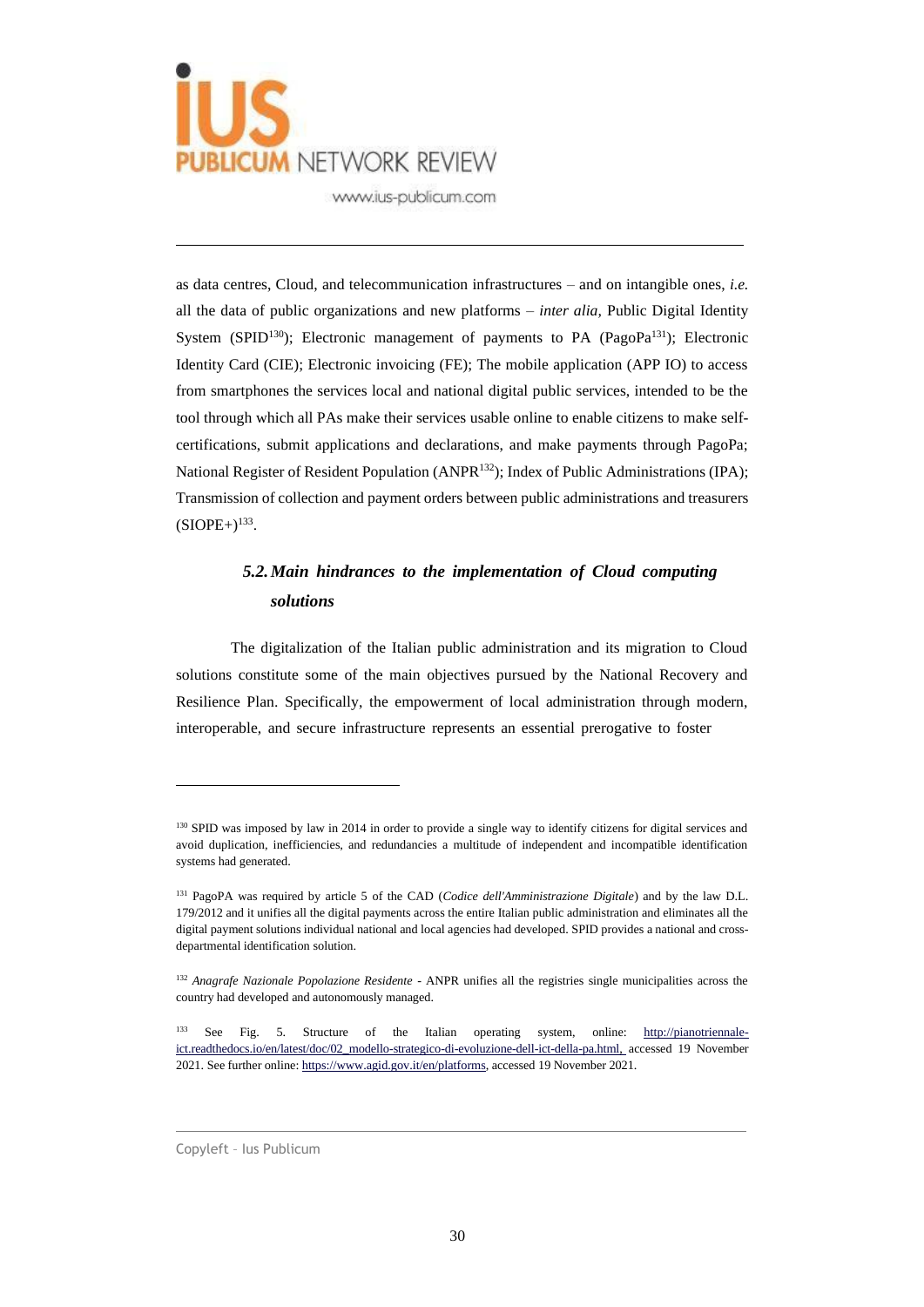

as data centres, Cloud, and telecommunication infrastructures – and on intangible ones, *i.e.* all the data of public organizations and new platforms *– inter alia,* Public Digital Identity System (SPID<sup>130</sup>); Electronic management of payments to PA (PagoPa<sup>131</sup>); Electronic Identity Card (CIE); Electronic invoicing (FE); The mobile application (APP IO) to access from smartphones the services local and national digital public services, intended to be the tool through which all PAs make their services usable online to enable citizens to make selfcertifications, submit applications and declarations, and make payments through PagoPa; National Register of Resident Population (ANPR<sup>132</sup>); Index of Public Administrations (IPA); Transmission of collection and payment orders between public administrations and treasurers  $(SIOPE+)$ <sup>133</sup>.

# *5.2.Main hindrances to the implementation of Cloud computing solutions*

The digitalization of the Italian public administration and its migration to Cloud solutions constitute some of the main objectives pursued by the National Recovery and Resilience Plan. Specifically, the empowerment of local administration through modern, interoperable, and secure infrastructure represents an essential prerogative to foster

<sup>&</sup>lt;sup>130</sup> SPID was imposed by law in 2014 in order to provide a single way to identify citizens for digital services and avoid duplication, inefficiencies, and redundancies a multitude of independent and incompatible identification systems had generated.

<sup>131</sup> PagoPA was required by article 5 of the CAD (*Codice dell'Amministrazione Digitale*) and by the law D.L. 179/2012 and it unifies all the digital payments across the entire Italian public administration and eliminates all the digital payment solutions individual national and local agencies had developed. SPID provides a national and crossdepartmental identification solution.

<sup>132</sup> *Anagrafe Nazionale Popolazione Residente* - ANPR unifies all the registries single municipalities across the country had developed and autonomously managed.

<sup>&</sup>lt;sup>133</sup> See Fig. 5. Structure of the Italian operating system, online: [http://pianotriennale](http://pianotriennale-ict.readthedocs.io/en/latest/doc/02_modello-strategico-di-evoluzione-dell-ict-della-pa.html)[ict.readthedocs.io/en/latest/doc/02\\_modello-strategico-di-evoluzione-dell-ict-della-pa.html, a](http://pianotriennale-ict.readthedocs.io/en/latest/doc/02_modello-strategico-di-evoluzione-dell-ict-della-pa.html)ccessed 19 November 2021. See further online: [https://www.agid.gov.it/en/platforms,](https://www.agid.gov.it/en/platforms) accessed 19 November 2021.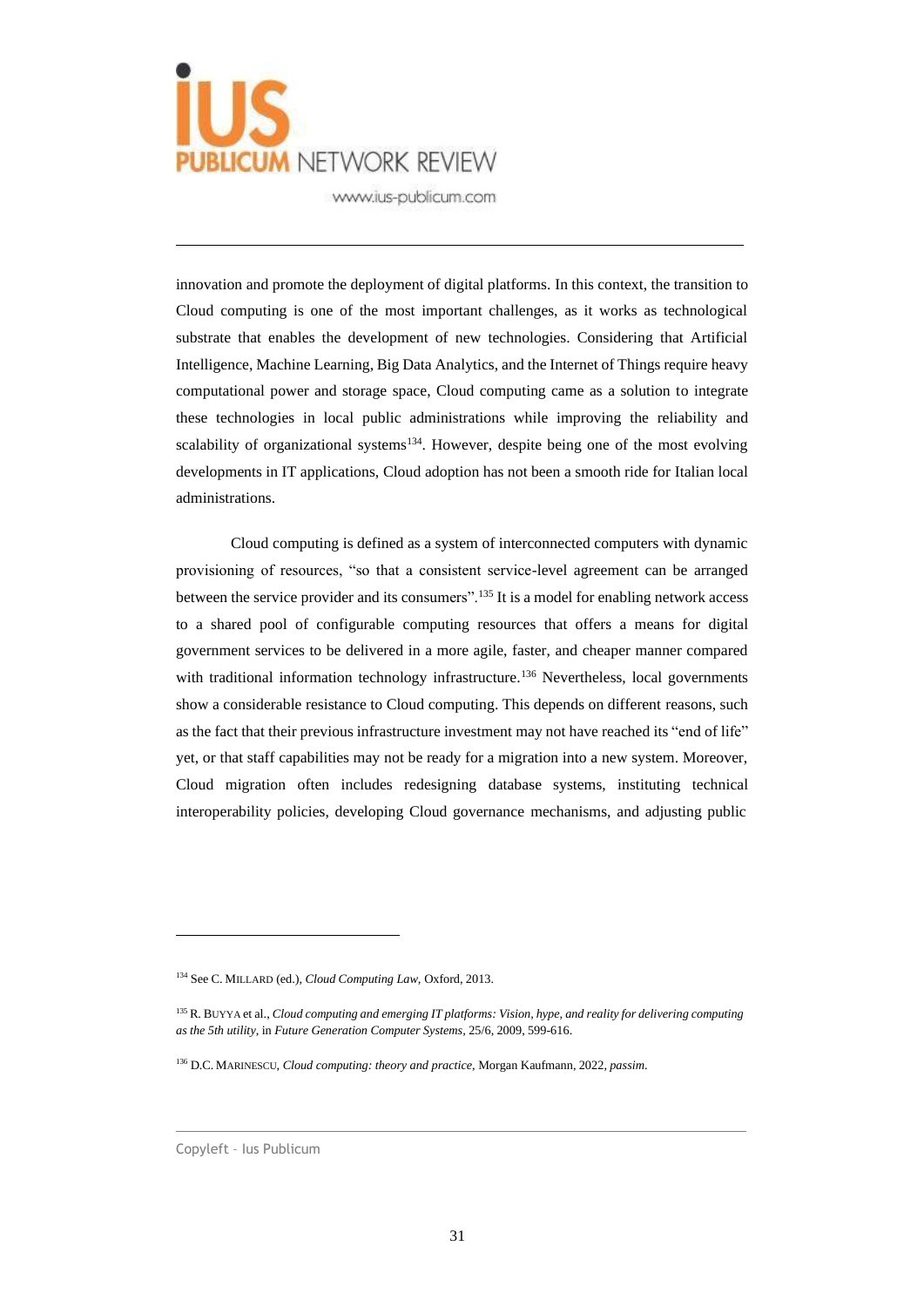

innovation and promote the deployment of digital platforms. In this context, the transition to Cloud computing is one of the most important challenges, as it works as technological substrate that enables the development of new technologies. Considering that Artificial Intelligence, Machine Learning, Big Data Analytics, and the Internet of Things require heavy computational power and storage space, Cloud computing came as a solution to integrate these technologies in local public administrations while improving the reliability and scalability of organizational systems<sup>134</sup>. However, despite being one of the most evolving developments in IT applications, Cloud adoption has not been a smooth ride for Italian local administrations.

Cloud computing is defined as a system of interconnected computers with dynamic provisioning of resources, "so that a consistent service-level agreement can be arranged between the service provider and its consumers".<sup>135</sup> It is a model for enabling network access to a shared pool of configurable computing resources that offers a means for digital government services to be delivered in a more agile, faster, and cheaper manner compared with traditional information technology infrastructure.<sup>136</sup> Nevertheless, local governments show a considerable resistance to Cloud computing. This depends on different reasons, such as the fact that their previous infrastructure investment may not have reached its "end of life" yet, or that staff capabilities may not be ready for a migration into a new system. Moreover, Cloud migration often includes redesigning database systems, instituting technical interoperability policies, developing Cloud governance mechanisms, and adjusting public

<sup>134</sup> See C. MILLARD (ed.), *Cloud Computing Law,* Oxford, 2013.

<sup>135</sup> R. BUYYA et al., *Cloud computing and emerging IT platforms: Vision, hype, and reality for delivering computing as the 5th utility*, in *Future Generation Computer Systems,* 25/6, 2009, 599-616.

<sup>136</sup> D.C. MARINESCU, *Cloud computing: theory and practice*, Morgan Kaufmann, 2022*, passim*.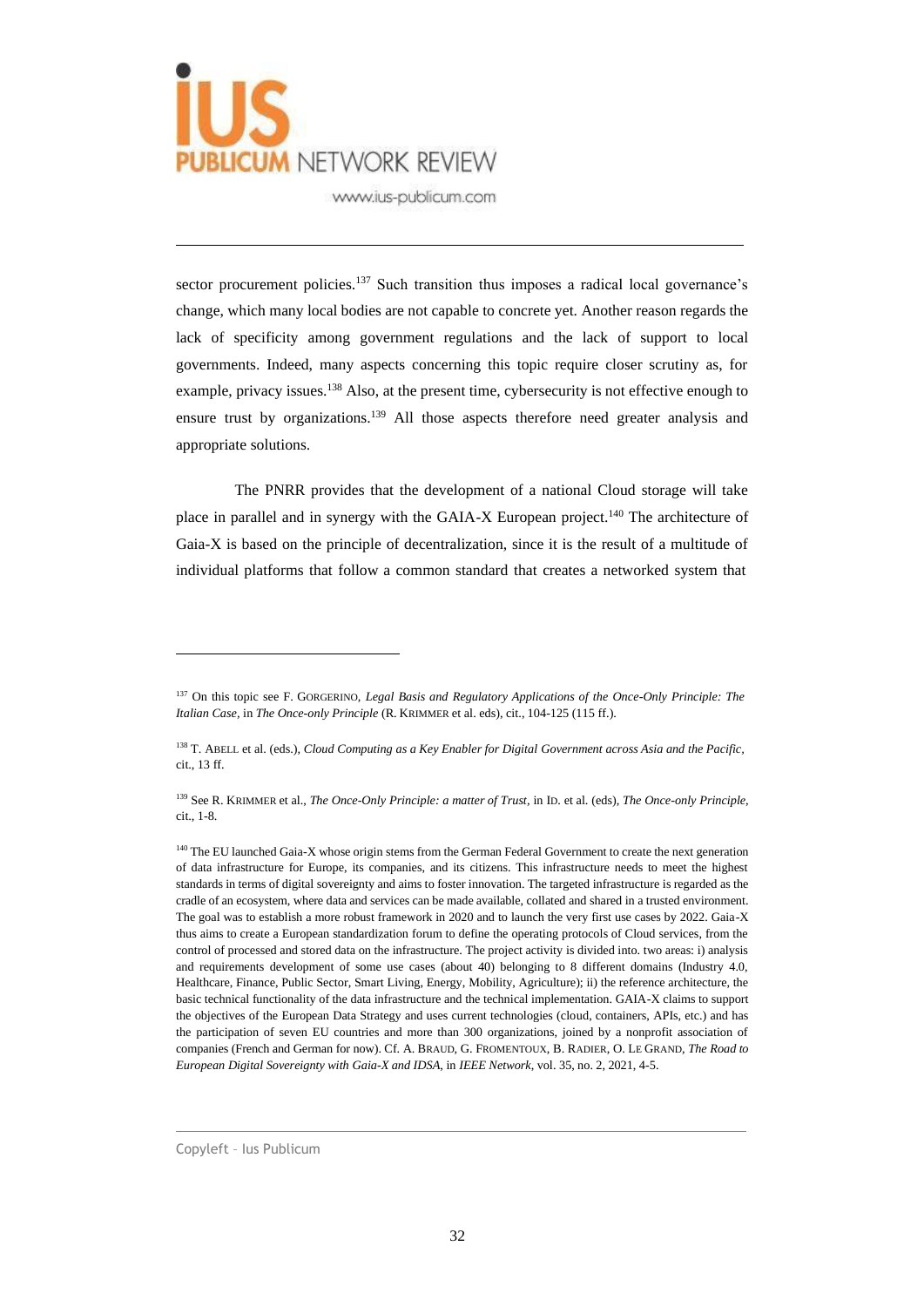

sector procurement policies.<sup>137</sup> Such transition thus imposes a radical local governance's change, which many local bodies are not capable to concrete yet. Another reason regards the lack of specificity among government regulations and the lack of support to local governments. Indeed, many aspects concerning this topic require closer scrutiny as, for example, privacy issues.<sup>138</sup> Also, at the present time, cybersecurity is not effective enough to ensure trust by organizations.<sup>139</sup> All those aspects therefore need greater analysis and appropriate solutions.

The PNRR provides that the development of a national Cloud storage will take place in parallel and in synergy with the GAIA-X European project.<sup>140</sup> The architecture of Gaia-X is based on the principle of decentralization, since it is the result of a multitude of individual platforms that follow a common standard that creates a networked system that

<sup>137</sup> On this topic see F. GORGERINO, *Legal Basis and Regulatory Applications of the Once-Only Principle: The Italian Case,* in *The Once-only Principle* (R. KRIMMER et al. eds), cit., 104-125 (115 ff.).

<sup>138</sup> T. ABELL et al. (eds.), *Cloud Computing as a Key Enabler for Digital Government across Asia and the Pacific,* cit., 13 ff.

<sup>139</sup> See R. KRIMMER et al., *The Once-Only Principle: a matter of Trust,* in ID. et al. (eds), *The Once-only Principle*, cit., 1-8.

<sup>&</sup>lt;sup>140</sup> The EU launched Gaia-X whose origin stems from the German Federal Government to create the next generation of data infrastructure for Europe, its companies, and its citizens. This infrastructure needs to meet the highest standards in terms of digital sovereignty and aims to foster innovation. The targeted infrastructure is regarded as the cradle of an ecosystem, where data and services can be made available, collated and shared in a trusted environment. The goal was to establish a more robust framework in 2020 and to launch the very first use cases by 2022. Gaia-X thus aims to create a European standardization forum to define the operating protocols of Cloud services, from the control of processed and stored data on the infrastructure. The project activity is divided into. two areas: i) analysis and requirements development of some use cases (about 40) belonging to 8 different domains (Industry 4.0, Healthcare, Finance, Public Sector, Smart Living, Energy, Mobility, Agriculture); ii) the reference architecture, the basic technical functionality of the data infrastructure and the technical implementation. GAIA-X claims to support the objectives of the European Data Strategy and uses current technologies (cloud, containers, APIs, etc.) and has the participation of seven EU countries and more than 300 organizations, joined by a nonprofit association of companies (French and German for now). Cf. A. BRAUD, G. FROMENTOUX, B. RADIER, O. LE GRAND, *The Road to European Digital Sovereignty with Gaia-X and IDSA*, in *IEEE Network*, vol. 35, no. 2, 2021, 4-5.

Copyleft – Ius Publicum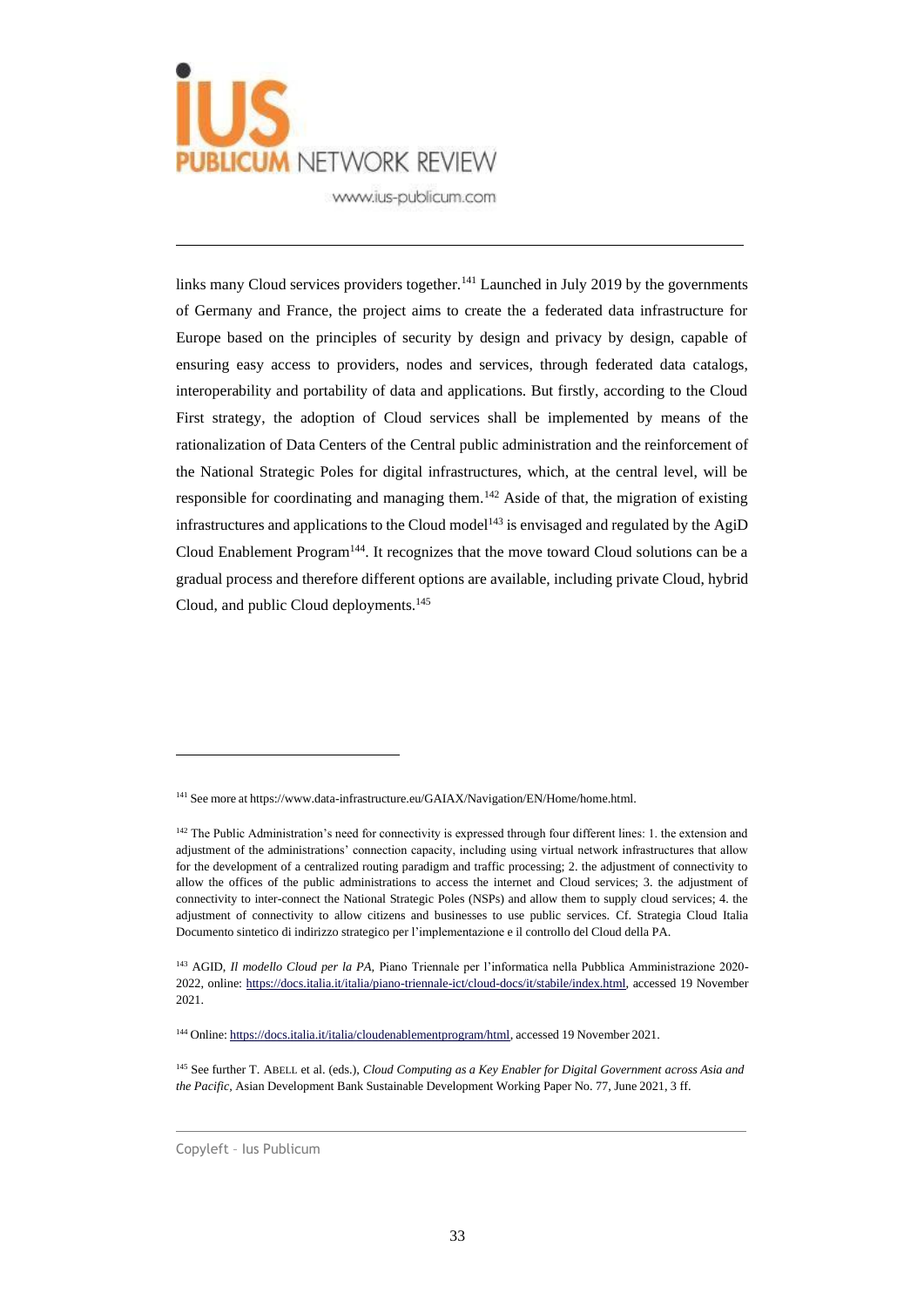

links many Cloud services providers together.<sup>141</sup> Launched in July 2019 by the governments of Germany and France, the project aims to create the a federated data infrastructure for Europe based on the principles of security by design and privacy by design, capable of ensuring easy access to providers, nodes and services, through federated data catalogs, interoperability and portability of data and applications. But firstly, according to the Cloud First strategy, the adoption of Cloud services shall be implemented by means of the rationalization of Data Centers of the Central public administration and the reinforcement of the National Strategic Poles for digital infrastructures, which, at the central level, will be responsible for coordinating and managing them.<sup>142</sup> Aside of that, the migration of existing infrastructures and applications to the Cloud model<sup>143</sup> is envisaged and regulated by the AgiD Cloud Enablement Program<sup>144</sup>. It recognizes that the move toward Cloud solutions can be a gradual process and therefore different options are available, including private Cloud, hybrid Cloud, and public Cloud deployments.<sup>145</sup>

<sup>&</sup>lt;sup>141</sup> See more at [https://www.data-infrastructure.eu/GAIAX/Navigation/EN/Home/home.html.](https://www.data-infrastructure.eu/GAIAX/Navigation/EN/Home/home.html)

<sup>&</sup>lt;sup>142</sup> The Public Administration's need for connectivity is expressed through four different lines: 1. the extension and adjustment of the administrations' connection capacity, including using virtual network infrastructures that allow for the development of a centralized routing paradigm and traffic processing; 2. the adjustment of connectivity to allow the offices of the public administrations to access the internet and Cloud services; 3. the adjustment of connectivity to inter-connect the National Strategic Poles (NSPs) and allow them to supply cloud services; 4. the adjustment of connectivity to allow citizens and businesses to use public services. Cf. Strategia Cloud Italia Documento sintetico di indirizzo strategico per l'implementazione e il controllo del Cloud della PA.

<sup>143</sup> AGID, *Il modello Cloud per la PA,* Piano Triennale per l'informatica nella Pubblica Amministrazione 2020- 2022, online[: https://docs.italia.it/italia/piano-triennale-ict/cloud-docs/it/stabile/index.html, a](https://docs.italia.it/italia/piano-triennale-ict/cloud-docs/it/stabile/index.html)ccessed 19 November 2021.

<sup>144</sup> Online: [https://docs.italia.it/italia/cloudenablementprogram/html,](https://docs.italia.it/italia/cloudenablementprogram/html) accessed 19 November 2021.

<sup>145</sup> See further T. ABELL et al. (eds.), *Cloud Computing as a Key Enabler for Digital Government across Asia and the Pacific,* Asian Development Bank Sustainable Development Working Paper No. 77, June 2021, 3 ff.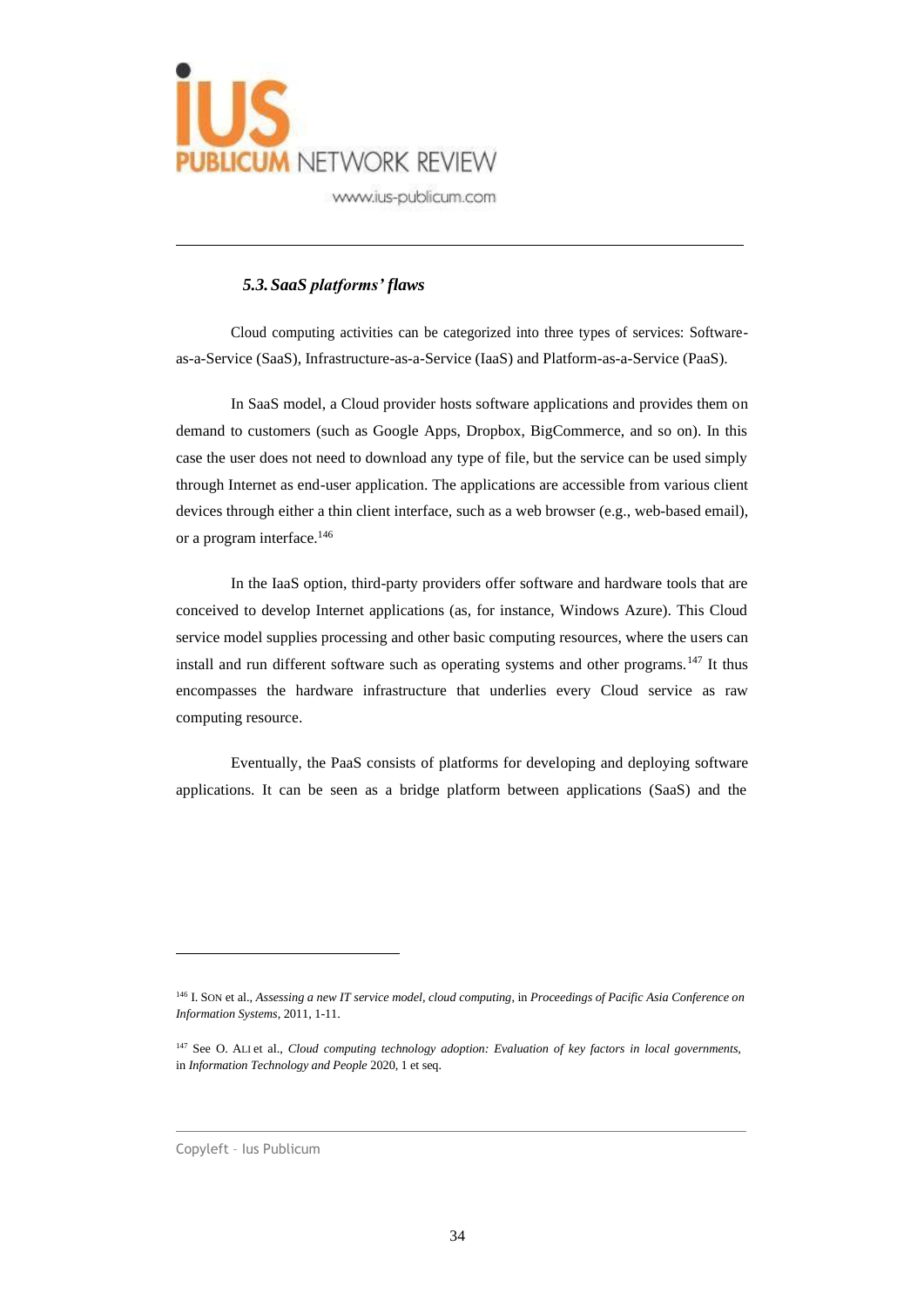

### *5.3.SaaS platforms' flaws*

Cloud computing activities can be categorized into three types of services: Softwareas-a-Service (SaaS), Infrastructure-as-a-Service (IaaS) and Platform-as-a-Service (PaaS).

In SaaS model, a Cloud provider hosts software applications and provides them on demand to customers (such as Google Apps, Dropbox, BigCommerce, and so on). In this case the user does not need to download any type of file, but the service can be used simply through Internet as end-user application. The applications are accessible from various client devices through either a thin client interface, such as a web browser (e.g., web-based email), or a program interface.<sup>146</sup>

In the IaaS option, third-party providers offer software and hardware tools that are conceived to develop Internet applications (as, for instance, Windows Azure). This Cloud service model supplies processing and other basic computing resources, where the users can install and run different software such as operating systems and other programs.<sup>147</sup> It thus encompasses the hardware infrastructure that underlies every Cloud service as raw computing resource.

Eventually, the PaaS consists of platforms for developing and deploying software applications. It can be seen as a bridge platform between applications (SaaS) and the

<sup>146</sup> I. SON et al., *Assessing a new IT service model, cloud computing*, in *Proceedings of Pacific Asia Conference on Information Systems*, 2011, 1-11.

<sup>147</sup> See O. ALI et al., *Cloud computing technology adoption: Evaluation of key factors in local governments,* in *Information Technology and People* 2020, 1 et seq.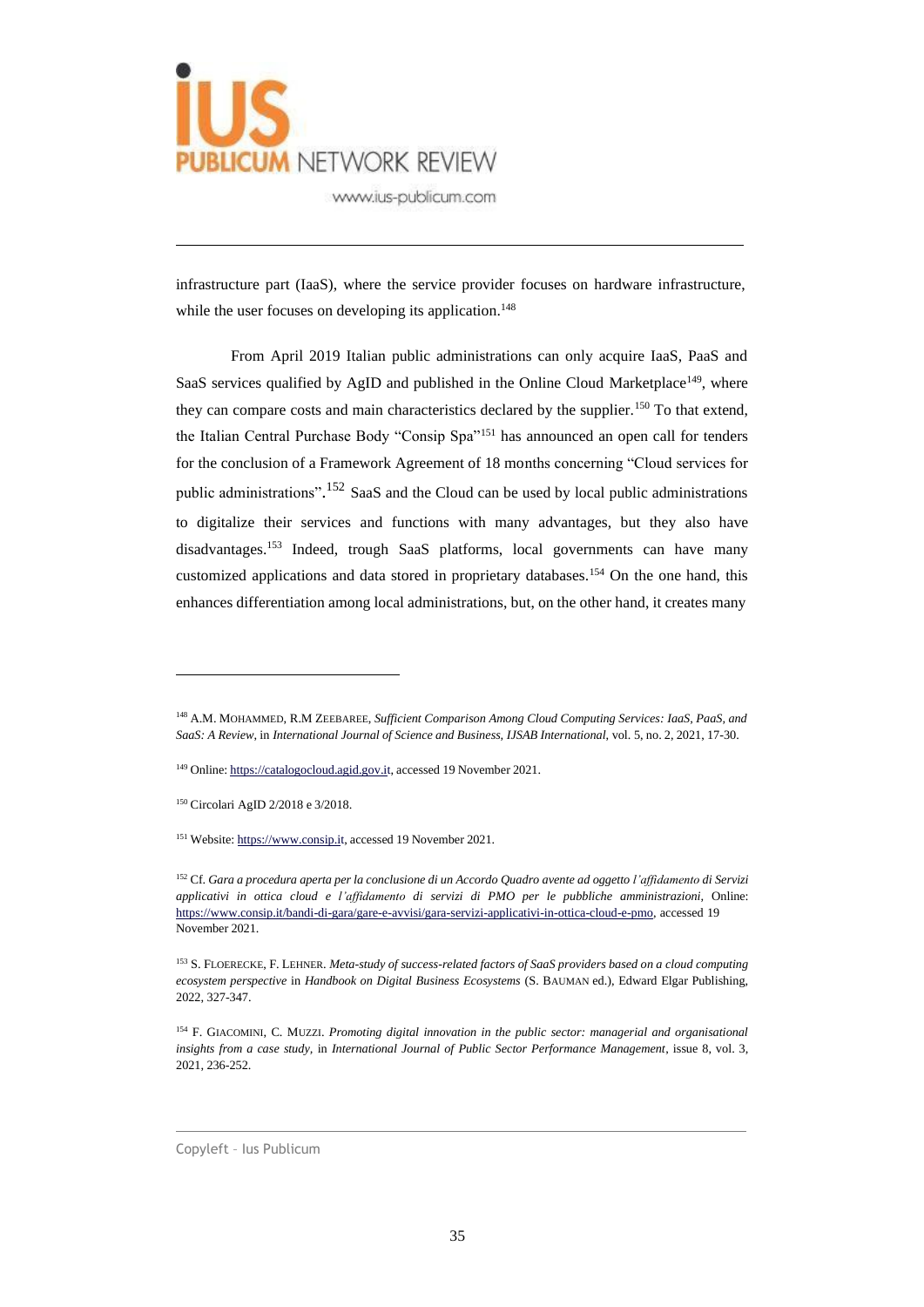

infrastructure part (IaaS), where the service provider focuses on hardware infrastructure, while the user focuses on developing its application.<sup>148</sup>

From April 2019 Italian public administrations can only acquire IaaS, PaaS and SaaS services qualified by AgID and published in the Online Cloud Marketplace<sup>149</sup>, where they can compare costs and main characteristics declared by the supplier.<sup>150</sup> To that extend, the Italian Central Purchase Body "Consip Spa"<sup>151</sup> has announced an open call for tenders for the conclusion of a Framework Agreement of 18 months concerning "Cloud services for public administrations".<sup>152</sup> SaaS and the Cloud can be used by local public administrations to digitalize their services and functions with many advantages, but they also have disadvantages.<sup>153</sup> Indeed, trough SaaS platforms, local governments can have many customized applications and data stored in proprietary databases.<sup>154</sup> On the one hand, this enhances differentiation among local administrations, but, on the other hand, it creates many

<sup>149</sup> Online: [https://catalogocloud.agid.gov.it,](https://catalogocloud.agid.gov.it/) accessed 19 November 2021.

<sup>150</sup> Circolari AgID 2/2018 e 3/2018.

<sup>151</sup> Website: [https://www.consip.it,](https://www.consip.it/) accessed 19 November 2021.

<sup>148</sup> A.M. MOHAMMED, R.M ZEEBAREE, *Sufficient Comparison Among Cloud Computing Services: IaaS, PaaS, and SaaS: A Review*, in *International Journal of Science and Business, IJSAB International*, vol. 5, no. 2, 2021, 17-30.

<sup>&</sup>lt;sup>152</sup> Cf. Gara a procedura aperta per la conclusione di un Accordo Quadro avente ad oggetto l'affidamento di Servizi *applicativi in ottica cloud e l'affidamento di servizi di PMO per le pubbliche amministrazioni,* Online: [https://www.consip.it/bandi-di-gara/gare-e-avvisi/gara-servizi-applicativi-in-ottica-cloud-e-pmo,](https://www.consip.it/bandi-di-gara/gare-e-avvisi/gara-servizi-applicativi-in-ottica-cloud-e-pmo) accessed 19 November 2021.

<sup>153</sup> S. FLOERECKE, F. LEHNER. *Meta-study of success-related factors of SaaS providers based on a cloud computing ecosystem perspective* in *Handbook on Digital Business Ecosystems* (S. BAUMAN ed.), Edward Elgar Publishing, 2022, 327-347.

<sup>154</sup> F. GIACOMINI, C. MUZZI. *Promoting digital innovation in the public sector: managerial and organisational insights from a case study,* in *International Journal of Public Sector Performance Management*, issue 8, vol. 3, 2021, 236-252.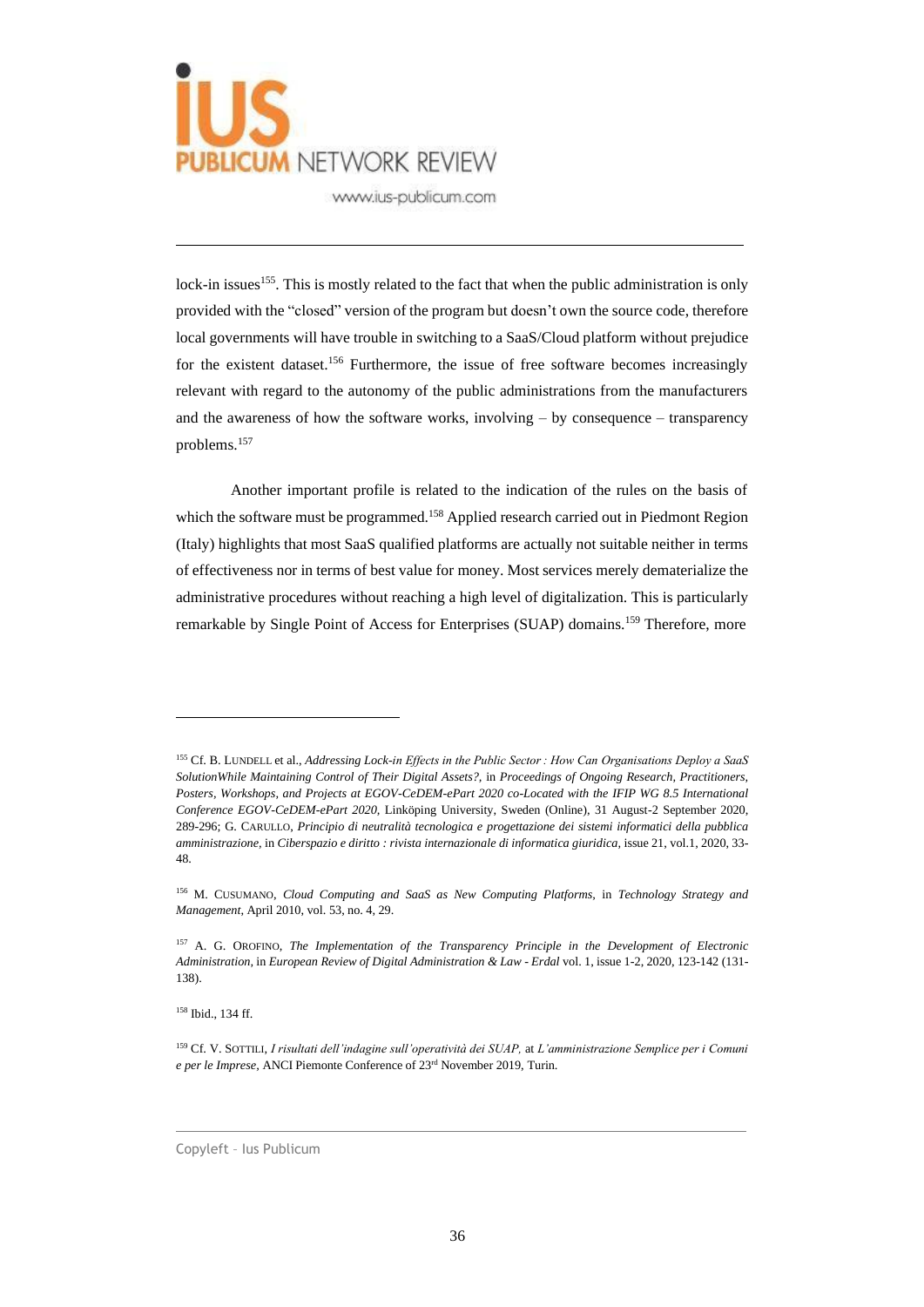

lock-in issues<sup>155</sup>. This is mostly related to the fact that when the public administration is only provided with the "closed" version of the program but doesn't own the source code, therefore local governments will have trouble in switching to a SaaS/Cloud platform without prejudice for the existent dataset.<sup>156</sup> Furthermore, the issue of free software becomes increasingly relevant with regard to the autonomy of the public administrations from the manufacturers and the awareness of how the software works, involving  $-$  by consequence  $-$  transparency problems.<sup>157</sup>

Another important profile is related to the indication of the rules on the basis of which the software must be programmed.<sup>158</sup> Applied research carried out in Piedmont Region (Italy) highlights that most SaaS qualified platforms are actually not suitable neither in terms of effectiveness nor in terms of best value for money. Most services merely dematerialize the administrative procedures without reaching a high level of digitalization. This is particularly remarkable by Single Point of Access for Enterprises (SUAP) domains.<sup>159</sup> Therefore, more

<sup>158</sup> Ibid., 134 ff.

<sup>155</sup> Cf. B. LUNDELL et al., *Addressing Lock-in Effects in the Public Sector : How Can Organisations Deploy a SaaS SolutionWhile Maintaining Control of Their Digital Assets?,* in *Proceedings of Ongoing Research, Practitioners, Posters, Workshops, and Projects at EGOV-CeDEM-ePart 2020 co-Located with the IFIP WG 8.5 International Conference EGOV-CeDEM-ePart 2020,* Linköping University, Sweden (Online), 31 August-2 September 2020, 289-296; G. CARULLO, *Principio di neutralità tecnologica e progettazione dei sistemi informatici della pubblica amministrazione,* in *Ciberspazio e diritto : rivista internazionale di informatica giuridica,* issue 21, vol.1, 2020, 33- 48.

<sup>156</sup> M. CUSUMANO, *Cloud Computing and SaaS as New Computing Platforms,* in *Technology Strategy and Management*, April 2010, vol. 53, no. 4, 29.

<sup>157</sup> A. G. OROFINO, *The Implementation of the Transparency Principle in the Development of Electronic Administration,* in *European Review of Digital Administration & Law - Erdal* vol. 1, issue 1-2, 2020, 123-142 (131- 138).

<sup>159</sup> Cf. V. SOTTILI, *I risultati dell'indagine sull'operatività dei SUAP,* at *L'amministrazione Semplice per i Comuni e per le Imprese,* ANCI Piemonte Conference of 23rd November 2019, Turin.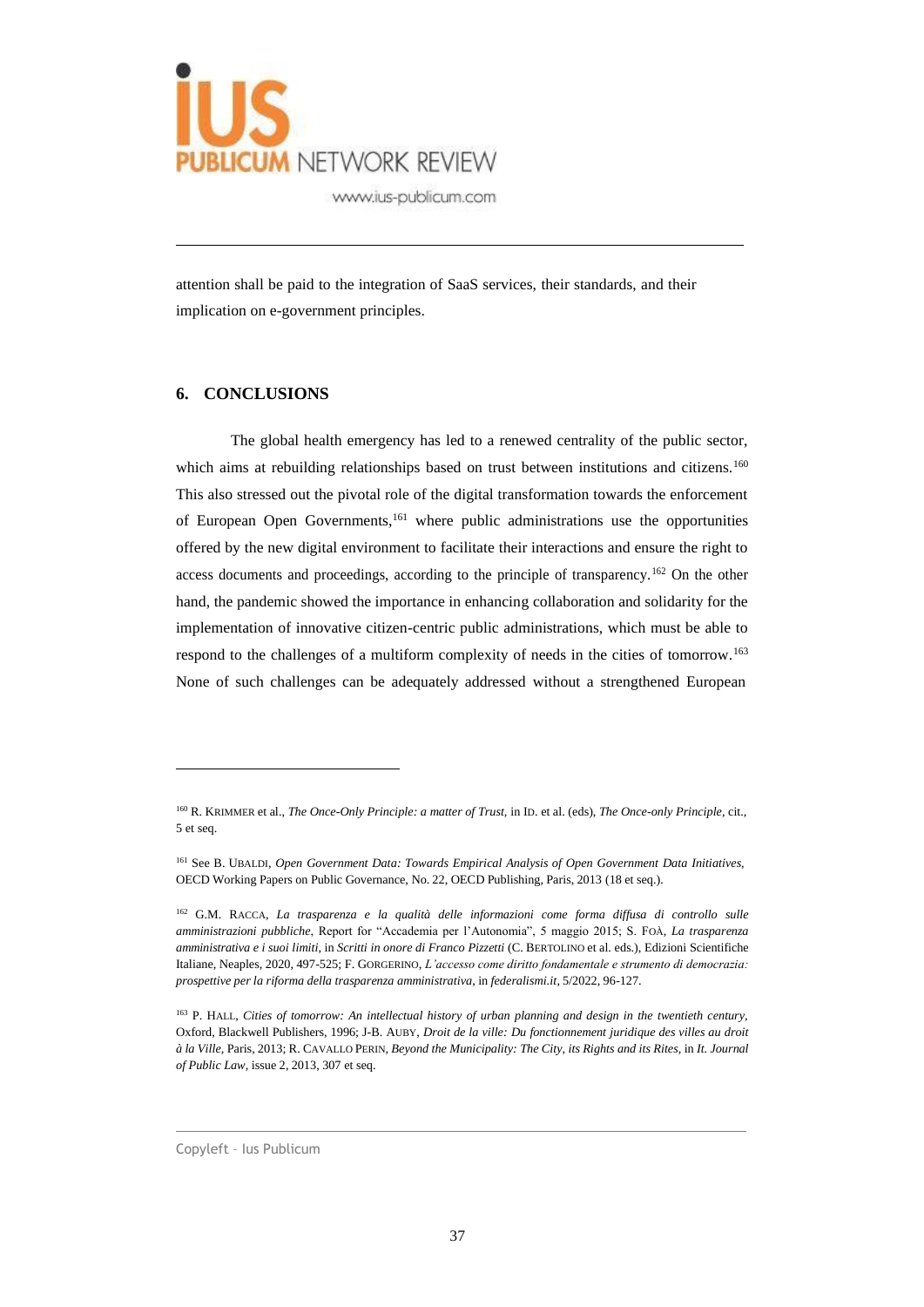

attention shall be paid to the integration of SaaS services, their standards, and their implication on e-government principles.

### **6. CONCLUSIONS**

The global health emergency has led to a renewed centrality of the public sector, which aims at rebuilding relationships based on trust between institutions and citizens.<sup>160</sup> This also stressed out the pivotal role of the digital transformation towards the enforcement of European Open Governments,<sup>161</sup> where public administrations use the opportunities offered by the new digital environment to facilitate their interactions and ensure the right to access documents and proceedings, according to the principle of transparency.<sup>162</sup> On the other hand, the pandemic showed the importance in enhancing collaboration and solidarity for the implementation of innovative citizen-centric public administrations, which must be able to respond to the challenges of a multiform complexity of needs in the cities of tomorrow.<sup>163</sup> None of such challenges can be adequately addressed without a strengthened European

<sup>160</sup> R. KRIMMER et al., *The Once-Only Principle: a matter of Trust,* in ID. et al. (eds), *The Once-only Principle*, cit., 5 et seq.

<sup>161</sup> See B. UBALDI, *Open Government Data: Towards Empirical Analysis of Open Government Data Initiatives,* OECD Working Papers on Public Governance, No. 22, OECD Publishing, Paris, 2013 (18 et seq.).

<sup>162</sup> G.M. RACCA, *La trasparenza e la qualità delle informazioni come forma diffusa di controllo sulle amministrazioni pubbliche*, Report for "Accademia per l'Autonomia", 5 maggio 2015; S. FOÀ, *La trasparenza amministrativa e i suoi limiti*, in *Scritti in onore di Franco Pizzetti* (C. BERTOLINO et al. eds.), Edizioni Scientifiche Italiane, Neaples, 2020, 497-525; F. GORGERINO, *L'accesso come diritto fondamentale e strumento di democrazia: prospettive per la riforma della trasparenza amministrativa*, in *federalismi.it*, 5/2022, 96-127.

<sup>163</sup> P. HALL, *Cities of tomorrow: An intellectual history of urban planning and design in the twentieth century,* Oxford, Blackwell Publishers, 1996; J-B. AUBY, *Droit de la ville: Du fonctionnement juridique des villes au droit à la Ville,* Paris, 2013; R. CAVALLO PERIN, *Beyond the Municipality: The City, its Rights and its Rites,* in *It. Journal of Public Law,* issue 2, 2013, 307 et seq.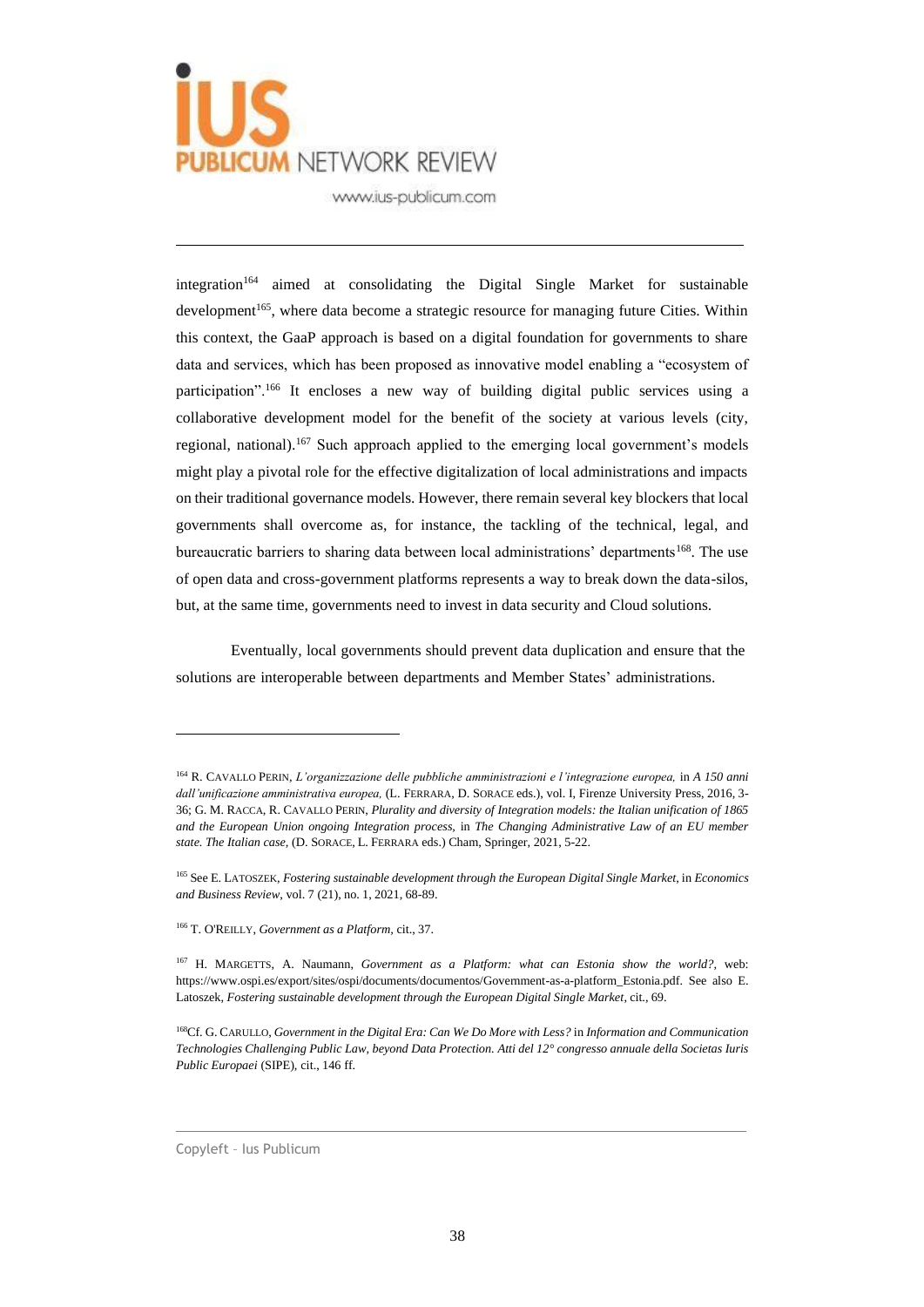

integration<sup>164</sup> aimed at consolidating the Digital Single Market for sustainable development<sup>165</sup>, where data become a strategic resource for managing future Cities. Within this context, the GaaP approach is based on a digital foundation for governments to share data and services, which has been proposed as innovative model enabling a "ecosystem of participation".<sup>166</sup> It encloses a new way of building digital public services using a collaborative development model for the benefit of the society at various levels (city, regional, national).<sup>167</sup> Such approach applied to the emerging local government's models might play a pivotal role for the effective digitalization of local administrations and impacts on their traditional governance models. However, there remain several key blockers that local governments shall overcome as, for instance, the tackling of the technical, legal, and bureaucratic barriers to sharing data between local administrations' departments<sup>168</sup>. The use of open data and cross-government platforms represents a way to break down the data-silos, but, at the same time, governments need to invest in data security and Cloud solutions.

Eventually, local governments should prevent data duplication and ensure that the solutions are interoperable between departments and Member States' administrations.

<sup>164</sup> R. CAVALLO PERIN, *L'organizzazione delle pubbliche amministrazioni e l'integrazione europea,* in *A 150 anni dall'unificazione amministrativa europea,* (L. FERRARA, D. SORACE eds.), vol. I, Firenze University Press, 2016, 3- 36; G. M. RACCA, R. CAVALLO PERIN, *Plurality and diversity of Integration models: the Italian unification of 1865 and the European Union ongoing Integration process,* in *The Changing Administrative Law of an EU member state. The Italian case,* (D. SORACE, L. FERRARA eds.) Cham, Springer, 2021, 5-22.

<sup>165</sup> See E. LATOSZEK, *Fostering sustainable development through the European Digital Single Market*, in *Economics and Business Review*, vol. 7 (21), no. 1, 2021, 68-89.

<sup>166</sup> T. O'REILLY, *Government as a Platform,* cit., 37.

<sup>167</sup> H. MARGETTS, A. Naumann, *Government as a Platform: what can Estonia show the world?,* web: [https://www.ospi.es/export/sites/ospi/documents/documentos/Government-as-a-platform\\_Estonia.pdf.](https://www.ospi.es/export/sites/ospi/documents/documentos/Government-as-a-platform_Estonia.pdf) See also E. Latoszek, *Fostering sustainable development through the European Digital Single Market*, cit., 69.

<sup>168</sup>Cf. G. CARULLO, *Government in the Digital Era: Can We Do More with Less?* in *Information and Communication Technologies Challenging Public Law, beyond Data Protection. Atti del 12° congresso annuale della Societas Iuris Public Europaei* (SIPE), cit., 146 ff.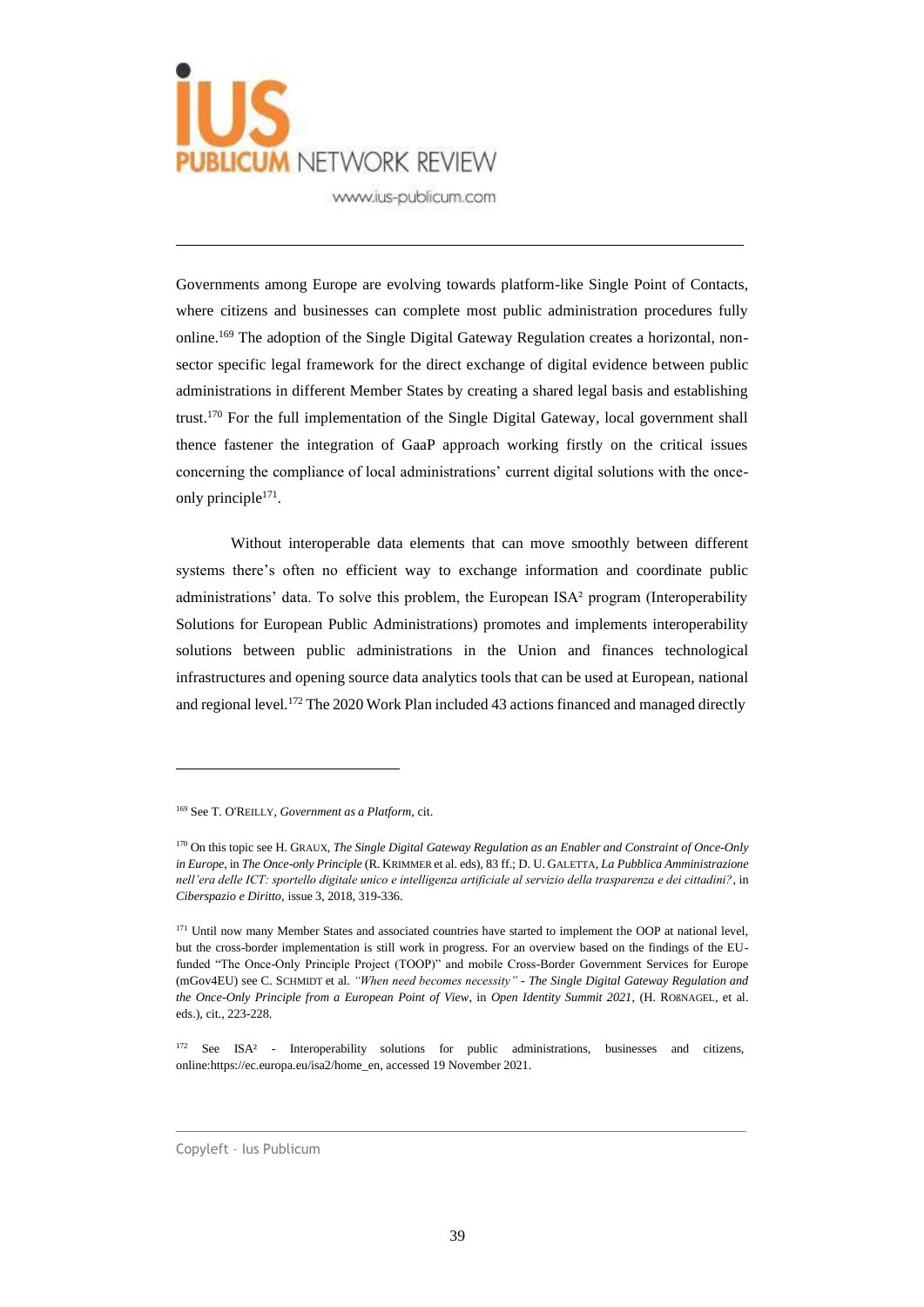

Governments among Europe are evolving towards platform-like Single Point of Contacts, where citizens and businesses can complete most public administration procedures fully online.<sup>169</sup> The adoption of the Single Digital Gateway Regulation creates a horizontal, nonsector specific legal framework for the direct exchange of digital evidence between public administrations in different Member States by creating a shared legal basis and establishing trust.<sup>170</sup> For the full implementation of the Single Digital Gateway, local government shall thence fastener the integration of GaaP approach working firstly on the critical issues concerning the compliance of local administrations' current digital solutions with the onceonly principle<sup>171</sup>.

Without interoperable data elements that can move smoothly between different systems there's often no efficient way to exchange information and coordinate public administrations' data. To solve this problem, the European ISA² program (Interoperability Solutions for European Public Administrations) promotes and implements interoperability solutions between public administrations in the Union and finances technological infrastructures and opening source data analytics tools that can be used at European, national and regional level.<sup>172</sup> The 2020 Work Plan included 43 actions financed and managed directly

<sup>169</sup> See T. O'REILLY, *Government as a Platform,* cit.

<sup>170</sup> On this topic see H. GRAUX, *The Single Digital Gateway Regulation as an Enabler and Constraint of Once-Only in Europe,* in *The Once-only Principle* (R. KRIMMER et al. eds), 83 ff.; D. U. GALETTA, *La Pubblica Amministrazione nell'era delle ICT: sportello digitale unico e intelligenza artificiale al servizio della trasparenza e dei cittadini?*, in *Ciberspazio e Diritto,* issue 3, 2018, 319-336.

<sup>&</sup>lt;sup>171</sup> Until now many Member States and associated countries have started to implement the OOP at national level, but the cross-border implementation is still work in progress. For an overview based on the findings of the EUfunded "The Once-Only Principle Project (TOOP)" and mobile Cross-Border Government Services for Europe (mGov4EU) see C. SCHMIDT et al. *"When need becomes necessity" - The Single Digital Gateway Regulation and the Once-Only Principle from a European Point of View,* in *Open Identity Summit 2021*, (H. ROßNAGEL, et al. eds.), cit., 223-228.

<sup>172</sup> See ISA² - Interoperability solutions for public administrations, businesses and citizens, onlin[e:https://ec.europa.eu/isa2/home\\_en,](https://ec.europa.eu/isa2/home_en) accessed 19 November 2021.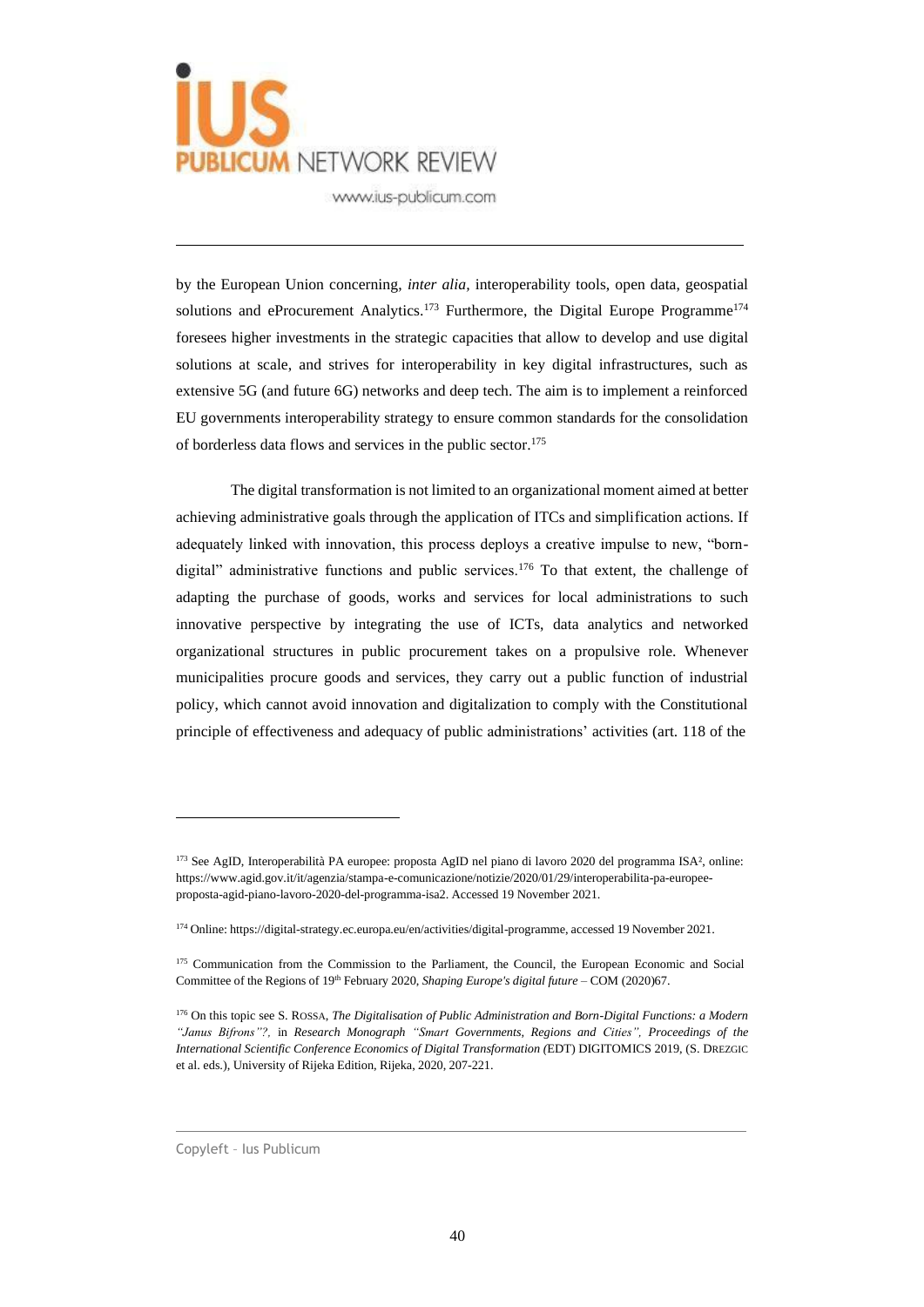

by the European Union concerning, *inter alia,* interoperability tools, open data, geospatial solutions and eProcurement Analytics.<sup>173</sup> Furthermore, the Digital Europe Programme<sup>174</sup> foresees higher investments in the strategic capacities that allow to develop and use digital solutions at scale, and strives for interoperability in key digital infrastructures, such as extensive 5G (and future 6G) networks and deep tech. The aim is to implement a reinforced EU governments interoperability strategy to ensure common standards for the consolidation of borderless data flows and services in the public sector.<sup>175</sup>

The digital transformation is not limited to an organizational moment aimed at better achieving administrative goals through the application of ITCs and simplification actions. If adequately linked with innovation, this process deploys a creative impulse to new, "borndigital" administrative functions and public services.<sup>176</sup> To that extent, the challenge of adapting the purchase of goods, works and services for local administrations to such innovative perspective by integrating the use of ICTs, data analytics and networked organizational structures in public procurement takes on a propulsive role. Whenever municipalities procure goods and services, they carry out a public function of industrial policy, which cannot avoid innovation and digitalization to comply with the Constitutional principle of effectiveness and adequacy of public administrations' activities (art. 118 of the

<sup>173</sup> See AgID, Interoperabilità PA europee: proposta AgID nel piano di lavoro 2020 del programma ISA<sup>2</sup>, online: [https://www.agid.gov.it/it/agenzia/stampa-e-comunicazione/notizie/2020/01/29/interoperabilita-pa-europee](https://www.agid.gov.it/it/agenzia/stampa-e-comunicazione/notizie/2020/01/29/interoperabilita-pa-europee-proposta-agid-piano-lavoro-2020-del-programma-isa2)[proposta-agid-piano-lavoro-2020-del-programma-isa2.](https://www.agid.gov.it/it/agenzia/stampa-e-comunicazione/notizie/2020/01/29/interoperabilita-pa-europee-proposta-agid-piano-lavoro-2020-del-programma-isa2) Accessed 19 November 2021.

<sup>174</sup> Online: [https://digital-strategy.ec.europa.eu/en/activities/digital-programme,](https://digital-strategy.ec.europa.eu/en/activities/digital-programme) accessed 19 November 2021.

<sup>&</sup>lt;sup>175</sup> Communication from the Commission to the Parliament, the Council, the European Economic and Social Committee of the Regions of 19<sup>th</sup> February 2020, *Shaping Europe's digital future* – COM (2020)67.

<sup>176</sup> On this topic see S. ROSSA, *The Digitalisation of Public Administration and Born-Digital Functions: a Modern "Janus Bifrons"?,* in *Research Monograph "Smart Governments, Regions and Cities", Proceedings of the International Scientific Conference Economics of Digital Transformation (*EDT) DIGITOMICS 2019, (S. DREZGIC et al. eds.), University of Rijeka Edition, Rijeka, 2020, 207-221.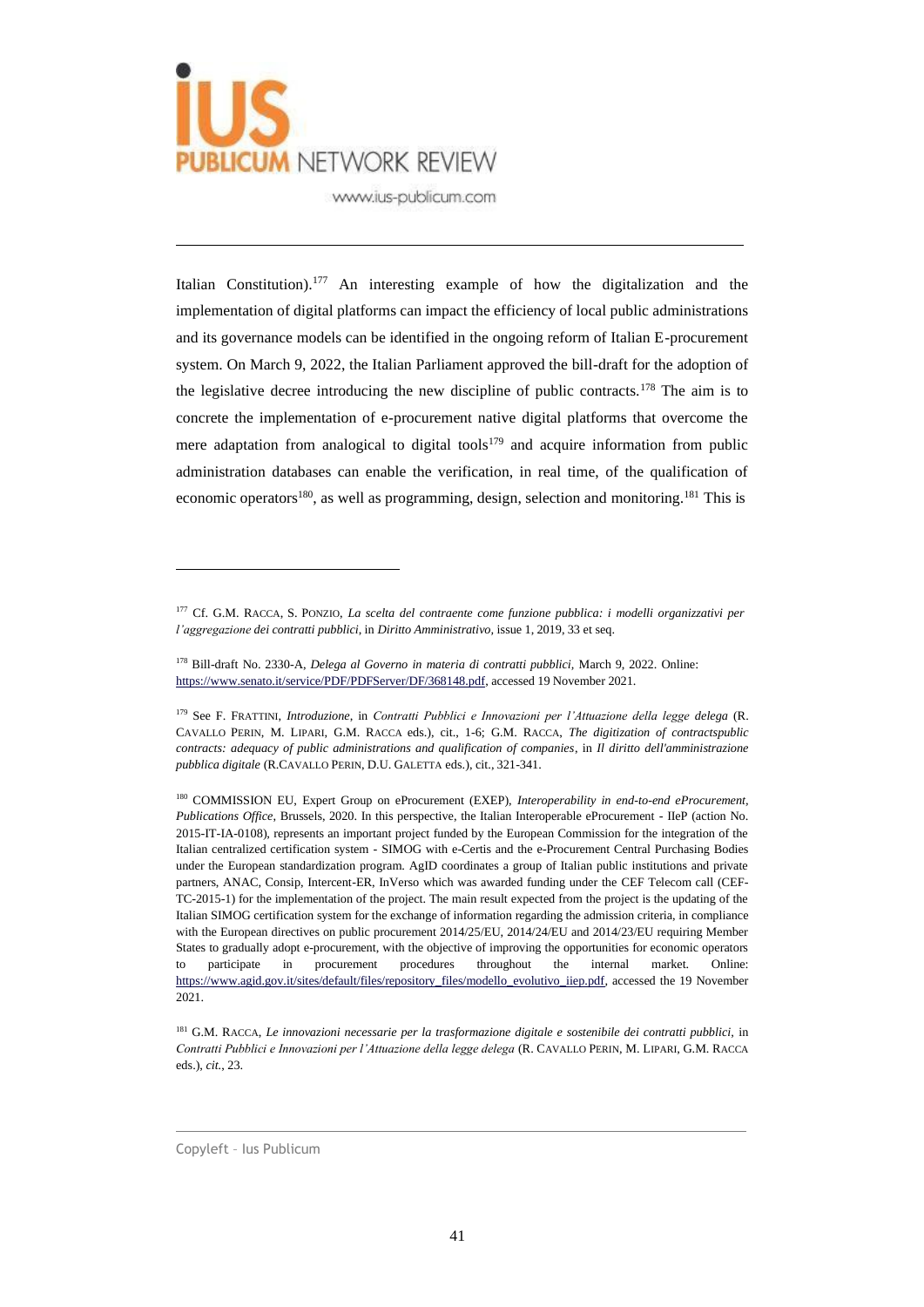

Italian Constitution).<sup>177</sup> An interesting example of how the digitalization and the implementation of digital platforms can impact the efficiency of local public administrations and its governance models can be identified in the ongoing reform of Italian E-procurement system. On March 9, 2022, the Italian Parliament approved the bill-draft for the adoption of the legislative decree introducing the new discipline of public contracts.<sup>178</sup> The aim is to concrete the implementation of e-procurement native digital platforms that overcome the mere adaptation from analogical to digital tools<sup>179</sup> and acquire information from public administration databases can enable the verification, in real time, of the qualification of economic operators<sup>180</sup>, as well as programming, design, selection and monitoring.<sup>181</sup> This is

<sup>177</sup> Cf. G.M. RACCA, S. PONZIO, *La scelta del contraente come funzione pubblica: i modelli organizzativi per l'aggregazione dei contratti pubblici*, in *Diritto Amministrativo,* issue 1, 2019, 33 et seq.

<sup>178</sup> Bill-draft No. 2330-A, *Delega al Governo in materia di contratti pubblici,* March 9, 2022. Online: [https://www.senato.it/service/PDF/PDFServer/DF/368148.pdf,](https://www.senato.it/service/PDF/PDFServer/DF/368148.pdf) accessed 19 November 2021.

<sup>179</sup> See F. FRATTINI, *Introduzione*, in *Contratti Pubblici e Innovazioni per l'Attuazione della legge delega* (R. CAVALLO PERIN, M. LIPARI, G.M. RACCA eds.), cit., 1-6; G.M. RACCA, *The digitization of contractspublic contracts: adequacy of public administrations and qualification of companies*, in *Il diritto dell'amministrazione pubblica digitale* (R.CAVALLO PERIN, D.U. GALETTA eds.), cit., 321-341.

<sup>180</sup> COMMISSION EU, Expert Group on eProcurement (EXEP), *Interoperability in end-to-end eProcurement, Publications Office*, Brussels, 2020. In this perspective, the Italian Interoperable eProcurement - IIeP (action No. 2015-IT-IA-0108), represents an important project funded by the European Commission for the integration of the Italian centralized certification system - SIMOG with e-Certis and the e-Procurement Central Purchasing Bodies under the European standardization program. AgID coordinates a group of Italian public institutions and private partners, ANAC, Consip, Intercent-ER, InVerso which was awarded funding under the CEF Telecom call (CEF-TC-2015-1) for the implementation of the project. The main result expected from the project is the updating of the Italian SIMOG certification system for the exchange of information regarding the admission criteria, in compliance with the European directives on public procurement 2014/25/EU, 2014/24/EU and 2014/23/EU requiring Member States to gradually adopt e-procurement, with the objective of improving the opportunities for economic operators to participate in procurement procedures throughout the internal market. Online: [https://www.agid.gov.it/sites/default/files/repository\\_files/modello\\_evolutivo\\_iiep.pdf, a](https://www.agid.gov.it/sites/default/files/repository_files/modello_evolutivo_iiep.pdf)ccessed the 19 November 2021.

<sup>&</sup>lt;sup>181</sup> G.M. RACCA, *Le innovazioni necessarie per la trasformazione digitale e sostenibile dei contratti pubblici, in Contratti Pubblici e Innovazioni per l'Attuazione della legge delega* (R. CAVALLO PERIN, M. LIPARI, G.M. RACCA eds.), *cit.*, 23.